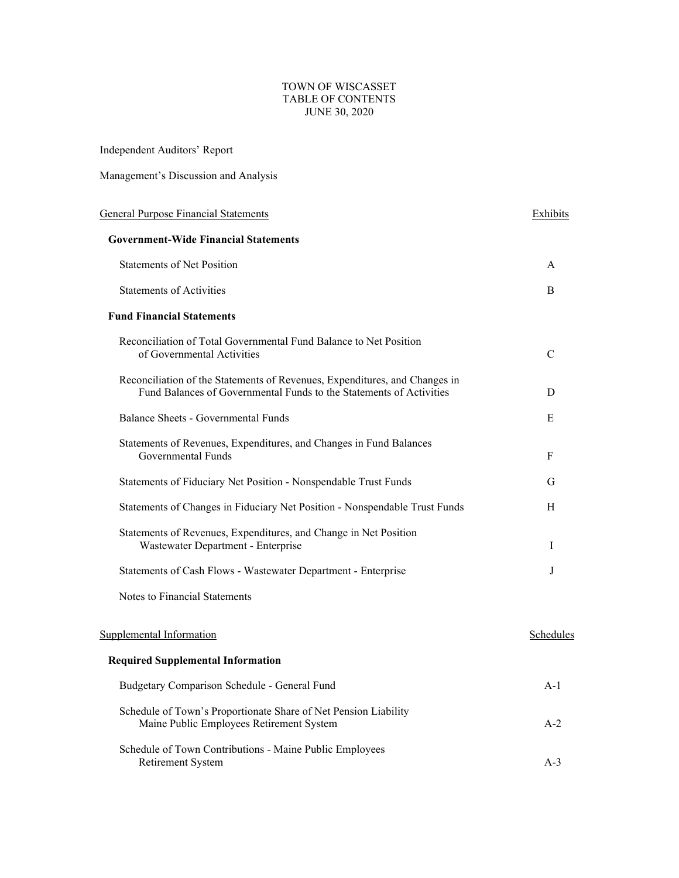# TOWN OF WISCASSET TABLE OF CONTENTS JUNE 30, 2020

| Independent Auditors' Report                                                                                                                      |               |
|---------------------------------------------------------------------------------------------------------------------------------------------------|---------------|
| Management's Discussion and Analysis                                                                                                              |               |
| <b>General Purpose Financial Statements</b>                                                                                                       | Exhibits      |
| <b>Government-Wide Financial Statements</b>                                                                                                       |               |
| <b>Statements of Net Position</b>                                                                                                                 | A             |
| <b>Statements of Activities</b>                                                                                                                   | B             |
| <b>Fund Financial Statements</b>                                                                                                                  |               |
| Reconciliation of Total Governmental Fund Balance to Net Position<br>of Governmental Activities                                                   | $\mathcal{C}$ |
| Reconciliation of the Statements of Revenues, Expenditures, and Changes in<br>Fund Balances of Governmental Funds to the Statements of Activities | D             |
| Balance Sheets - Governmental Funds                                                                                                               | E             |
| Statements of Revenues, Expenditures, and Changes in Fund Balances<br>Governmental Funds                                                          | F             |
| Statements of Fiduciary Net Position - Nonspendable Trust Funds                                                                                   | G             |
| Statements of Changes in Fiduciary Net Position - Nonspendable Trust Funds                                                                        | H             |
| Statements of Revenues, Expenditures, and Change in Net Position<br>Wastewater Department - Enterprise                                            | Τ             |
| Statements of Cash Flows - Wastewater Department - Enterprise                                                                                     | J             |
| Notes to Financial Statements                                                                                                                     |               |
| Supplemental Information                                                                                                                          | Schedules     |
| <b>Required Supplemental Information</b>                                                                                                          |               |
| Budgetary Comparison Schedule - General Fund                                                                                                      | $A-1$         |
| Schedule of Town's Proportionate Share of Net Pension Liability<br>Maine Public Employees Retirement System                                       | $A-2$         |
| Schedule of Town Contributions - Maine Public Employees<br>Retirement System                                                                      | $A-3$         |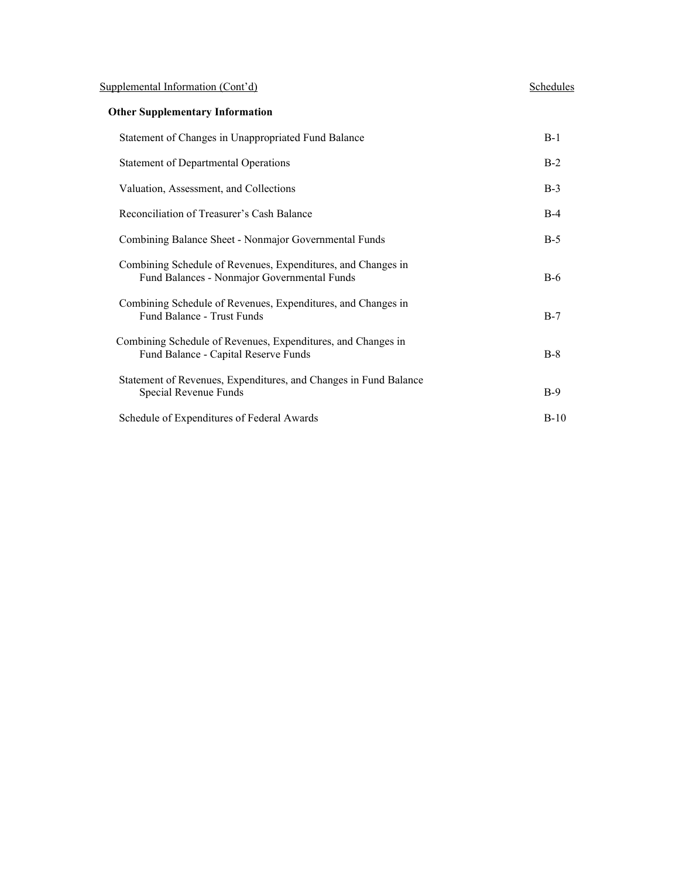# **Other Supplementary Information**

| Statement of Changes in Unappropriated Fund Balance                                                         | $B-1$      |
|-------------------------------------------------------------------------------------------------------------|------------|
| <b>Statement of Departmental Operations</b>                                                                 | $B-2$      |
| Valuation, Assessment, and Collections                                                                      | $B-3$      |
| Reconciliation of Treasurer's Cash Balance                                                                  | $B-4$      |
| Combining Balance Sheet - Nonmajor Governmental Funds                                                       | $B-5$      |
| Combining Schedule of Revenues, Expenditures, and Changes in<br>Fund Balances - Nonmajor Governmental Funds | <b>B-6</b> |
| Combining Schedule of Revenues, Expenditures, and Changes in<br>Fund Balance - Trust Funds                  | $B-7$      |
| Combining Schedule of Revenues, Expenditures, and Changes in<br>Fund Balance - Capital Reserve Funds        | $B-8$      |
| Statement of Revenues, Expenditures, and Changes in Fund Balance<br>Special Revenue Funds                   | $B-9$      |
| Schedule of Expenditures of Federal Awards                                                                  | $B-10$     |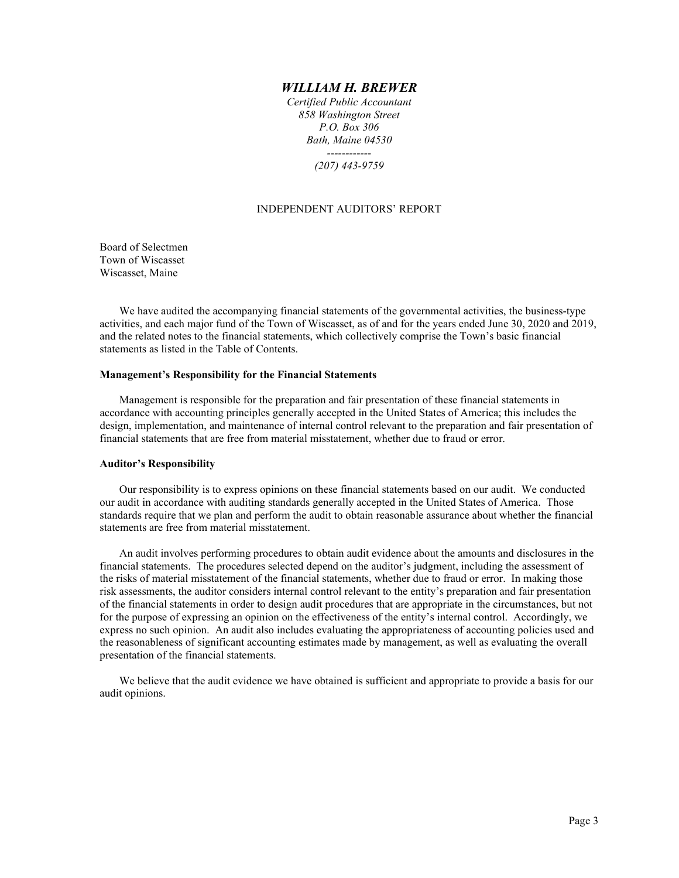### *WILLIAM H. BREWER*

*Certified Public Accountant 858 Washington Street P.O. Box 306 Bath, Maine 04530 ------------ (207) 443-9759*

INDEPENDENT AUDITORS' REPORT

Board of Selectmen Town of Wiscasset Wiscasset, Maine

 We have audited the accompanying financial statements of the governmental activities, the business-type activities, and each major fund of the Town of Wiscasset, as of and for the years ended June 30, 2020 and 2019, and the related notes to the financial statements, which collectively comprise the Town's basic financial statements as listed in the Table of Contents.

#### **Management's Responsibility for the Financial Statements**

 Management is responsible for the preparation and fair presentation of these financial statements in accordance with accounting principles generally accepted in the United States of America; this includes the design, implementation, and maintenance of internal control relevant to the preparation and fair presentation of financial statements that are free from material misstatement, whether due to fraud or error.

#### **Auditor's Responsibility**

 Our responsibility is to express opinions on these financial statements based on our audit. We conducted our audit in accordance with auditing standards generally accepted in the United States of America. Those standards require that we plan and perform the audit to obtain reasonable assurance about whether the financial statements are free from material misstatement.

 An audit involves performing procedures to obtain audit evidence about the amounts and disclosures in the financial statements. The procedures selected depend on the auditor's judgment, including the assessment of the risks of material misstatement of the financial statements, whether due to fraud or error. In making those risk assessments, the auditor considers internal control relevant to the entity's preparation and fair presentation of the financial statements in order to design audit procedures that are appropriate in the circumstances, but not for the purpose of expressing an opinion on the effectiveness of the entity's internal control. Accordingly, we express no such opinion. An audit also includes evaluating the appropriateness of accounting policies used and the reasonableness of significant accounting estimates made by management, as well as evaluating the overall presentation of the financial statements.

 We believe that the audit evidence we have obtained is sufficient and appropriate to provide a basis for our audit opinions.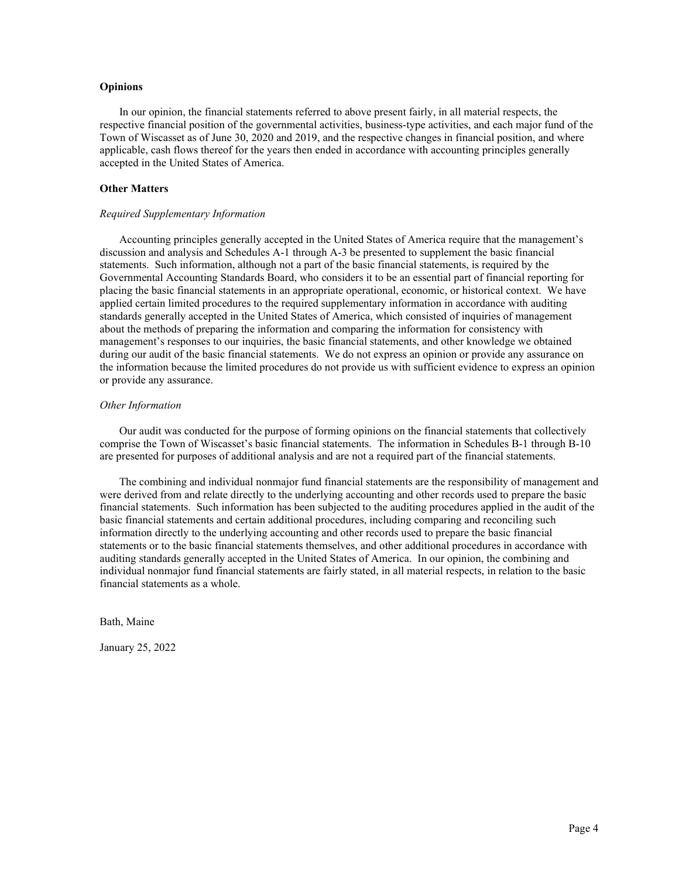#### **Opinions**

 In our opinion, the financial statements referred to above present fairly, in all material respects, the respective financial position of the governmental activities, business-type activities, and each major fund of the Town of Wiscasset as of June 30, 2020 and 2019, and the respective changes in financial position, and where applicable, cash flows thereof for the years then ended in accordance with accounting principles generally accepted in the United States of America.

# **Other Matters**

#### *Required Supplementary Information*

 Accounting principles generally accepted in the United States of America require that the management's discussion and analysis and Schedules A-1 through A-3 be presented to supplement the basic financial statements. Such information, although not a part of the basic financial statements, is required by the Governmental Accounting Standards Board, who considers it to be an essential part of financial reporting for placing the basic financial statements in an appropriate operational, economic, or historical context. We have applied certain limited procedures to the required supplementary information in accordance with auditing standards generally accepted in the United States of America, which consisted of inquiries of management about the methods of preparing the information and comparing the information for consistency with management's responses to our inquiries, the basic financial statements, and other knowledge we obtained during our audit of the basic financial statements. We do not express an opinion or provide any assurance on the information because the limited procedures do not provide us with sufficient evidence to express an opinion or provide any assurance.

# *Other Information*

Our audit was conducted for the purpose of forming opinions on the financial statements that collectively comprise the Town of Wiscasset's basic financial statements. The information in Schedules B-1 through B-10 are presented for purposes of additional analysis and are not a required part of the financial statements.

 The combining and individual nonmajor fund financial statements are the responsibility of management and were derived from and relate directly to the underlying accounting and other records used to prepare the basic financial statements. Such information has been subjected to the auditing procedures applied in the audit of the basic financial statements and certain additional procedures, including comparing and reconciling such information directly to the underlying accounting and other records used to prepare the basic financial statements or to the basic financial statements themselves, and other additional procedures in accordance with auditing standards generally accepted in the United States of America. In our opinion, the combining and individual nonmajor fund financial statements are fairly stated, in all material respects, in relation to the basic financial statements as a whole.

Bath, Maine

January 25, 2022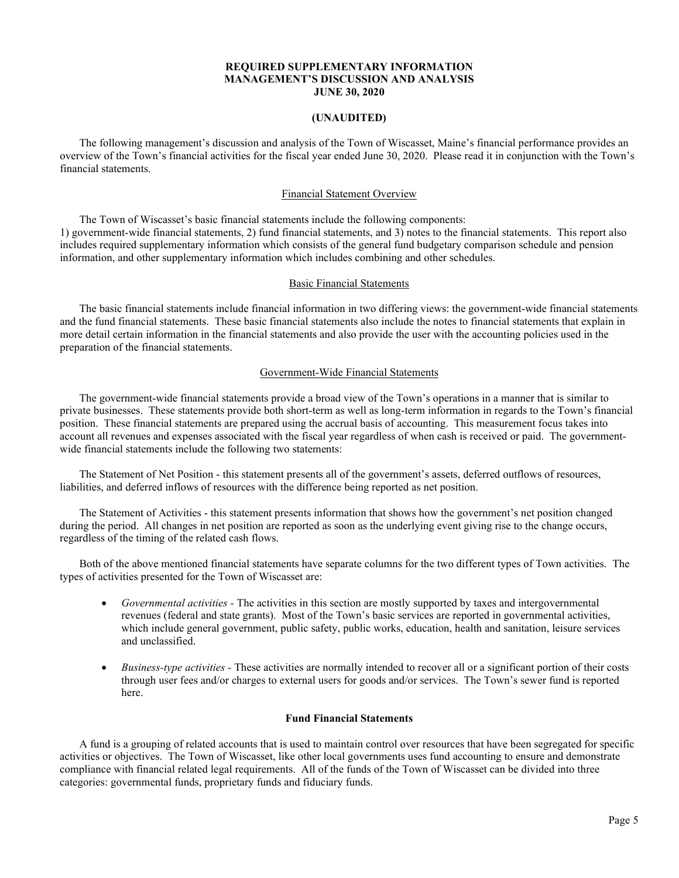# **REQUIRED SUPPLEMENTARY INFORMATION MANAGEMENT'S DISCUSSION AND ANALYSIS JUNE 30, 2020**

#### **(UNAUDITED)**

 The following management's discussion and analysis of the Town of Wiscasset, Maine's financial performance provides an overview of the Town's financial activities for the fiscal year ended June 30, 2020. Please read it in conjunction with the Town's financial statements.

# Financial Statement Overview

 The Town of Wiscasset's basic financial statements include the following components: 1) government-wide financial statements, 2) fund financial statements, and 3) notes to the financial statements. This report also includes required supplementary information which consists of the general fund budgetary comparison schedule and pension information, and other supplementary information which includes combining and other schedules.

#### Basic Financial Statements

 The basic financial statements include financial information in two differing views: the government-wide financial statements and the fund financial statements. These basic financial statements also include the notes to financial statements that explain in more detail certain information in the financial statements and also provide the user with the accounting policies used in the preparation of the financial statements.

### Government-Wide Financial Statements

 The government-wide financial statements provide a broad view of the Town's operations in a manner that is similar to private businesses. These statements provide both short-term as well as long-term information in regards to the Town's financial position. These financial statements are prepared using the accrual basis of accounting. This measurement focus takes into account all revenues and expenses associated with the fiscal year regardless of when cash is received or paid. The governmentwide financial statements include the following two statements:

 The Statement of Net Position - this statement presents all of the government's assets, deferred outflows of resources, liabilities, and deferred inflows of resources with the difference being reported as net position.

 The Statement of Activities - this statement presents information that shows how the government's net position changed during the period. All changes in net position are reported as soon as the underlying event giving rise to the change occurs, regardless of the timing of the related cash flows.

 Both of the above mentioned financial statements have separate columns for the two different types of Town activities. The types of activities presented for the Town of Wiscasset are:

- *Governmental activities -* The activities in this section are mostly supported by taxes and intergovernmental revenues (federal and state grants). Most of the Town's basic services are reported in governmental activities, which include general government, public safety, public works, education, health and sanitation, leisure services and unclassified.
- *Business-type activities -* These activities are normally intended to recover all or a significant portion of their costs through user fees and/or charges to external users for goods and/or services. The Town's sewer fund is reported here.

#### **Fund Financial Statements**

 A fund is a grouping of related accounts that is used to maintain control over resources that have been segregated for specific activities or objectives. The Town of Wiscasset, like other local governments uses fund accounting to ensure and demonstrate compliance with financial related legal requirements. All of the funds of the Town of Wiscasset can be divided into three categories: governmental funds, proprietary funds and fiduciary funds.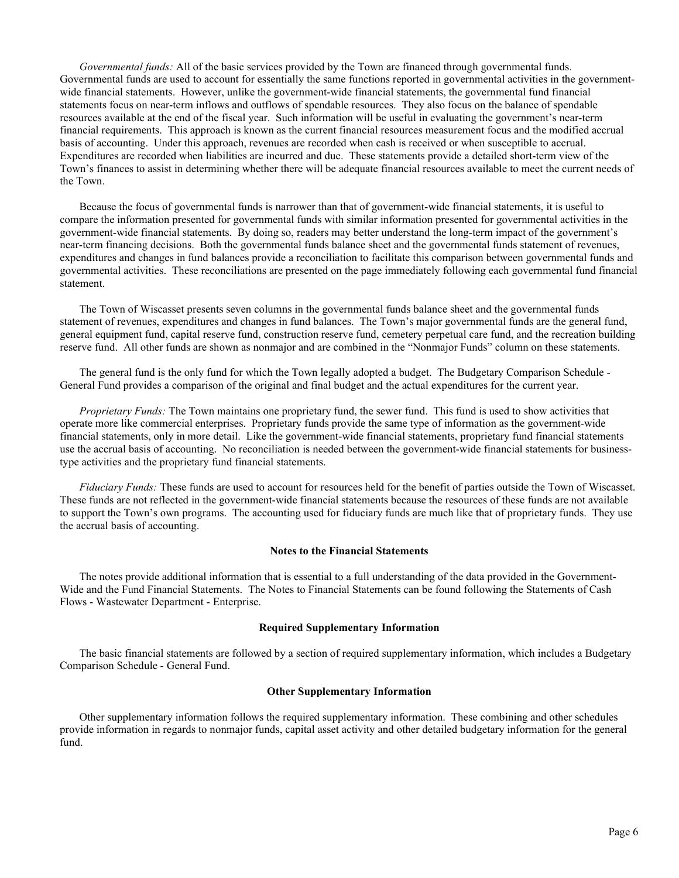*Governmental funds:* All of the basic services provided by the Town are financed through governmental funds. Governmental funds are used to account for essentially the same functions reported in governmental activities in the governmentwide financial statements. However, unlike the government-wide financial statements, the governmental fund financial statements focus on near-term inflows and outflows of spendable resources. They also focus on the balance of spendable resources available at the end of the fiscal year. Such information will be useful in evaluating the government's near-term financial requirements. This approach is known as the current financial resources measurement focus and the modified accrual basis of accounting. Under this approach, revenues are recorded when cash is received or when susceptible to accrual. Expenditures are recorded when liabilities are incurred and due. These statements provide a detailed short-term view of the Town's finances to assist in determining whether there will be adequate financial resources available to meet the current needs of the Town.

 Because the focus of governmental funds is narrower than that of government-wide financial statements, it is useful to compare the information presented for governmental funds with similar information presented for governmental activities in the government-wide financial statements. By doing so, readers may better understand the long-term impact of the government's near-term financing decisions. Both the governmental funds balance sheet and the governmental funds statement of revenues, expenditures and changes in fund balances provide a reconciliation to facilitate this comparison between governmental funds and governmental activities. These reconciliations are presented on the page immediately following each governmental fund financial statement.

 The Town of Wiscasset presents seven columns in the governmental funds balance sheet and the governmental funds statement of revenues, expenditures and changes in fund balances. The Town's major governmental funds are the general fund, general equipment fund, capital reserve fund, construction reserve fund, cemetery perpetual care fund, and the recreation building reserve fund. All other funds are shown as nonmajor and are combined in the "Nonmajor Funds" column on these statements.

 The general fund is the only fund for which the Town legally adopted a budget. The Budgetary Comparison Schedule - General Fund provides a comparison of the original and final budget and the actual expenditures for the current year.

 *Proprietary Funds:* The Town maintains one proprietary fund, the sewer fund. This fund is used to show activities that operate more like commercial enterprises. Proprietary funds provide the same type of information as the government-wide financial statements, only in more detail. Like the government-wide financial statements, proprietary fund financial statements use the accrual basis of accounting. No reconciliation is needed between the government-wide financial statements for businesstype activities and the proprietary fund financial statements.

 *Fiduciary Funds:* These funds are used to account for resources held for the benefit of parties outside the Town of Wiscasset. These funds are not reflected in the government-wide financial statements because the resources of these funds are not available to support the Town's own programs. The accounting used for fiduciary funds are much like that of proprietary funds. They use the accrual basis of accounting.

### **Notes to the Financial Statements**

 The notes provide additional information that is essential to a full understanding of the data provided in the Government-Wide and the Fund Financial Statements. The Notes to Financial Statements can be found following the Statements of Cash Flows - Wastewater Department - Enterprise.

# **Required Supplementary Information**

 The basic financial statements are followed by a section of required supplementary information, which includes a Budgetary Comparison Schedule - General Fund.

### **Other Supplementary Information**

Other supplementary information follows the required supplementary information. These combining and other schedules provide information in regards to nonmajor funds, capital asset activity and other detailed budgetary information for the general fund.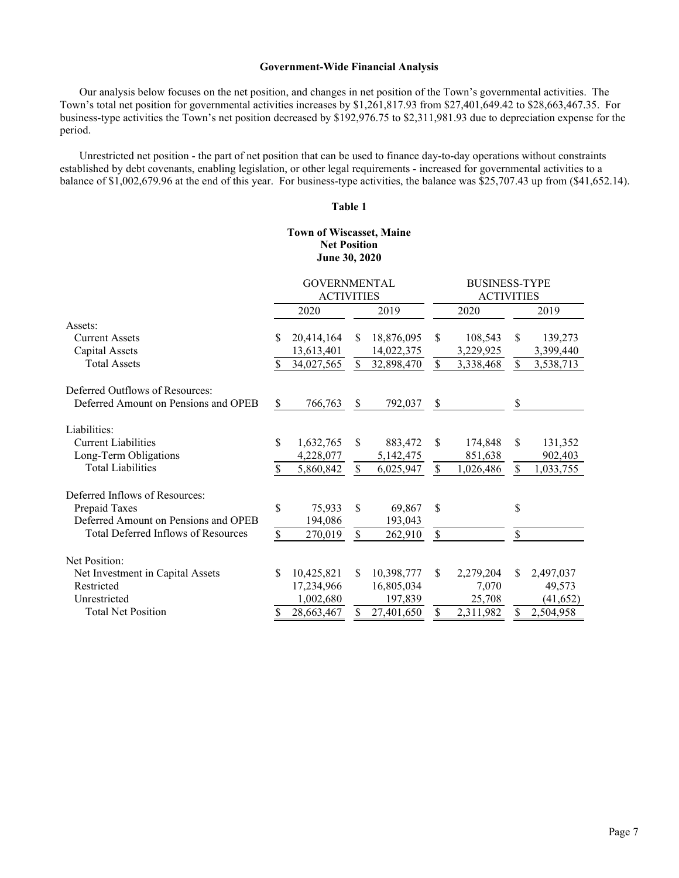### **Government-Wide Financial Analysis**

 Our analysis below focuses on the net position, and changes in net position of the Town's governmental activities. The Town's total net position for governmental activities increases by \$1,261,817.93 from \$27,401,649.42 to \$28,663,467.35. For business-type activities the Town's net position decreased by \$192,976.75 to \$2,311,981.93 due to depreciation expense for the period.

 Unrestricted net position - the part of net position that can be used to finance day-to-day operations without constraints established by debt covenants, enabling legislation, or other legal requirements - increased for governmental activities to a balance of \$1,002,679.96 at the end of this year. For business-type activities, the balance was \$25,707.43 up from (\$41,652.14).

### **Table 1**

# **Town of Wiscasset, Maine Net Position June 30, 2020**

|                                            |              | <b>GOVERNMENTAL</b><br><b>ACTIVITIES</b> |                    |            | <b>BUSINESS-TYPE</b><br><b>ACTIVITIES</b> |           |               |           |
|--------------------------------------------|--------------|------------------------------------------|--------------------|------------|-------------------------------------------|-----------|---------------|-----------|
|                                            |              | 2020                                     |                    | 2019       | 2020                                      |           |               | 2019      |
| Assets:                                    |              |                                          |                    |            |                                           |           |               |           |
| <b>Current Assets</b>                      | \$           | 20,414,164                               | \$.                | 18,876,095 | <sup>\$</sup>                             | 108,543   | <b>S</b>      | 139,273   |
| Capital Assets                             |              | 13,613,401                               |                    | 14,022,375 |                                           | 3,229,925 |               | 3,399,440 |
| <b>Total Assets</b>                        | \$           | 34,027,565                               | \$                 | 32,898,470 | \$                                        | 3,338,468 | \$            | 3,538,713 |
| Deferred Outflows of Resources:            |              |                                          |                    |            |                                           |           |               |           |
| Deferred Amount on Pensions and OPEB       | \$           | 766,763                                  | \$                 | 792,037    | \$                                        |           | \$            |           |
| Liabilities:                               |              |                                          |                    |            |                                           |           |               |           |
| <b>Current Liabilities</b>                 | \$           | 1,632,765                                | \$                 | 883,472    | \$                                        | 174,848   | <sup>\$</sup> | 131,352   |
| Long-Term Obligations                      |              | 4,228,077                                |                    | 5,142,475  |                                           | 851,638   |               | 902,403   |
| <b>Total Liabilities</b>                   | \$           | 5,860,842                                | \$                 | 6,025,947  | \$                                        | 1,026,486 | \$            | 1,033,755 |
| Deferred Inflows of Resources:             |              |                                          |                    |            |                                           |           |               |           |
| Prepaid Taxes                              | \$           | 75,933                                   | \$                 | 69,867     | \$                                        |           | \$            |           |
| Deferred Amount on Pensions and OPEB       |              | 194,086                                  |                    | 193,043    |                                           |           |               |           |
| <b>Total Deferred Inflows of Resources</b> | $\mathbb{S}$ | 270,019                                  | $\mathbf{\hat{S}}$ | 262,910    | $\mathbf S$                               |           | \$            |           |
| Net Position:                              |              |                                          |                    |            |                                           |           |               |           |
| Net Investment in Capital Assets           | \$           | 10,425,821                               | \$                 | 10,398,777 | <sup>\$</sup>                             | 2,279,204 | \$.           | 2,497,037 |
| Restricted                                 |              | 17,234,966                               |                    | 16,805,034 |                                           | 7,070     |               | 49,573    |
| Unrestricted                               |              | 1,002,680                                |                    | 197,839    |                                           | 25,708    |               | (41,652)  |
| <b>Total Net Position</b>                  | \$           | 28,663,467                               | \$                 | 27,401,650 | \$                                        | 2,311,982 | \$            | 2,504,958 |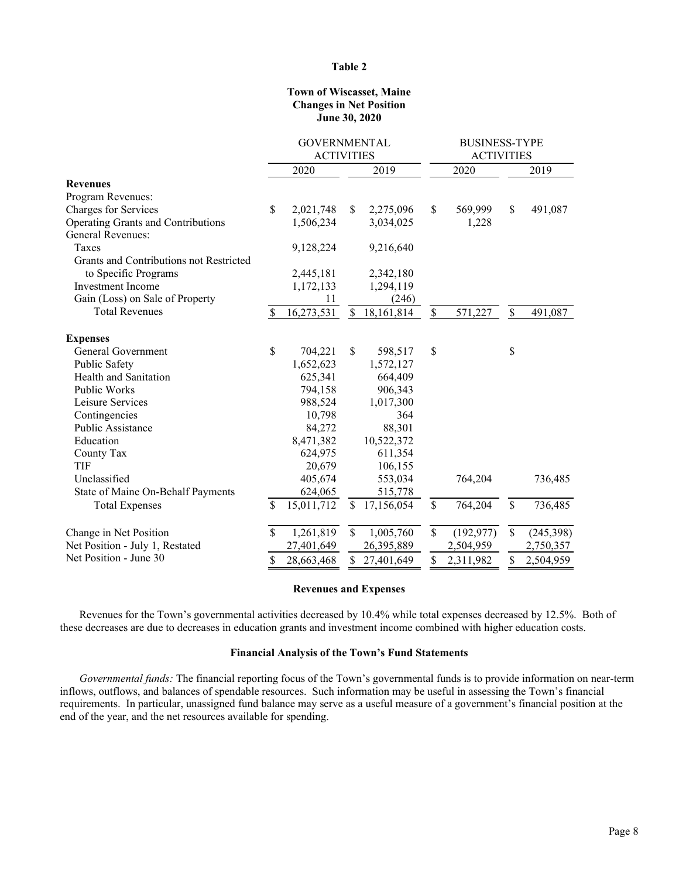#### **Table 2**

# **Town of Wiscasset, Maine Changes in Net Position June 30, 2020**

|                                                                |              | <b>GOVERNMENTAL</b><br><b>ACTIVITIES</b> |                           |            | <b>BUSINESS-TYPE</b><br><b>ACTIVITIES</b> |            |               |            |
|----------------------------------------------------------------|--------------|------------------------------------------|---------------------------|------------|-------------------------------------------|------------|---------------|------------|
|                                                                |              | 2020                                     |                           | 2019       |                                           | 2020       |               | 2019       |
| <b>Revenues</b>                                                |              |                                          |                           |            |                                           |            |               |            |
| Program Revenues:                                              |              |                                          |                           |            |                                           |            |               |            |
| Charges for Services                                           | \$           | 2,021,748                                | \$                        | 2,275,096  | \$                                        | 569,999    | \$            | 491,087    |
|                                                                |              |                                          |                           |            |                                           |            |               |            |
| Operating Grants and Contributions<br><b>General Revenues:</b> |              | 1,506,234                                |                           | 3,034,025  |                                           | 1,228      |               |            |
| Taxes                                                          |              | 9,128,224                                |                           | 9,216,640  |                                           |            |               |            |
| Grants and Contributions not Restricted                        |              |                                          |                           |            |                                           |            |               |            |
| to Specific Programs                                           |              | 2,445,181                                |                           | 2,342,180  |                                           |            |               |            |
| <b>Investment Income</b>                                       |              | 1,172,133                                |                           | 1,294,119  |                                           |            |               |            |
| Gain (Loss) on Sale of Property                                |              | 11                                       |                           | (246)      |                                           |            |               |            |
| <b>Total Revenues</b>                                          | \$           | 16,273,531                               | $\boldsymbol{\mathsf{S}}$ | 18,161,814 | $\mathbb S$                               | 571,227    | $\mathcal{S}$ | 491,087    |
| <b>Expenses</b>                                                |              |                                          |                           |            |                                           |            |               |            |
| General Government                                             | $\mathbb{S}$ | 704,221                                  | \$                        | 598,517    | \$                                        |            | \$            |            |
| Public Safety                                                  |              | 1,652,623                                |                           | 1,572,127  |                                           |            |               |            |
| Health and Sanitation                                          |              | 625,341                                  |                           | 664,409    |                                           |            |               |            |
| <b>Public Works</b>                                            |              | 794,158                                  |                           | 906,343    |                                           |            |               |            |
| Leisure Services                                               |              | 988,524                                  |                           | 1,017,300  |                                           |            |               |            |
| Contingencies                                                  |              | 10,798                                   |                           | 364        |                                           |            |               |            |
| Public Assistance                                              |              | 84,272                                   |                           | 88,301     |                                           |            |               |            |
| Education                                                      |              | 8,471,382                                |                           | 10,522,372 |                                           |            |               |            |
| County Tax                                                     |              | 624,975                                  |                           | 611,354    |                                           |            |               |            |
| TIF                                                            |              | 20,679                                   |                           | 106,155    |                                           |            |               |            |
| Unclassified                                                   |              | 405,674                                  |                           | 553,034    |                                           | 764,204    |               | 736,485    |
| State of Maine On-Behalf Payments                              |              | 624,065                                  |                           | 515,778    |                                           |            |               |            |
| <b>Total Expenses</b>                                          | \$           | 15,011,712                               | \$                        | 17,156,054 | $\mathbb{S}$                              | 764,204    | $\mathbb{S}$  | 736,485    |
| Change in Net Position                                         | \$           | 1,261,819                                | $\mathcal{S}$             | 1,005,760  | $\mathbf S$                               | (192, 977) | $\mathsf{\$}$ | (245, 398) |
| Net Position - July 1, Restated                                |              | 27,401,649                               |                           | 26,395,889 |                                           | 2,504,959  |               | 2,750,357  |
| Net Position - June 30                                         | \$           | 28,663,468                               | \$                        | 27,401,649 | \$                                        | 2,311,982  | \$            | 2,504,959  |
|                                                                |              |                                          |                           |            |                                           |            |               |            |

#### **Revenues and Expenses**

Revenues for the Town's governmental activities decreased by 10.4% while total expenses decreased by 12.5%. Both of these decreases are due to decreases in education grants and investment income combined with higher education costs.

# **Financial Analysis of the Town's Fund Statements**

 *Governmental funds:* The financial reporting focus of the Town's governmental funds is to provide information on near-term inflows, outflows, and balances of spendable resources. Such information may be useful in assessing the Town's financial requirements. In particular, unassigned fund balance may serve as a useful measure of a government's financial position at the end of the year, and the net resources available for spending.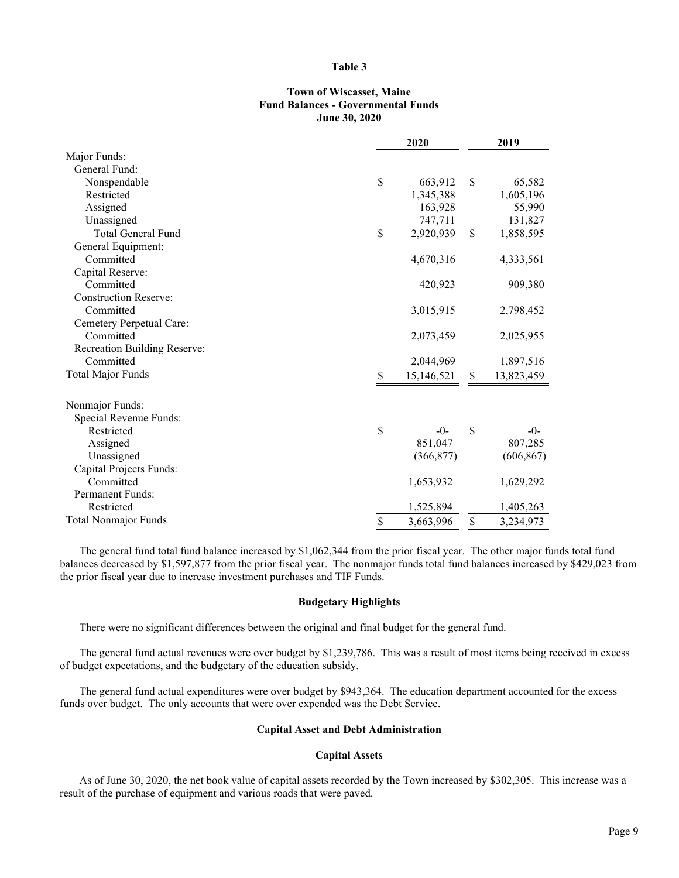#### **Table 3**

# **Town of Wiscasset, Maine Fund Balances - Governmental Funds June 30, 2020**

|                              |             | 2020       |               |            |  |  |  |
|------------------------------|-------------|------------|---------------|------------|--|--|--|
| Major Funds:                 |             |            |               |            |  |  |  |
| General Fund:                |             |            |               |            |  |  |  |
| Nonspendable                 | \$          | 663,912    | \$            | 65,582     |  |  |  |
| Restricted                   |             | 1,345,388  |               | 1,605,196  |  |  |  |
| Assigned                     |             | 163,928    |               | 55,990     |  |  |  |
| Unassigned                   |             | 747,711    |               | 131,827    |  |  |  |
| <b>Total General Fund</b>    | $\mathbf S$ | 2,920,939  | $\mathcal{S}$ | 1,858,595  |  |  |  |
| General Equipment:           |             |            |               |            |  |  |  |
| Committed                    |             | 4,670,316  |               | 4,333,561  |  |  |  |
| Capital Reserve:             |             |            |               |            |  |  |  |
| Committed                    |             | 420,923    |               | 909,380    |  |  |  |
| <b>Construction Reserve:</b> |             |            |               |            |  |  |  |
| Committed                    |             | 3,015,915  |               | 2,798,452  |  |  |  |
| Cemetery Perpetual Care:     |             |            |               |            |  |  |  |
| Committed                    |             | 2,073,459  |               | 2,025,955  |  |  |  |
| Recreation Building Reserve: |             |            |               |            |  |  |  |
| Committed                    |             | 2,044,969  |               | 1,897,516  |  |  |  |
| <b>Total Major Funds</b>     | \$          | 15,146,521 | \$            | 13,823,459 |  |  |  |
| Nonmajor Funds:              |             |            |               |            |  |  |  |
| Special Revenue Funds:       |             |            |               |            |  |  |  |
| Restricted                   | \$          | $-0-$      | \$            | $-0-$      |  |  |  |
| Assigned                     |             | 851,047    |               | 807,285    |  |  |  |
| Unassigned                   |             | (366, 877) |               | (606, 867) |  |  |  |
| Capital Projects Funds:      |             |            |               |            |  |  |  |
| Committed                    |             | 1,653,932  |               | 1,629,292  |  |  |  |
| <b>Permanent Funds:</b>      |             |            |               |            |  |  |  |
| Restricted                   |             | 1,525,894  |               | 1,405,263  |  |  |  |
| <b>Total Nonmajor Funds</b>  | \$          | 3,663,996  | \$            | 3,234,973  |  |  |  |

The general fund total fund balance increased by \$1,062,344 from the prior fiscal year. The other major funds total fund balances decreased by \$1,597,877 from the prior fiscal year. The nonmajor funds total fund balances increased by \$429,023 from the prior fiscal year due to increase investment purchases and TIF Funds.

#### **Budgetary Highlights**

There were no significant differences between the original and final budget for the general fund.

 The general fund actual revenues were over budget by \$1,239,786. This was a result of most items being received in excess of budget expectations, and the budgetary of the education subsidy.

 The general fund actual expenditures were over budget by \$943,364. The education department accounted for the excess funds over budget. The only accounts that were over expended was the Debt Service.

#### **Capital Asset and Debt Administration**

#### **Capital Assets**

As of June 30, 2020, the net book value of capital assets recorded by the Town increased by \$302,305. This increase was a result of the purchase of equipment and various roads that were paved.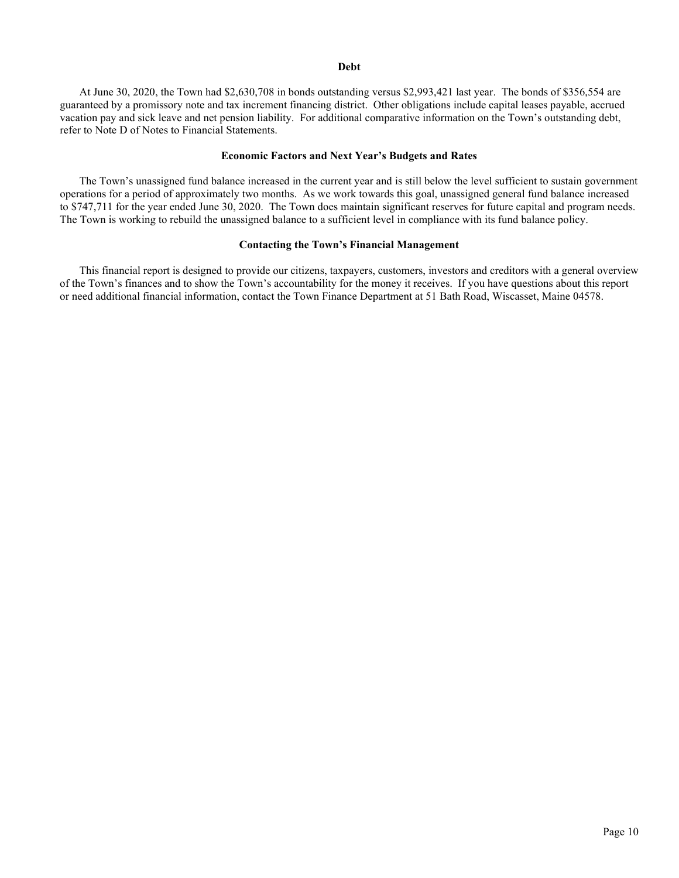# **Debt**

At June 30, 2020, the Town had \$2,630,708 in bonds outstanding versus \$2,993,421 last year. The bonds of \$356,554 are guaranteed by a promissory note and tax increment financing district. Other obligations include capital leases payable, accrued vacation pay and sick leave and net pension liability. For additional comparative information on the Town's outstanding debt, refer to Note D of Notes to Financial Statements.

### **Economic Factors and Next Year's Budgets and Rates**

The Town's unassigned fund balance increased in the current year and is still below the level sufficient to sustain government operations for a period of approximately two months. As we work towards this goal, unassigned general fund balance increased to \$747,711 for the year ended June 30, 2020. The Town does maintain significant reserves for future capital and program needs. The Town is working to rebuild the unassigned balance to a sufficient level in compliance with its fund balance policy.

#### **Contacting the Town's Financial Management**

This financial report is designed to provide our citizens, taxpayers, customers, investors and creditors with a general overview of the Town's finances and to show the Town's accountability for the money it receives. If you have questions about this report or need additional financial information, contact the Town Finance Department at 51 Bath Road, Wiscasset, Maine 04578.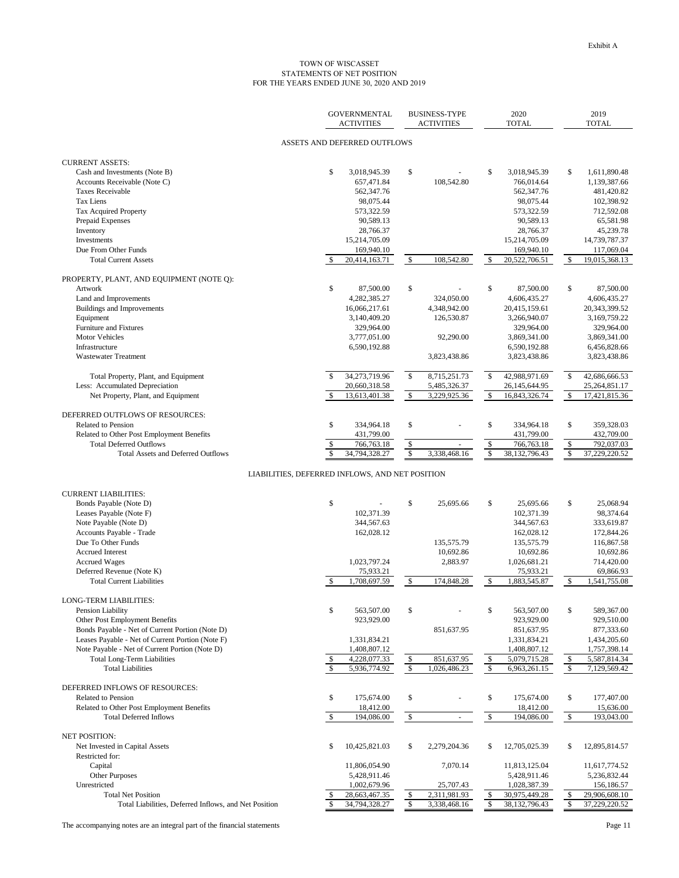#### TOWN OF WISCASSET STATEMENTS OF NET POSITION FOR THE YEARS ENDED JUNE 30, 2020 AND 2019

|                                                                 |              | <b>GOVERNMENTAL</b><br><b>ACTIVITIES</b> |                          | <b>BUSINESS-TYPE</b><br><b>ACTIVITIES</b> |                          | 2020<br><b>TOTAL</b>           |              | 2019<br><b>TOTAL</b>             |
|-----------------------------------------------------------------|--------------|------------------------------------------|--------------------------|-------------------------------------------|--------------------------|--------------------------------|--------------|----------------------------------|
|                                                                 |              | ASSETS AND DEFERRED OUTFLOWS             |                          |                                           |                          |                                |              |                                  |
| <b>CURRENT ASSETS:</b>                                          |              |                                          |                          |                                           |                          |                                |              |                                  |
| Cash and Investments (Note B)                                   | \$           | 3,018,945.39                             | \$                       |                                           | \$                       | 3,018,945.39                   | \$           | 1,611,890.48                     |
| Accounts Receivable (Note C)<br><b>Taxes Receivable</b>         |              | 657,471.84                               |                          | 108,542.80                                |                          | 766,014.64                     |              | 1,139,387.66                     |
| Tax Liens                                                       |              | 562,347.76<br>98,075.44                  |                          |                                           |                          | 562,347.76<br>98,075.44        |              | 481,420.82<br>102,398.92         |
| Tax Acquired Property                                           |              | 573,322.59                               |                          |                                           |                          | 573,322.59                     |              | 712,592.08                       |
| Prepaid Expenses                                                |              | 90,589.13                                |                          |                                           |                          | 90,589.13                      |              | 65,581.98                        |
| Inventory                                                       |              | 28,766.37                                |                          |                                           |                          | 28,766.37                      |              | 45,239.78                        |
| Investments                                                     |              | 15,214,705.09                            |                          |                                           |                          | 15,214,705.09                  |              | 14,739,787.37                    |
| Due From Other Funds<br><b>Total Current Assets</b>             | \$           | 169,940.10<br>20,414,163.71              | \$                       | 108,542.80                                | $\mathbb{S}$             | 169,940.10<br>20,522,706.51    | \$           | 117,069.04<br>19,015,368.13      |
|                                                                 |              |                                          |                          |                                           |                          |                                |              |                                  |
| PROPERTY, PLANT, AND EQUIPMENT (NOTE Q):<br>Artwork             | \$           | 87,500.00                                | \$                       |                                           | \$                       | 87,500.00                      | \$           | 87,500.00                        |
| Land and Improvements                                           |              | 4,282,385.27                             |                          | 324,050.00                                |                          | 4,606,435.27                   |              | 4,606,435.27                     |
| <b>Buildings and Improvements</b>                               |              | 16,066,217.61                            |                          | 4,348,942.00                              |                          | 20,415,159.61                  |              | 20,343,399.52                    |
| Equipment                                                       |              | 3,140,409.20                             |                          | 126,530.87                                |                          | 3,266,940.07                   |              | 3,169,759.22                     |
| Furniture and Fixtures                                          |              | 329,964.00                               |                          |                                           |                          | 329,964.00                     |              | 329,964.00                       |
| <b>Motor Vehicles</b>                                           |              | 3,777,051.00                             |                          | 92,290.00                                 |                          | 3,869,341.00                   |              | 3,869,341.00                     |
| Infrastructure<br><b>Wastewater Treatment</b>                   |              | 6,590,192.88                             |                          | 3,823,438.86                              |                          | 6,590,192.88<br>3,823,438.86   |              | 6,456,828.66<br>3,823,438.86     |
|                                                                 |              |                                          |                          |                                           |                          |                                |              |                                  |
| Total Property, Plant, and Equipment                            | \$           | 34,273,719.96                            | \$                       | 8,715,251.73                              | \$                       | 42,988,971.69                  | \$           | 42,686,666.53                    |
| Less: Accumulated Depreciation                                  | \$           | 20,660,318.58<br>13,613,401.38           | \$                       | 5,485,326.37<br>3,229,925.36              | \$                       | 26,145,644.95<br>16,843,326.74 | \$           | 25, 264, 851.17<br>17,421,815.36 |
| Net Property, Plant, and Equipment                              |              |                                          |                          |                                           |                          |                                |              |                                  |
| DEFERRED OUTFLOWS OF RESOURCES:                                 |              |                                          |                          |                                           |                          |                                |              |                                  |
| Related to Pension<br>Related to Other Post Employment Benefits | \$           | 334,964.18<br>431,799.00                 | \$                       |                                           | \$                       | 334,964.18<br>431,799.00       | \$           | 359,328.03<br>432,709.00         |
| <b>Total Deferred Outflows</b>                                  | \$           | 766,763.18                               | \$                       |                                           | \$                       | 766,763.18                     | \$           | 792,037.03                       |
| <b>Total Assets and Deferred Outflows</b>                       |              | 34,794,328.27                            | $\overline{\mathcal{S}}$ | 3,338,468.16                              | $\overline{\mathcal{S}}$ | 38, 132, 796. 43               | \$           | 37,229,220.52                    |
| LIABILITIES, DEFERRED INFLOWS, AND NET POSITION                 |              |                                          |                          |                                           |                          |                                |              |                                  |
|                                                                 |              |                                          |                          |                                           |                          |                                |              |                                  |
| <b>CURRENT LIABILITIES:</b>                                     |              |                                          |                          |                                           |                          |                                |              |                                  |
| Bonds Payable (Note D)                                          | \$           |                                          | \$                       | 25,695.66                                 | \$                       | 25,695.66                      | \$           | 25,068.94                        |
| Leases Payable (Note F)<br>Note Payable (Note D)                |              | 102,371.39<br>344,567.63                 |                          |                                           |                          | 102,371.39<br>344,567.63       |              | 98,374.64<br>333,619.87          |
| Accounts Payable - Trade                                        |              | 162,028.12                               |                          |                                           |                          | 162,028.12                     |              | 172,844.26                       |
| Due To Other Funds                                              |              |                                          |                          | 135,575.79                                |                          | 135,575.79                     |              | 116,867.58                       |
| <b>Accrued Interest</b>                                         |              |                                          |                          | 10,692.86                                 |                          | 10,692.86                      |              | 10,692.86                        |
| <b>Accrued Wages</b>                                            |              | 1,023,797.24                             |                          | 2,883.97                                  |                          | 1,026,681.21                   |              | 714,420.00                       |
| Deferred Revenue (Note K)<br><b>Total Current Liabilities</b>   |              | 75,933.21<br>1,708,697.59                | \$                       | 174,848.28                                | \$                       | 75,933.21<br>1,883,545.87      | \$           | 69,866.93<br>1,541,755.08        |
|                                                                 |              |                                          |                          |                                           |                          |                                |              |                                  |
| LONG-TERM LIABILITIES:                                          |              |                                          |                          |                                           |                          |                                |              |                                  |
| Pension Liability<br>Other Post Employment Benefits             | \$           | 563,507.00<br>923,929.00                 | \$                       |                                           | \$                       | 563,507.00<br>923,929.00       | \$           | 589,367.00<br>929,510.00         |
| Bonds Payable - Net of Current Portion (Note D)                 |              |                                          |                          | 851,637.95                                |                          | 851,637.95                     |              | 877,333.60                       |
| Leases Payable - Net of Current Portion (Note F)                |              | 1,331,834.21                             |                          |                                           |                          | 1,331,834.21                   |              | 1,434,205.60                     |
| Note Payable - Net of Current Portion (Note D)                  |              | 1,408,807.12                             |                          |                                           |                          | 1,408,807.12                   |              | 1,757,398.14                     |
| <b>Total Long-Term Liabilities</b>                              | -S           | 4,228,077.33                             | \$                       | 851,637.95                                | \$                       | 5,079,715.28                   | \$           | 5,587,814.34                     |
| <b>Total Liabilities</b>                                        | $\mathbb{S}$ | 5,936,774.92                             | $\mathcal{S}$            | 1,026,486.23                              | $\mathcal{S}$            | 6,963,261.15                   | $\mathbb{S}$ | 7,129,569.42                     |
| DEFERRED INFLOWS OF RESOURCES:                                  |              |                                          |                          |                                           |                          |                                |              |                                  |
| Related to Pension                                              | \$           | 175,674.00                               | \$                       | ä,                                        | \$                       | 175,674.00                     | \$           | 177,407.00                       |
| Related to Other Post Employment Benefits                       |              | 18,412.00                                |                          |                                           |                          | 18,412.00                      |              | 15,636.00                        |
| <b>Total Deferred Inflows</b>                                   | \$           | 194,086.00                               | $\frac{1}{2}$            | $\overline{\phantom{a}}$                  | \$                       | 194,086.00                     | $\mathbb S$  | 193,043.00                       |
| <b>NET POSITION:</b>                                            |              |                                          |                          |                                           |                          |                                |              |                                  |
| Net Invested in Capital Assets<br>Restricted for:               | \$           | 10,425,821.03                            | \$                       | 2,279,204.36                              | \$                       | 12,705,025.39                  | \$           | 12,895,814.57                    |
| Capital                                                         |              | 11,806,054.90                            |                          | 7,070.14                                  |                          | 11,813,125.04                  |              | 11,617,774.52                    |
| Other Purposes                                                  |              | 5,428,911.46                             |                          |                                           |                          | 5,428,911.46                   |              | 5,236,832.44                     |
| Unrestricted                                                    |              | 1,002,679.96                             |                          | 25,707.43                                 |                          | 1,028,387.39                   |              | 156,186.57                       |
| <b>Total Net Position</b>                                       | S            | 28,663,467.35<br>34,794,328.27           | \$                       | 2,311,981.93                              | \$                       | 30,975,449.28                  | \$           | 29,906,608.10                    |
| Total Liabilities, Deferred Inflows, and Net Position           | \$           |                                          | \$                       | 3,338,468.16                              | \$                       | 38, 132, 796. 43               | $\sqrt{3}$   | 37,229,220.52                    |

The accompanying notes are an integral part of the financial statements Page 11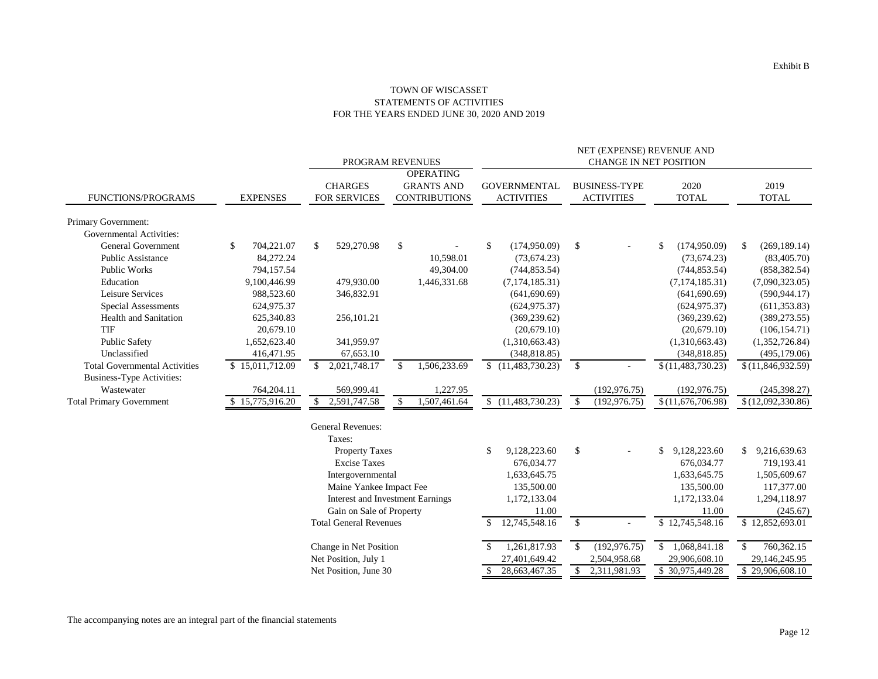#### TOWN OF WISCASSET STATEMENTS OF ACTIVITIES FOR THE YEARS ENDED JUNE 30, 2020 AND 2019

|                                      |                                  |                                       |                                                               | NET (EXPENSE) REVENUE AND                |                                           |                              |                              |  |  |
|--------------------------------------|----------------------------------|---------------------------------------|---------------------------------------------------------------|------------------------------------------|-------------------------------------------|------------------------------|------------------------------|--|--|
|                                      |                                  |                                       | PROGRAM REVENUES                                              |                                          | <b>CHANGE IN NET POSITION</b>             |                              |                              |  |  |
| FUNCTIONS/PROGRAMS                   | <b>EXPENSES</b>                  | <b>CHARGES</b><br><b>FOR SERVICES</b> | <b>OPERATING</b><br><b>GRANTS AND</b><br><b>CONTRIBUTIONS</b> | <b>GOVERNMENTAL</b><br><b>ACTIVITIES</b> | <b>BUSINESS-TYPE</b><br><b>ACTIVITIES</b> | 2020<br><b>TOTAL</b>         | 2019<br><b>TOTAL</b>         |  |  |
| Primary Government:                  |                                  |                                       |                                                               |                                          |                                           |                              |                              |  |  |
| Governmental Activities:             |                                  |                                       |                                                               |                                          |                                           |                              |                              |  |  |
| <b>General Government</b>            | $\mathbf{\hat{S}}$<br>704,221.07 | \$<br>529,270.98                      | $\mathbb{S}$                                                  | $\mathbb{S}$<br>(174,950.09)             | $\mathbb{S}$                              | (174,950.09)<br>\$           | (269, 189.14)<br>\$          |  |  |
| <b>Public Assistance</b>             | 84,272.24                        |                                       | 10,598.01                                                     | (73, 674.23)                             |                                           | (73, 674.23)                 | (83, 405.70)                 |  |  |
| <b>Public Works</b>                  | 794,157.54                       |                                       | 49,304.00                                                     | (744, 853.54)                            |                                           | (744, 853.54)                | (858, 382.54)                |  |  |
| Education                            | 9,100,446.99                     | 479,930.00                            | 1,446,331.68                                                  | (7, 174, 185.31)                         |                                           | (7, 174, 185.31)             | (7,090,323.05)               |  |  |
| Leisure Services                     | 988,523.60                       | 346,832.91                            |                                                               | (641,690.69)                             |                                           | (641,690.69)                 | (590, 944.17)                |  |  |
| Special Assessments                  | 624,975.37                       |                                       |                                                               | (624, 975.37)                            |                                           | (624, 975.37)                | (611, 353.83)                |  |  |
| <b>Health and Sanitation</b>         | 625,340.83                       | 256,101.21                            |                                                               | (369, 239.62)                            |                                           | (369, 239.62)                | (389, 273.55)                |  |  |
| TIF                                  | 20,679.10                        |                                       |                                                               | (20,679.10)                              |                                           | (20,679,10)                  | (106, 154.71)                |  |  |
| <b>Public Safety</b>                 | 1,652,623.40                     | 341,959.97                            |                                                               | (1,310,663.43)                           |                                           | (1,310,663.43)               | (1,352,726.84)               |  |  |
| Unclassified                         | 416,471.95                       | 67,653.10                             |                                                               | (348, 818.85)                            |                                           | (348, 818.85)                | (495, 179.06)                |  |  |
| <b>Total Governmental Activities</b> | \$15,011,712.09                  | 2,021,748.17<br>\$                    | 1,506,233.69<br>$\mathbb{S}$                                  | \$(11,483,730.23)                        | $\mathbb{S}$                              | \$(11,483,730.23)            | \$(11,846,932.59)            |  |  |
| <b>Business-Type Activities:</b>     |                                  |                                       |                                                               |                                          |                                           |                              |                              |  |  |
| Wastewater                           | 764,204.11                       | 569,999.41                            | 1,227.95                                                      |                                          | (192, 976.75)                             | (192, 976.75)                | (245, 398.27)                |  |  |
| <b>Total Primary Government</b>      | \$15,775,916.20                  | \$ 2,591,747.58                       | $\mathbb{S}$<br>1,507,461.64                                  | \$(11,483,730.23)                        | $\mathbf{\$}$<br>(192, 976.75)            | \$(11,676,706.98)            | \$(12,092,330.86)            |  |  |
|                                      |                                  | <b>General Revenues:</b>              |                                                               |                                          |                                           |                              |                              |  |  |
|                                      |                                  | Taxes:                                |                                                               |                                          |                                           |                              |                              |  |  |
|                                      |                                  | <b>Property Taxes</b>                 |                                                               | 9,128,223.60<br>\$                       | \$                                        | 9,128,223.60<br>\$           | \$9,216,639.63               |  |  |
|                                      |                                  | <b>Excise Taxes</b>                   |                                                               | 676,034.77                               |                                           | 676,034.77                   | 719,193.41                   |  |  |
|                                      |                                  | Intergovernmental                     |                                                               | 1,633,645.75                             |                                           | 1,633,645.75                 | 1,505,609.67                 |  |  |
|                                      |                                  | Maine Yankee Impact Fee               |                                                               | 135,500.00                               |                                           | 135,500.00                   | 117,377.00                   |  |  |
|                                      |                                  |                                       | <b>Interest and Investment Earnings</b>                       | 1,172,133.04                             |                                           | 1,172,133.04                 | 1,294,118.97                 |  |  |
|                                      |                                  | Gain on Sale of Property              |                                                               | 11.00                                    |                                           | 11.00                        | (245.67)                     |  |  |
|                                      | <b>Total General Revenues</b>    |                                       |                                                               | 12,745,548.16                            | $\mathbb{S}$                              | \$12,745,548.16              | \$12,852,693.01              |  |  |
|                                      |                                  | Change in Net Position                |                                                               | 1,261,817.93                             | (192, 976.75)<br>$\mathbb{S}$             | 1,068,841.18<br>$\mathbb{S}$ | 760,362.15<br>\$             |  |  |
|                                      |                                  | Net Position, July 1                  |                                                               | 27,401,649.42                            | 2,504,958.68                              | 29,906,608.10                | 29,146,245.95                |  |  |
|                                      |                                  | Net Position, June 30                 |                                                               | 28,663,467.35<br>\$                      | $\mathbb{S}$<br>2,311,981.93              | \$30,975,449.28              | $\overline{$}$ 29,906,608.10 |  |  |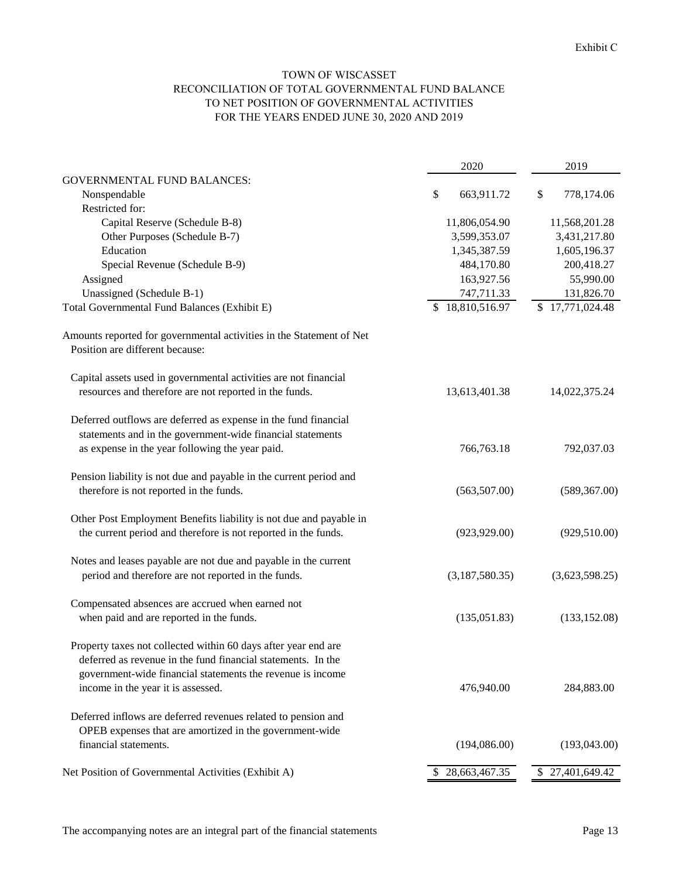# TOWN OF WISCASSET RECONCILIATION OF TOTAL GOVERNMENTAL FUND BALANCE TO NET POSITION OF GOVERNMENTAL ACTIVITIES FOR THE YEARS ENDED JUNE 30, 2020 AND 2019

|                                                                                                                               | 2020                | 2019             |
|-------------------------------------------------------------------------------------------------------------------------------|---------------------|------------------|
| <b>GOVERNMENTAL FUND BALANCES:</b>                                                                                            |                     |                  |
| Nonspendable                                                                                                                  | \$<br>663,911.72    | \$<br>778,174.06 |
| Restricted for:                                                                                                               |                     |                  |
| Capital Reserve (Schedule B-8)                                                                                                | 11,806,054.90       | 11,568,201.28    |
| Other Purposes (Schedule B-7)                                                                                                 | 3,599,353.07        | 3,431,217.80     |
| Education                                                                                                                     | 1,345,387.59        | 1,605,196.37     |
| Special Revenue (Schedule B-9)                                                                                                | 484,170.80          | 200,418.27       |
| Assigned                                                                                                                      | 163,927.56          | 55,990.00        |
| Unassigned (Schedule B-1)                                                                                                     | 747,711.33          | 131,826.70       |
| Total Governmental Fund Balances (Exhibit E)                                                                                  | \$<br>18,810,516.97 | \$17,771,024.48  |
| Amounts reported for governmental activities in the Statement of Net<br>Position are different because:                       |                     |                  |
|                                                                                                                               |                     |                  |
| Capital assets used in governmental activities are not financial<br>resources and therefore are not reported in the funds.    | 13,613,401.38       | 14,022,375.24    |
| Deferred outflows are deferred as expense in the fund financial<br>statements and in the government-wide financial statements |                     |                  |
| as expense in the year following the year paid.                                                                               | 766,763.18          | 792,037.03       |
| Pension liability is not due and payable in the current period and<br>therefore is not reported in the funds.                 | (563, 507.00)       | (589, 367.00)    |
|                                                                                                                               |                     |                  |
| Other Post Employment Benefits liability is not due and payable in                                                            |                     |                  |
| the current period and therefore is not reported in the funds.                                                                | (923, 929.00)       | (929, 510.00)    |
| Notes and leases payable are not due and payable in the current                                                               |                     |                  |
| period and therefore are not reported in the funds.                                                                           | (3,187,580.35)      | (3,623,598.25)   |
| Compensated absences are accrued when earned not                                                                              |                     |                  |
| when paid and are reported in the funds.                                                                                      | (135,051.83)        | (133, 152.08)    |
| Property taxes not collected within 60 days after year end are                                                                |                     |                  |
| deferred as revenue in the fund financial statements. In the                                                                  |                     |                  |
| government-wide financial statements the revenue is income                                                                    |                     |                  |
| income in the year it is assessed.                                                                                            | 476,940.00          | 284,883.00       |
| Deferred inflows are deferred revenues related to pension and                                                                 |                     |                  |
| OPEB expenses that are amortized in the government-wide                                                                       |                     |                  |
| financial statements.                                                                                                         | (194,086.00)        | (193, 043.00)    |
| Net Position of Governmental Activities (Exhibit A)                                                                           | \$28,663,467.35     | \$27,401,649.42  |
|                                                                                                                               |                     |                  |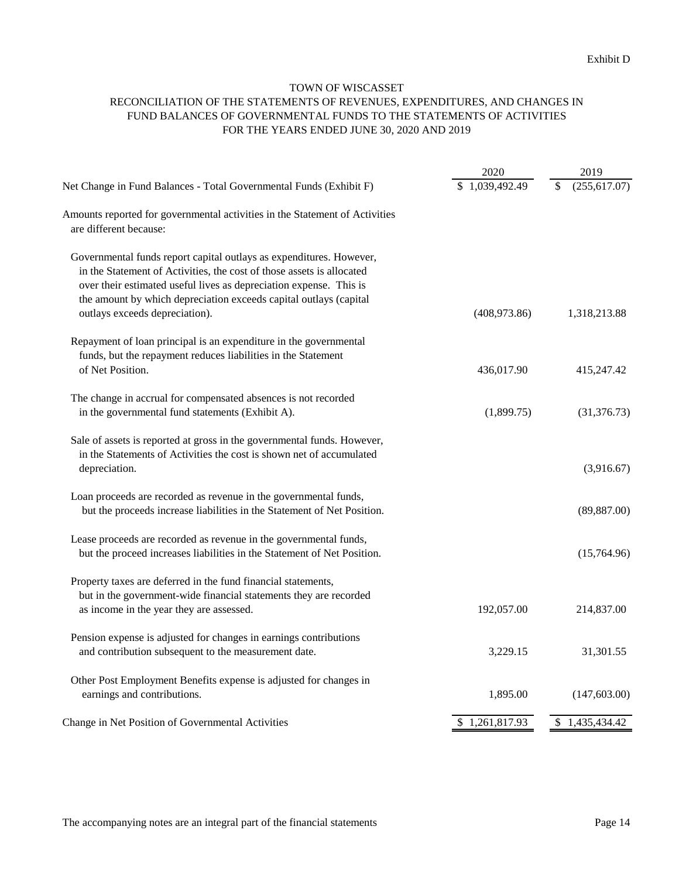# TOWN OF WISCASSET

# FOR THE YEARS ENDED JUNE 30, 2020 AND 2019 FUND BALANCES OF GOVERNMENTAL FUNDS TO THE STATEMENTS OF ACTIVITIES RECONCILIATION OF THE STATEMENTS OF REVENUES, EXPENDITURES, AND CHANGES IN

|                                                                                                                                                                                                                                                                                         | 2020               | 2019               |
|-----------------------------------------------------------------------------------------------------------------------------------------------------------------------------------------------------------------------------------------------------------------------------------------|--------------------|--------------------|
| Net Change in Fund Balances - Total Governmental Funds (Exhibit F)                                                                                                                                                                                                                      | 1,039,492.49<br>S. | (255, 617.07)<br>S |
| Amounts reported for governmental activities in the Statement of Activities<br>are different because:                                                                                                                                                                                   |                    |                    |
| Governmental funds report capital outlays as expenditures. However,<br>in the Statement of Activities, the cost of those assets is allocated<br>over their estimated useful lives as depreciation expense. This is<br>the amount by which depreciation exceeds capital outlays (capital |                    |                    |
| outlays exceeds depreciation).                                                                                                                                                                                                                                                          | (408, 973.86)      | 1,318,213.88       |
| Repayment of loan principal is an expenditure in the governmental<br>funds, but the repayment reduces liabilities in the Statement                                                                                                                                                      |                    |                    |
| of Net Position.                                                                                                                                                                                                                                                                        | 436,017.90         | 415,247.42         |
| The change in accrual for compensated absences is not recorded<br>in the governmental fund statements (Exhibit A).                                                                                                                                                                      | (1,899.75)         | (31, 376.73)       |
| Sale of assets is reported at gross in the governmental funds. However,<br>in the Statements of Activities the cost is shown net of accumulated<br>depreciation.                                                                                                                        |                    | (3,916.67)         |
| Loan proceeds are recorded as revenue in the governmental funds,<br>but the proceeds increase liabilities in the Statement of Net Position.                                                                                                                                             |                    | (89, 887.00)       |
| Lease proceeds are recorded as revenue in the governmental funds,<br>but the proceed increases liabilities in the Statement of Net Position.                                                                                                                                            |                    | (15,764.96)        |
| Property taxes are deferred in the fund financial statements,<br>but in the government-wide financial statements they are recorded                                                                                                                                                      |                    |                    |
| as income in the year they are assessed.                                                                                                                                                                                                                                                | 192,057.00         | 214,837.00         |
| Pension expense is adjusted for changes in earnings contributions<br>and contribution subsequent to the measurement date.                                                                                                                                                               | 3,229.15           | 31,301.55          |
| Other Post Employment Benefits expense is adjusted for changes in<br>earnings and contributions.                                                                                                                                                                                        | 1,895.00           | (147,603.00)       |
| Change in Net Position of Governmental Activities                                                                                                                                                                                                                                       | \$1,261,817.93     | \$1,435,434.42     |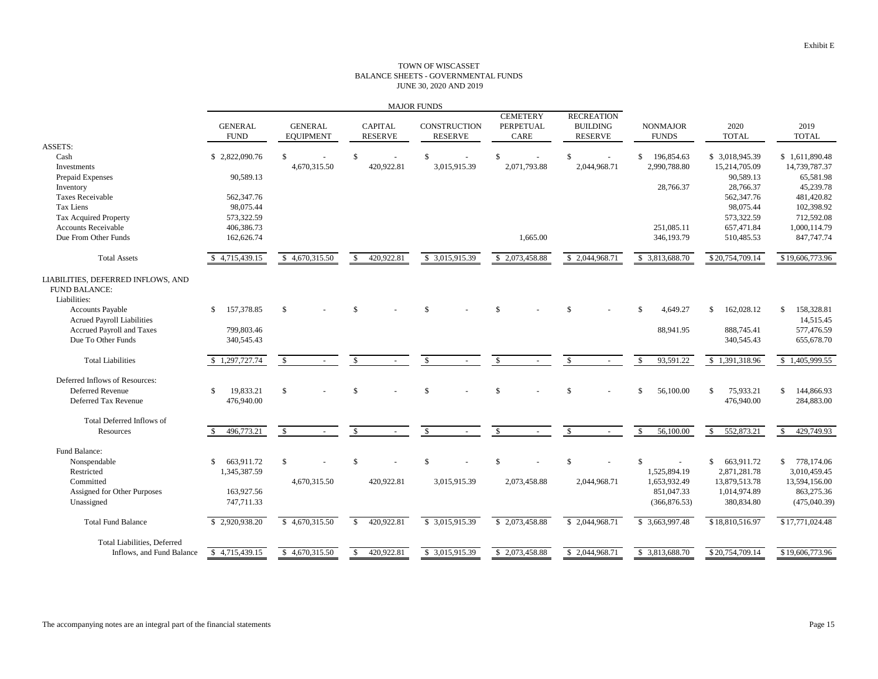#### TOWN OF WISCASSET BALANCE SHEETS - GOVERNMENTAL FUNDS JUNE 30, 2020 AND 2019

|                                                            |                               |                                    |                                  | <b>MAJOR FUNDS</b>                    |                                      |                                                        |                                   |                                  |                                 |
|------------------------------------------------------------|-------------------------------|------------------------------------|----------------------------------|---------------------------------------|--------------------------------------|--------------------------------------------------------|-----------------------------------|----------------------------------|---------------------------------|
|                                                            | <b>GENERAL</b><br><b>FUND</b> | <b>GENERAL</b><br><b>EQUIPMENT</b> | <b>CAPITAL</b><br><b>RESERVE</b> | <b>CONSTRUCTION</b><br><b>RESERVE</b> | <b>CEMETERY</b><br>PERPETUAL<br>CARE | <b>RECREATION</b><br><b>BUILDING</b><br><b>RESERVE</b> | <b>NONMAJOR</b><br><b>FUNDS</b>   | 2020<br><b>TOTAL</b>             | 2019<br><b>TOTAL</b>            |
| <b>ASSETS:</b>                                             |                               |                                    |                                  |                                       |                                      |                                                        |                                   |                                  |                                 |
| Cash<br>Investments                                        | \$2,822,090.76                | $\mathcal{S}$<br>4,670,315.50      | \$<br>420,922.81                 | S<br>3,015,915.39                     | 2,071,793.88                         | $\mathcal{L}$<br>2,044,968.71                          | 196,854.63<br>\$.<br>2,990,788.80 | \$ 3,018,945.39<br>15,214,705.09 | \$1.611.890.48<br>14,739,787.37 |
| Prepaid Expenses                                           | 90,589.13                     |                                    |                                  |                                       |                                      |                                                        |                                   | 90,589.13                        | 65,581.98                       |
| Inventory                                                  |                               |                                    |                                  |                                       |                                      |                                                        | 28,766.37                         | 28,766.37                        | 45,239.78                       |
| <b>Taxes Receivable</b>                                    | 562,347.76                    |                                    |                                  |                                       |                                      |                                                        |                                   | 562,347.76                       | 481,420.82                      |
| Tax Liens                                                  | 98,075.44                     |                                    |                                  |                                       |                                      |                                                        |                                   | 98,075.44                        | 102,398.92                      |
| <b>Tax Acquired Property</b>                               | 573,322.59                    |                                    |                                  |                                       |                                      |                                                        |                                   | 573,322.59                       | 712,592.08                      |
| <b>Accounts Receivable</b>                                 | 406,386.73                    |                                    |                                  |                                       |                                      |                                                        | 251,085.11                        | 657,471.84                       | 1,000,114.79                    |
| Due From Other Funds                                       | 162,626.74                    |                                    |                                  |                                       | 1,665.00                             |                                                        | 346,193.79                        | 510,485.53                       | 847,747.74                      |
| <b>Total Assets</b>                                        | 4,715,439.15<br>-S            | \$4,670,315.50                     | 420,922.81<br>$\mathbb{S}$       | \$ 3,015,915.39                       | \$2,073,458.88                       | \$2,044,968.71                                         | \$ 3,813,688.70                   | \$20,754,709.14                  | \$19,606,773.96                 |
| LIABILITIES, DEFERRED INFLOWS, AND<br><b>FUND BALANCE:</b> |                               |                                    |                                  |                                       |                                      |                                                        |                                   |                                  |                                 |
| Liabilities:                                               |                               |                                    |                                  |                                       |                                      |                                                        |                                   |                                  |                                 |
| <b>Accounts Payable</b>                                    | 157,378.85<br>\$              | S                                  | $\mathbf{\hat{S}}$               | S                                     |                                      | $\mathcal{L}$                                          | 4,649.27                          | 162,028.12<br>$\mathbb{S}$       | 158,328.81<br>\$                |
| <b>Acrued Payroll Liabilities</b>                          |                               |                                    |                                  |                                       |                                      |                                                        |                                   |                                  | 14,515.45                       |
| Accrued Payroll and Taxes                                  | 799,803.46                    |                                    |                                  |                                       |                                      |                                                        | 88,941.95                         | 888,745.41                       | 577,476.59                      |
| Due To Other Funds                                         | 340,545.43                    |                                    |                                  |                                       |                                      |                                                        |                                   | 340,545.43                       | 655,678.70                      |
| <b>Total Liabilities</b>                                   | \$1,297,727.74                | -S<br>$\sim$                       | $\mathbb{S}$<br>$\sim$           | $\mathcal{S}$<br>$\sim$               | $\mathbb{S}$<br>$\sim$               | $\mathbb{S}$<br>$\sim$                                 | 93,591.22<br>$\mathbb{S}$         | \$1,391,318.96                   | \$1,405,999.55                  |
| Deferred Inflows of Resources:                             |                               |                                    |                                  |                                       |                                      |                                                        |                                   |                                  |                                 |
| <b>Deferred Revenue</b>                                    | <sup>\$</sup><br>19,833.21    | <sup>\$</sup>                      | $\mathcal{S}$                    | $\mathcal{S}$                         |                                      | $\mathcal{S}$                                          | \$.<br>56,100.00                  | \$<br>75,933.21                  | \$<br>144,866.93                |
| Deferred Tax Revenue                                       | 476,940.00                    |                                    |                                  |                                       |                                      |                                                        |                                   | 476,940.00                       | 284,883.00                      |
| Total Deferred Inflows of                                  |                               |                                    |                                  |                                       |                                      |                                                        |                                   |                                  |                                 |
| Resources                                                  | 496,773.21<br>-S              | $\mathbb{S}$                       | $\mathbb{S}$                     | $\mathbb{S}$                          | $\mathbb{S}$<br>$\sim$               | $\mathbb{S}$                                           | 56,100.00<br>$\mathbb{S}$         | 552,873.21<br>$\mathbb{S}$       | 429,749.93<br>$\mathbb{S}$      |
| Fund Balance:                                              |                               |                                    |                                  |                                       |                                      |                                                        |                                   |                                  |                                 |
| Nonspendable                                               | 663.911.72<br>$\mathbb{S}$    | <sup>\$</sup>                      | $\mathcal{S}$                    | <sup>\$</sup>                         |                                      | $\mathbf{\hat{S}}$                                     |                                   | $\mathbb{S}$<br>663,911.72       | 778,174.06<br>$\mathbb{S}$      |
| Restricted                                                 | 1,345,387.59                  |                                    |                                  |                                       |                                      |                                                        | 1,525,894.19                      | 2,871,281.78                     | 3,010,459.45                    |
| Committed                                                  |                               | 4,670,315.50                       | 420,922.81                       | 3,015,915.39                          | 2,073,458.88                         | 2,044,968.71                                           | 1,653,932.49                      | 13,879,513.78                    | 13,594,156.00                   |
| Assigned for Other Purposes                                | 163,927.56                    |                                    |                                  |                                       |                                      |                                                        | 851,047.33                        | 1,014,974.89                     | 863,275.36                      |
| Unassigned                                                 | 747,711.33                    |                                    |                                  |                                       |                                      |                                                        | (366, 876.53)                     | 380,834.80                       | (475,040.39)                    |
| <b>Total Fund Balance</b>                                  | \$2,920,938.20                | \$4,670,315.50                     | $\mathbb{S}$<br>420,922.81       | \$ 3,015,915.39                       | \$2,073,458.88                       | \$2,044,968.71                                         | \$ 3,663,997.48                   | \$18,810,516.97                  | \$17,771,024.48                 |
| Total Liabilities, Deferred                                |                               |                                    |                                  |                                       |                                      |                                                        |                                   |                                  |                                 |
| Inflows, and Fund Balance                                  | \$4,715,439.15                | \$4,670,315.50                     | 420,922.81<br><sup>\$</sup>      | \$ 3,015,915.39                       | \$2,073,458.88                       | \$2,044,968.71                                         | \$3,813,688.70                    | \$20,754,709.14                  | \$19,606,773.96                 |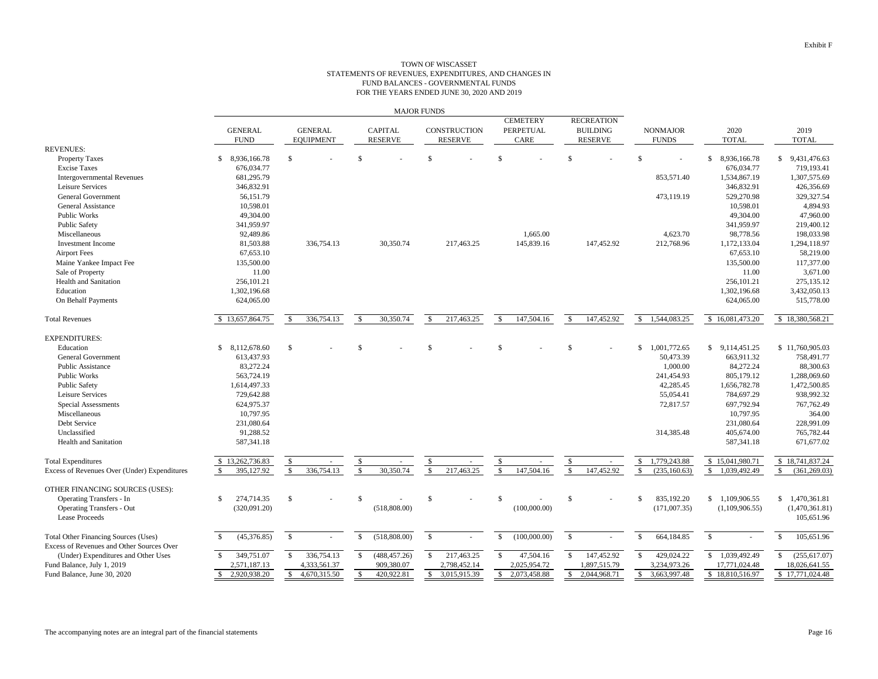#### TOWN OF WISCASSET STATEMENTS OF REVENUES, EXPENDITURES, AND CHANGES IN FUND BALANCES - GOVERNMENTAL FUNDS FOR THE YEARS ENDED JUNE 30, 2020 AND 2019

|                                                                                          |                               |                    |                                    |               | <b>MAJOR FUNDS</b>               |               |                                |                    |                                      |              |                                                        |               |                                 |                              |                                     |
|------------------------------------------------------------------------------------------|-------------------------------|--------------------|------------------------------------|---------------|----------------------------------|---------------|--------------------------------|--------------------|--------------------------------------|--------------|--------------------------------------------------------|---------------|---------------------------------|------------------------------|-------------------------------------|
|                                                                                          | <b>GENERAL</b><br><b>FUND</b> |                    | <b>GENERAL</b><br><b>EQUIPMENT</b> |               | <b>CAPITAL</b><br><b>RESERVE</b> |               | CONSTRUCTION<br><b>RESERVE</b> |                    | <b>CEMETERY</b><br>PERPETUAL<br>CARE |              | <b>RECREATION</b><br><b>BUILDING</b><br><b>RESERVE</b> |               | <b>NONMAJOR</b><br><b>FUNDS</b> | 2020<br><b>TOTAL</b>         | 2019<br><b>TOTAL</b>                |
| <b>REVENUES:</b>                                                                         |                               |                    |                                    |               |                                  |               |                                |                    |                                      |              |                                                        |               |                                 |                              |                                     |
| <b>Property Taxes</b>                                                                    | 8,936,166.78<br>£.            | <sup>\$</sup>      |                                    | £.            |                                  |               |                                |                    |                                      |              |                                                        | -S            |                                 | 8,936,166.78<br>\$           | 9,431,476.63<br>\$.                 |
| <b>Excise Taxes</b>                                                                      | 676,034.77                    |                    |                                    |               |                                  |               |                                |                    |                                      |              |                                                        |               |                                 | 676,034.77                   | 719,193.41                          |
| <b>Intergovernmental Revenues</b>                                                        | 681,295.79                    |                    |                                    |               |                                  |               |                                |                    |                                      |              |                                                        |               | 853,571.40                      | 1,534,867.19                 | 1,307,575.69                        |
| Leisure Services                                                                         | 346,832.91                    |                    |                                    |               |                                  |               |                                |                    |                                      |              |                                                        |               |                                 | 346,832.91                   | 426,356.69                          |
| <b>General Government</b>                                                                | 56,151.79                     |                    |                                    |               |                                  |               |                                |                    |                                      |              |                                                        |               | 473,119.19                      | 529,270.98                   | 329,327.54                          |
| General Assistance                                                                       | 10,598.01                     |                    |                                    |               |                                  |               |                                |                    |                                      |              |                                                        |               |                                 | 10,598.01                    | 4,894.93                            |
| Public Works                                                                             | 49,304.00                     |                    |                                    |               |                                  |               |                                |                    |                                      |              |                                                        |               |                                 | 49,304.00                    | 47,960.00                           |
| Public Safety                                                                            | 341,959.97                    |                    |                                    |               |                                  |               |                                |                    |                                      |              |                                                        |               |                                 | 341,959.97                   | 219,400.12                          |
| Miscellaneous                                                                            | 92,489.86                     |                    |                                    |               |                                  |               |                                |                    | 1.665.00                             |              |                                                        |               | 4,623.70                        | 98,778.56                    | 198,033.98                          |
| <b>Investment Income</b>                                                                 | 81,503.88                     |                    | 336,754.13                         |               | 30,350.74                        |               | 217,463.25                     |                    | 145,839.16                           |              | 147,452.92                                             |               | 212,768.96                      | 1,172,133.04                 | 1,294,118.97                        |
| <b>Airport Fees</b>                                                                      | 67,653.10                     |                    |                                    |               |                                  |               |                                |                    |                                      |              |                                                        |               |                                 | 67,653.10                    | 58,219.00                           |
| Maine Yankee Impact Fee                                                                  | 135,500.00                    |                    |                                    |               |                                  |               |                                |                    |                                      |              |                                                        |               |                                 | 135,500.00                   | 117,377.00                          |
| Sale of Property                                                                         | 11.00                         |                    |                                    |               |                                  |               |                                |                    |                                      |              |                                                        |               |                                 | 11.00                        | 3,671.00                            |
| Health and Sanitation                                                                    | 256,101.21                    |                    |                                    |               |                                  |               |                                |                    |                                      |              |                                                        |               |                                 | 256,101.21                   | 275,135.12                          |
| Education                                                                                | 1,302,196.68                  |                    |                                    |               |                                  |               |                                |                    |                                      |              |                                                        |               |                                 | 1,302,196.68                 | 3,432,050.13                        |
| On Behalf Payments                                                                       | 624,065.00                    |                    |                                    |               |                                  |               |                                |                    |                                      |              |                                                        |               |                                 | 624,065.00                   | 515,778.00                          |
| <b>Total Revenues</b>                                                                    | \$13,657,864.75               | - \$               | 336,754.13                         | -S            | 30,350.74                        | $\mathbf S$   | 217,463.25                     | $\mathbf{s}$       | 147,504.16                           | -S           | 147,452.92                                             | $\mathbb{S}$  | 1,544,083.25                    | \$16,081,473.20              | \$18,380,568.21                     |
| <b>EXPENDITURES:</b>                                                                     |                               |                    |                                    |               |                                  |               |                                |                    |                                      |              |                                                        |               |                                 |                              |                                     |
| Education                                                                                | \$ 8,112,678.60               | <sup>\$</sup>      |                                    | <b>S</b>      |                                  | -\$           |                                |                    |                                      | <b>S</b>     |                                                        |               | \$1,001,772.65                  | \$9,114,451.25               | \$11,760,905.03                     |
| General Government                                                                       | 613,437.93                    |                    |                                    |               |                                  |               |                                |                    |                                      |              |                                                        |               | 50,473.39                       | 663,911.32                   | 758,491.77                          |
| Public Assistance                                                                        | 83,272.24                     |                    |                                    |               |                                  |               |                                |                    |                                      |              |                                                        |               | 1,000.00                        | 84,272.24                    | 88,300.63                           |
| Public Works                                                                             | 563,724.19                    |                    |                                    |               |                                  |               |                                |                    |                                      |              |                                                        |               | 241,454.93                      | 805,179.12                   | 1,288,069.60                        |
| <b>Public Safety</b>                                                                     | 1,614,497.33                  |                    |                                    |               |                                  |               |                                |                    |                                      |              |                                                        |               | 42,285.45                       | 1,656,782.78                 | 1,472,500.85                        |
| Leisure Services                                                                         | 729,642.88                    |                    |                                    |               |                                  |               |                                |                    |                                      |              |                                                        |               | 55,054.41                       | 784,697.29                   | 938,992.32                          |
| Special Assessments                                                                      | 624,975.37                    |                    |                                    |               |                                  |               |                                |                    |                                      |              |                                                        |               | 72,817.57                       | 697,792.94                   | 767,762.49                          |
| Miscellaneous                                                                            | 10,797.95                     |                    |                                    |               |                                  |               |                                |                    |                                      |              |                                                        |               |                                 | 10,797.95                    | 364.00                              |
| Debt Service                                                                             | 231,080.64                    |                    |                                    |               |                                  |               |                                |                    |                                      |              |                                                        |               |                                 | 231,080.64                   | 228,991.09                          |
| Unclassified                                                                             | 91,288.52                     |                    |                                    |               |                                  |               |                                |                    |                                      |              |                                                        |               | 314,385.48                      | 405,674.00                   | 765,782.44                          |
| <b>Health and Sanitation</b>                                                             | 587,341.18                    |                    |                                    |               |                                  |               |                                |                    |                                      |              |                                                        |               |                                 | 587,341.18                   | 671,677.02                          |
| <b>Total Expenditures</b>                                                                | \$13,262,736.83               | $\mathbb{S}$       |                                    | $\mathbb{S}$  |                                  | -\$           |                                | \$                 |                                      | $\mathbb{S}$ |                                                        | $\mathbb{S}$  | 1,779,243.88                    | \$15,041,980.71              | \$18,741,837.24                     |
| Excess of Revenues Over (Under) Expenditures                                             | 395,127.92                    | $\mathbf{\hat{s}}$ | 336,754.13                         | $\mathcal{S}$ | 30,350.74                        | $\mathcal{S}$ | 217,463.25                     | $\mathbf{\hat{s}}$ | 147,504.16                           | $\mathbf{s}$ | 147,452.92                                             |               | (235, 160.63)                   | 1,039,492.49<br>$\mathbf{s}$ | $\mathbf{\hat{S}}$<br>(361, 269.03) |
| OTHER FINANCING SOURCES (USES):                                                          |                               |                    |                                    |               |                                  |               |                                |                    |                                      |              |                                                        |               |                                 |                              |                                     |
| Operating Transfers - In                                                                 | 274,714.35<br>$\mathbb{S}$    | $\mathbb{S}$       |                                    | $\mathbf S$   |                                  | $\mathcal{S}$ |                                | <sup>\$</sup>      |                                      | $\mathbb{S}$ |                                                        | $\mathbb{S}$  | 835,192.20                      | \$1,109,906.55               | \$1,470,361.81                      |
| <b>Operating Transfers - Out</b><br><b>Lease Proceeds</b>                                | (320,091.20)                  |                    |                                    |               | (518,808.00)                     |               |                                |                    | (100,000.00)                         |              |                                                        |               | (171,007.35)                    | (1,109,906.55)               | (1,470,361.81)<br>105,651.96        |
| <b>Total Other Financing Sources (Uses)</b><br>Excess of Revenues and Other Sources Over | $\mathcal{S}$<br>(45,376.85)  | $\mathbf{s}$       |                                    | $\mathbb{S}$  | (518,808.00)                     | $\mathbf{s}$  |                                | $\mathbf{s}$       | (100,000.00)                         | $\mathbf{s}$ |                                                        | $\mathbb{S}$  | 664,184.85                      | $\mathbf{\hat{s}}$           | 105,651.96<br>$\mathcal{S}$         |
| (Under) Expenditures and Other Uses                                                      | 349,751.07<br>- \$            | $\mathbf{s}$       | 336,754.13                         | <sup>\$</sup> | (488, 457.26)                    | <sup>\$</sup> | 217,463.25                     | s.                 | 47,504.16                            | S            | 147,452.92                                             | $\mathbb{S}$  | 429,024.22                      | 1,039,492.49<br>$\mathbb{S}$ | (255, 617.07)                       |
| Fund Balance, July 1, 2019                                                               | 2,571,187.13                  |                    | 4,333,561.37                       |               | 909,380.07                       |               | 2,798,452.14                   |                    | 2,025,954.72                         |              | 1,897,515.79                                           |               | 3,234,973.26                    | 17,771,024.48                | 18,026,641.55                       |
| Fund Balance, June 30, 2020                                                              | 2,920,938.20<br>$\mathcal{S}$ | $\mathbb{S}$       | 4,670,315.50                       | <sup>\$</sup> | 420,922.81                       | <sup>\$</sup> | 3,015,915.39                   | <sup>\$</sup>      | 2,073,458.88                         | £.           | 2,044,968.71                                           | $\mathcal{S}$ | 3,663,997.48                    | \$18,810,516.97              | \$17,771,024.48                     |
|                                                                                          |                               |                    |                                    |               |                                  |               |                                |                    |                                      |              |                                                        |               |                                 |                              |                                     |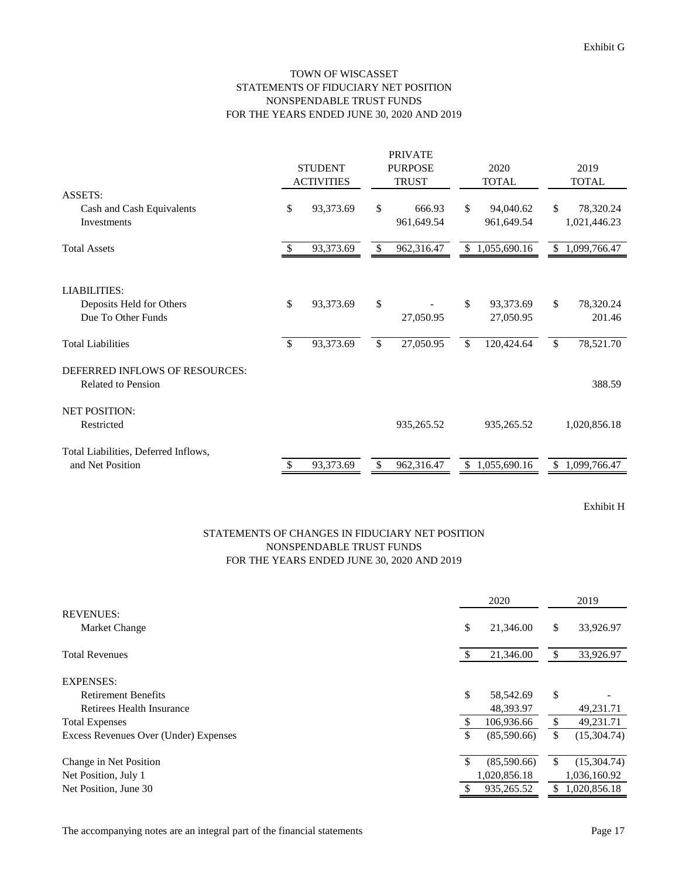# TOWN OF WISCASSET STATEMENTS OF FIDUCIARY NET POSITION NONSPENDABLE TRUST FUNDS FOR THE YEARS ENDED JUNE 30, 2020 AND 2019

|                                      |                   |              | <b>PRIVATE</b> |                    |                    |
|--------------------------------------|-------------------|--------------|----------------|--------------------|--------------------|
|                                      | <b>STUDENT</b>    |              | <b>PURPOSE</b> | 2020               | 2019               |
|                                      | <b>ACTIVITIES</b> |              | <b>TRUST</b>   | <b>TOTAL</b>       | <b>TOTAL</b>       |
| <b>ASSETS:</b>                       |                   |              |                |                    |                    |
| Cash and Cash Equivalents            | \$<br>93,373.69   | \$           | 666.93         | \$<br>94,040.62    | \$<br>78,320.24    |
| Investments                          |                   |              | 961,649.54     | 961,649.54         | 1,021,446.23       |
| <b>Total Assets</b>                  | 93,373.69         | \$           | 962,316.47     | \$<br>1,055,690.16 | \$<br>1,099,766.47 |
|                                      |                   |              |                |                    |                    |
| <b>LIABILITIES:</b>                  |                   |              |                |                    |                    |
| Deposits Held for Others             | \$<br>93,373.69   | \$           |                | \$<br>93,373.69    | \$<br>78,320.24    |
| Due To Other Funds                   |                   |              | 27,050.95      | 27,050.95          | 201.46             |
| <b>Total Liabilities</b>             | \$<br>93,373.69   | $\mathbb{S}$ | 27,050.95      | \$<br>120,424.64   | \$<br>78,521.70    |
| DEFERRED INFLOWS OF RESOURCES:       |                   |              |                |                    |                    |
| <b>Related to Pension</b>            |                   |              |                |                    | 388.59             |
| <b>NET POSITION:</b>                 |                   |              |                |                    |                    |
| Restricted                           |                   |              | 935,265.52     | 935,265.52         | 1,020,856.18       |
| Total Liabilities, Deferred Inflows, |                   |              |                |                    |                    |
| and Net Position                     | \$<br>93,373.69   | \$           | 962,316.47     | \$<br>1,055,690.16 | \$<br>1,099,766.47 |

Exhibit H

# STATEMENTS OF CHANGES IN FIDUCIARY NET POSITION NONSPENDABLE TRUST FUNDS FOR THE YEARS ENDED JUNE 30, 2020 AND 2019

|                                       |    | 2020         |     | 2019         |
|---------------------------------------|----|--------------|-----|--------------|
| <b>REVENUES:</b><br>Market Change     | \$ | 21,346.00    | \$. | 33,926.97    |
| <b>Total Revenues</b>                 |    | 21,346.00    |     | 33,926.97    |
| <b>EXPENSES:</b>                      |    |              |     |              |
| <b>Retirement Benefits</b>            | \$ | 58,542.69    | \$  |              |
| Retirees Health Insurance             |    | 48,393.97    |     | 49,231.71    |
| <b>Total Expenses</b>                 |    | 106,936.66   |     | 49,231.71    |
| Excess Revenues Over (Under) Expenses | S  | (85,590.66)  | \$. | (15,304.74)  |
| Change in Net Position                | \$ | (85,590.66)  | \$  | (15,304.74)  |
| Net Position, July 1                  |    | 1,020,856.18 |     | 1,036,160.92 |
| Net Position, June 30                 |    | 935,265.52   | S.  | 1,020,856.18 |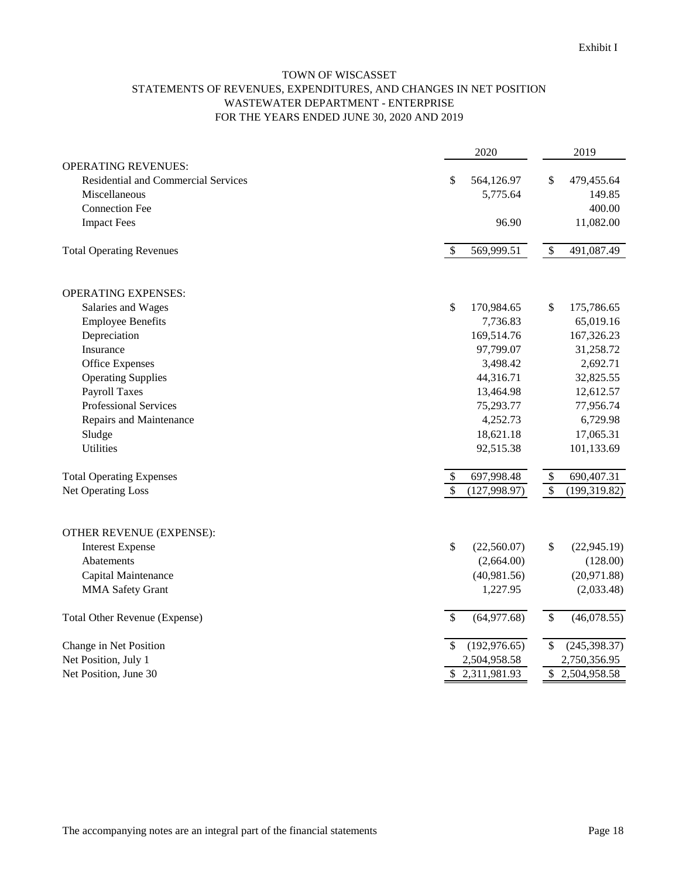# TOWN OF WISCASSET STATEMENTS OF REVENUES, EXPENDITURES, AND CHANGES IN NET POSITION WASTEWATER DEPARTMENT - ENTERPRISE FOR THE YEARS ENDED JUNE 30, 2020 AND 2019

|                                            |               | 2020          | 2019                      |               |  |
|--------------------------------------------|---------------|---------------|---------------------------|---------------|--|
| <b>OPERATING REVENUES:</b>                 |               |               |                           |               |  |
| <b>Residential and Commercial Services</b> | \$            | 564,126.97    | \$                        | 479,455.64    |  |
| Miscellaneous                              |               | 5,775.64      |                           | 149.85        |  |
| <b>Connection Fee</b>                      |               |               |                           | 400.00        |  |
| <b>Impact Fees</b>                         |               | 96.90         |                           | 11,082.00     |  |
| <b>Total Operating Revenues</b>            | $\mathcal{S}$ | 569,999.51    | $\boldsymbol{\mathsf{S}}$ | 491,087.49    |  |
|                                            |               |               |                           |               |  |
| <b>OPERATING EXPENSES:</b>                 |               |               |                           |               |  |
| Salaries and Wages                         | \$            | 170,984.65    | \$                        | 175,786.65    |  |
| <b>Employee Benefits</b>                   |               | 7,736.83      |                           | 65,019.16     |  |
| Depreciation                               |               | 169,514.76    |                           | 167,326.23    |  |
| Insurance                                  |               | 97,799.07     |                           | 31,258.72     |  |
| Office Expenses                            |               | 3,498.42      |                           | 2,692.71      |  |
| <b>Operating Supplies</b>                  |               | 44,316.71     |                           | 32,825.55     |  |
| <b>Payroll Taxes</b>                       |               | 13,464.98     |                           | 12,612.57     |  |
| Professional Services                      |               | 75,293.77     |                           | 77,956.74     |  |
| Repairs and Maintenance                    |               | 4,252.73      |                           | 6,729.98      |  |
| Sludge                                     |               | 18,621.18     |                           | 17,065.31     |  |
| <b>Utilities</b>                           |               | 92,515.38     |                           | 101,133.69    |  |
| <b>Total Operating Expenses</b>            | $\mathcal{S}$ | 697,998.48    | \$                        | 690,407.31    |  |
| Net Operating Loss                         | $\mathcal{S}$ | (127,998.97)  | $\mathcal{S}$             | (199, 319.82) |  |
| OTHER REVENUE (EXPENSE):                   |               |               |                           |               |  |
| <b>Interest Expense</b>                    | \$            | (22,560.07)   | \$                        | (22, 945.19)  |  |
| Abatements                                 |               | (2,664.00)    |                           | (128.00)      |  |
| Capital Maintenance                        |               | (40,981.56)   |                           | (20, 971.88)  |  |
| <b>MMA Safety Grant</b>                    |               | 1,227.95      |                           | (2,033.48)    |  |
| Total Other Revenue (Expense)              | $\mathcal{S}$ | (64, 977.68)  | \$                        | (46,078.55)   |  |
| Change in Net Position                     | \$            | (192, 976.65) | \$                        | (245, 398.37) |  |
| Net Position, July 1                       |               | 2,504,958.58  |                           | 2,750,356.95  |  |
| Net Position, June 30                      | \$            | 2,311,981.93  | \$                        | 2,504,958.58  |  |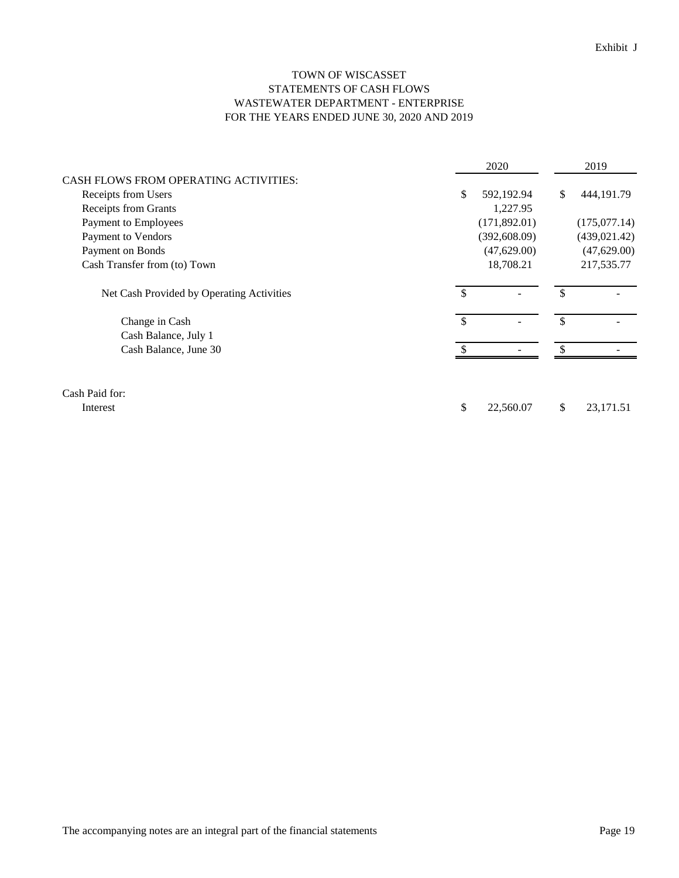# TOWN OF WISCASSET STATEMENTS OF CASH FLOWS WASTEWATER DEPARTMENT - ENTERPRISE FOR THE YEARS ENDED JUNE 30, 2020 AND 2019

|                                              |               | 2020          |     | 2019          |  |
|----------------------------------------------|---------------|---------------|-----|---------------|--|
| <b>CASH FLOWS FROM OPERATING ACTIVITIES:</b> |               |               |     |               |  |
| Receipts from Users                          | \$            | 592,192.94    | S.  | 444,191.79    |  |
| Receipts from Grants                         |               | 1,227.95      |     |               |  |
| Payment to Employees                         |               | (171,892.01)  |     | (175,077.14)  |  |
| Payment to Vendors                           |               | (392, 608.09) |     | (439, 021.42) |  |
| Payment on Bonds                             |               | (47,629.00)   |     | (47,629.00)   |  |
| Cash Transfer from (to) Town                 |               | 18,708.21     |     | 217,535.77    |  |
| Net Cash Provided by Operating Activities    | <sup>\$</sup> |               | \$  |               |  |
| Change in Cash                               | $\mathcal{S}$ |               | \$  |               |  |
| Cash Balance, July 1                         |               |               |     |               |  |
| Cash Balance, June 30                        |               |               | \$. |               |  |
|                                              |               |               |     |               |  |
| Cash Paid for:                               |               |               |     |               |  |
| Interest                                     | \$            | 22,560.07     | \$  | 23,171.51     |  |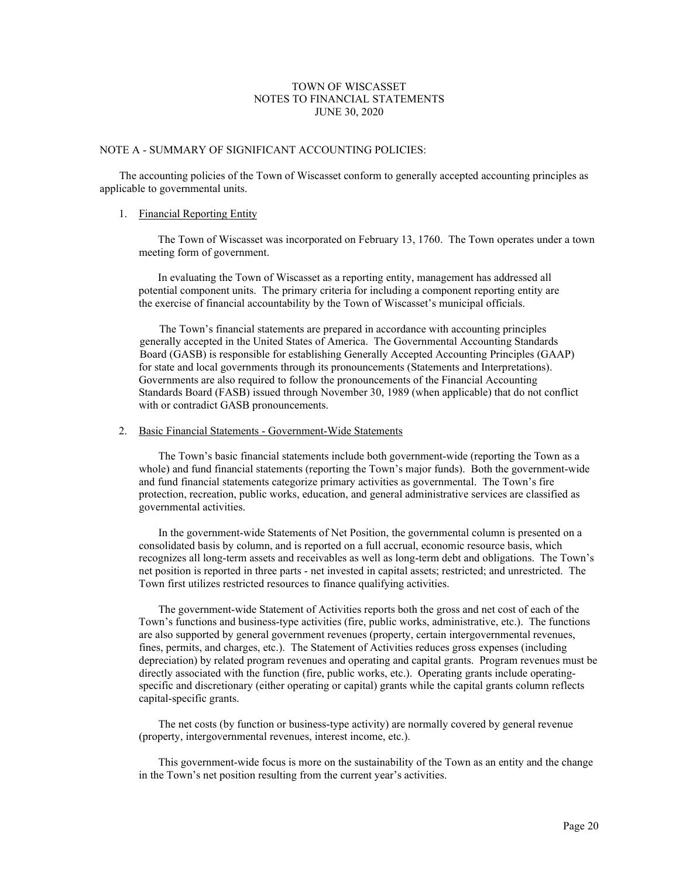#### NOTE A - SUMMARY OF SIGNIFICANT ACCOUNTING POLICIES:

 The accounting policies of the Town of Wiscasset conform to generally accepted accounting principles as applicable to governmental units.

#### 1. Financial Reporting Entity

The Town of Wiscasset was incorporated on February 13, 1760. The Town operates under a town meeting form of government.

 In evaluating the Town of Wiscasset as a reporting entity, management has addressed all potential component units. The primary criteria for including a component reporting entity are the exercise of financial accountability by the Town of Wiscasset's municipal officials.

 The Town's financial statements are prepared in accordance with accounting principles generally accepted in the United States of America. The Governmental Accounting Standards Board (GASB) is responsible for establishing Generally Accepted Accounting Principles (GAAP) for state and local governments through its pronouncements (Statements and Interpretations). Governments are also required to follow the pronouncements of the Financial Accounting Standards Board (FASB) issued through November 30, 1989 (when applicable) that do not conflict with or contradict GASB pronouncements.

#### 2. Basic Financial Statements - Government-Wide Statements

 The Town's basic financial statements include both government-wide (reporting the Town as a whole) and fund financial statements (reporting the Town's major funds). Both the government-wide and fund financial statements categorize primary activities as governmental. The Town's fire protection, recreation, public works, education, and general administrative services are classified as governmental activities.

 In the government-wide Statements of Net Position, the governmental column is presented on a consolidated basis by column, and is reported on a full accrual, economic resource basis, which recognizes all long-term assets and receivables as well as long-term debt and obligations. The Town's net position is reported in three parts - net invested in capital assets; restricted; and unrestricted. The Town first utilizes restricted resources to finance qualifying activities.

 The government-wide Statement of Activities reports both the gross and net cost of each of the Town's functions and business-type activities (fire, public works, administrative, etc.). The functions are also supported by general government revenues (property, certain intergovernmental revenues, fines, permits, and charges, etc.). The Statement of Activities reduces gross expenses (including depreciation) by related program revenues and operating and capital grants. Program revenues must be directly associated with the function (fire, public works, etc.). Operating grants include operatingspecific and discretionary (either operating or capital) grants while the capital grants column reflects capital-specific grants.

 The net costs (by function or business-type activity) are normally covered by general revenue (property, intergovernmental revenues, interest income, etc.).

 This government-wide focus is more on the sustainability of the Town as an entity and the change in the Town's net position resulting from the current year's activities.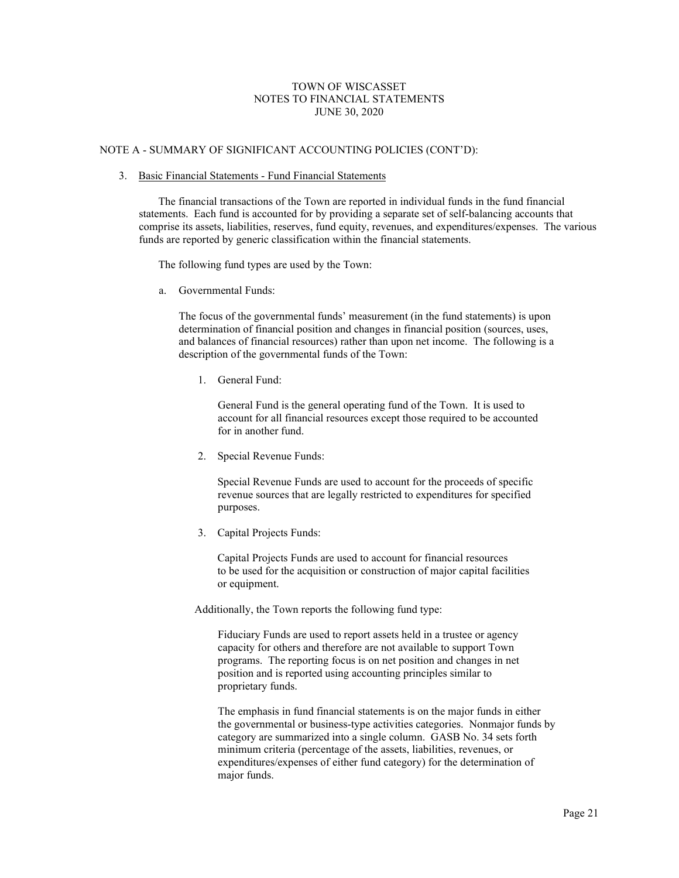# NOTE A - SUMMARY OF SIGNIFICANT ACCOUNTING POLICIES (CONT'D):

#### 3. Basic Financial Statements - Fund Financial Statements

 The financial transactions of the Town are reported in individual funds in the fund financial statements. Each fund is accounted for by providing a separate set of self-balancing accounts that comprise its assets, liabilities, reserves, fund equity, revenues, and expenditures/expenses. The various funds are reported by generic classification within the financial statements.

The following fund types are used by the Town:

a. Governmental Funds:

The focus of the governmental funds' measurement (in the fund statements) is upon determination of financial position and changes in financial position (sources, uses, and balances of financial resources) rather than upon net income. The following is a description of the governmental funds of the Town:

1. General Fund:

General Fund is the general operating fund of the Town. It is used to account for all financial resources except those required to be accounted for in another fund.

2. Special Revenue Funds:

Special Revenue Funds are used to account for the proceeds of specific revenue sources that are legally restricted to expenditures for specified purposes.

3. Capital Projects Funds:

Capital Projects Funds are used to account for financial resources to be used for the acquisition or construction of major capital facilities or equipment.

Additionally, the Town reports the following fund type:

Fiduciary Funds are used to report assets held in a trustee or agency capacity for others and therefore are not available to support Town programs. The reporting focus is on net position and changes in net position and is reported using accounting principles similar to proprietary funds.

The emphasis in fund financial statements is on the major funds in either the governmental or business-type activities categories. Nonmajor funds by category are summarized into a single column. GASB No. 34 sets forth minimum criteria (percentage of the assets, liabilities, revenues, or expenditures/expenses of either fund category) for the determination of major funds.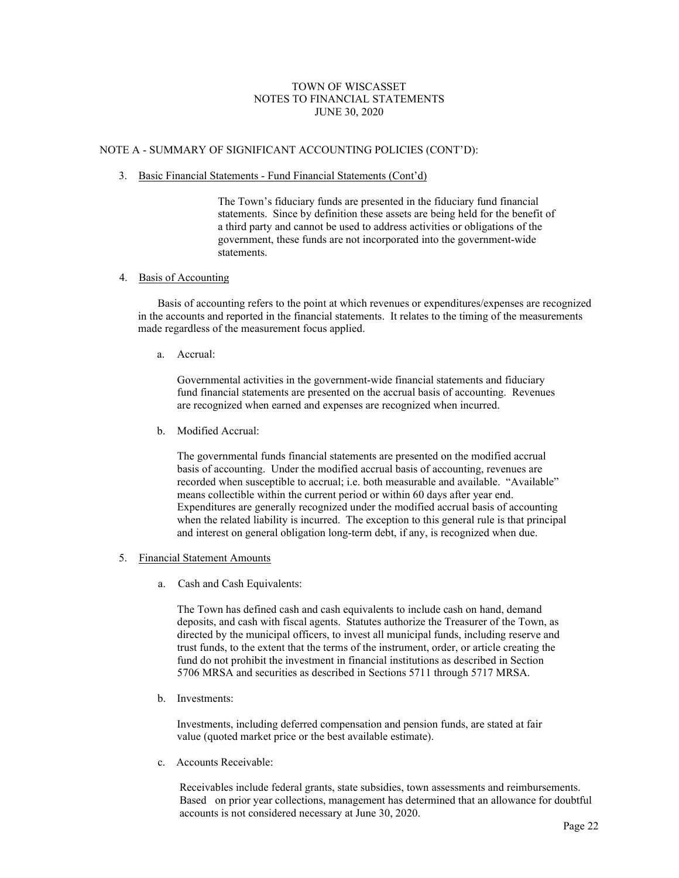# NOTE A - SUMMARY OF SIGNIFICANT ACCOUNTING POLICIES (CONT'D):

#### 3. Basic Financial Statements - Fund Financial Statements (Cont'd)

The Town's fiduciary funds are presented in the fiduciary fund financial statements. Since by definition these assets are being held for the benefit of a third party and cannot be used to address activities or obligations of the government, these funds are not incorporated into the government-wide statements.

#### 4. Basis of Accounting

 Basis of accounting refers to the point at which revenues or expenditures/expenses are recognized in the accounts and reported in the financial statements. It relates to the timing of the measurements made regardless of the measurement focus applied.

a. Accrual:

Governmental activities in the government-wide financial statements and fiduciary fund financial statements are presented on the accrual basis of accounting. Revenues are recognized when earned and expenses are recognized when incurred.

b. Modified Accrual:

The governmental funds financial statements are presented on the modified accrual basis of accounting. Under the modified accrual basis of accounting, revenues are recorded when susceptible to accrual; i.e. both measurable and available. "Available" means collectible within the current period or within 60 days after year end. Expenditures are generally recognized under the modified accrual basis of accounting when the related liability is incurred. The exception to this general rule is that principal and interest on general obligation long-term debt, if any, is recognized when due.

### 5. Financial Statement Amounts

a. Cash and Cash Equivalents:

The Town has defined cash and cash equivalents to include cash on hand, demand deposits, and cash with fiscal agents. Statutes authorize the Treasurer of the Town, as directed by the municipal officers, to invest all municipal funds, including reserve and trust funds, to the extent that the terms of the instrument, order, or article creating the fund do not prohibit the investment in financial institutions as described in Section 5706 MRSA and securities as described in Sections 5711 through 5717 MRSA.

b. Investments:

 Investments, including deferred compensation and pension funds, are stated at fair value (quoted market price or the best available estimate).

c. Accounts Receivable:

Receivables include federal grants, state subsidies, town assessments and reimbursements. Based on prior year collections, management has determined that an allowance for doubtful accounts is not considered necessary at June 30, 2020.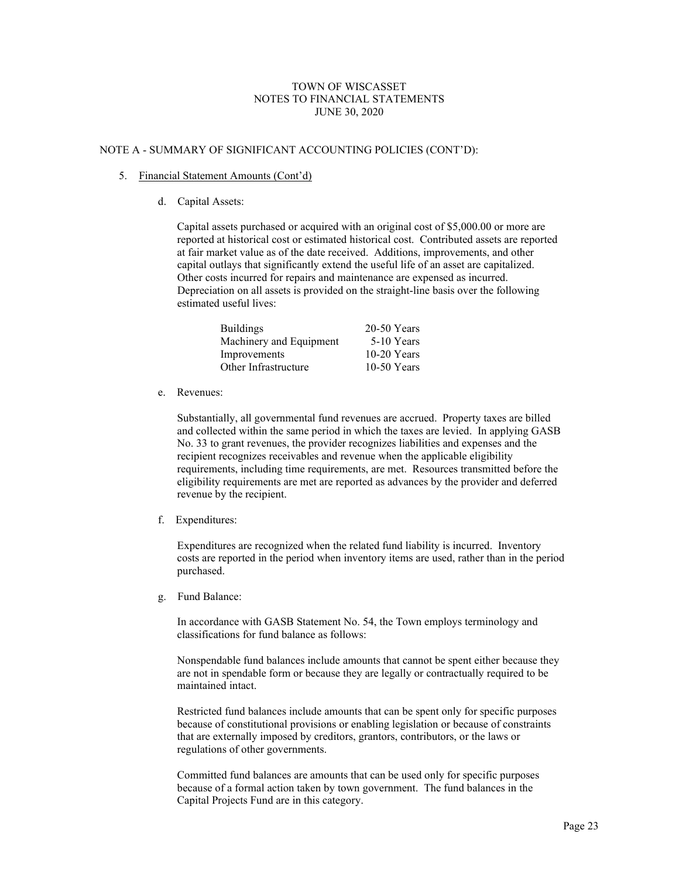# NOTE A - SUMMARY OF SIGNIFICANT ACCOUNTING POLICIES (CONT'D):

### 5. Financial Statement Amounts (Cont'd)

d. Capital Assets:

Capital assets purchased or acquired with an original cost of \$5,000.00 or more are reported at historical cost or estimated historical cost. Contributed assets are reported at fair market value as of the date received. Additions, improvements, and other capital outlays that significantly extend the useful life of an asset are capitalized. Other costs incurred for repairs and maintenance are expensed as incurred. Depreciation on all assets is provided on the straight-line basis over the following estimated useful lives:

| <b>Buildings</b>        | 20-50 Years   |
|-------------------------|---------------|
| Machinery and Equipment | 5-10 Years    |
| Improvements            | $10-20$ Years |
| Other Infrastructure    | $10-50$ Years |

e. Revenues:

Substantially, all governmental fund revenues are accrued. Property taxes are billed and collected within the same period in which the taxes are levied. In applying GASB No. 33 to grant revenues, the provider recognizes liabilities and expenses and the recipient recognizes receivables and revenue when the applicable eligibility requirements, including time requirements, are met. Resources transmitted before the eligibility requirements are met are reported as advances by the provider and deferred revenue by the recipient.

f. Expenditures:

Expenditures are recognized when the related fund liability is incurred. Inventory costs are reported in the period when inventory items are used, rather than in the period purchased.

g. Fund Balance:

In accordance with GASB Statement No. 54, the Town employs terminology and classifications for fund balance as follows:

Nonspendable fund balances include amounts that cannot be spent either because they are not in spendable form or because they are legally or contractually required to be maintained intact.

Restricted fund balances include amounts that can be spent only for specific purposes because of constitutional provisions or enabling legislation or because of constraints that are externally imposed by creditors, grantors, contributors, or the laws or regulations of other governments.

Committed fund balances are amounts that can be used only for specific purposes because of a formal action taken by town government. The fund balances in the Capital Projects Fund are in this category.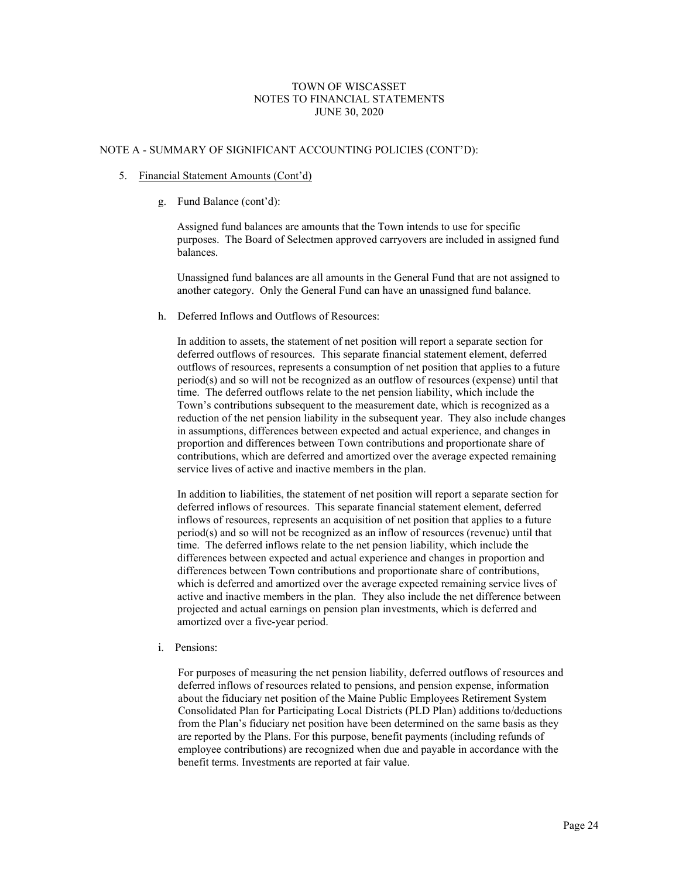# NOTE A - SUMMARY OF SIGNIFICANT ACCOUNTING POLICIES (CONT'D):

### 5. Financial Statement Amounts (Cont'd)

g. Fund Balance (cont'd):

Assigned fund balances are amounts that the Town intends to use for specific purposes. The Board of Selectmen approved carryovers are included in assigned fund balances.

Unassigned fund balances are all amounts in the General Fund that are not assigned to another category. Only the General Fund can have an unassigned fund balance.

h. Deferred Inflows and Outflows of Resources:

In addition to assets, the statement of net position will report a separate section for deferred outflows of resources. This separate financial statement element, deferred outflows of resources, represents a consumption of net position that applies to a future period(s) and so will not be recognized as an outflow of resources (expense) until that time. The deferred outflows relate to the net pension liability, which include the Town's contributions subsequent to the measurement date, which is recognized as a reduction of the net pension liability in the subsequent year. They also include changes in assumptions, differences between expected and actual experience, and changes in proportion and differences between Town contributions and proportionate share of contributions, which are deferred and amortized over the average expected remaining service lives of active and inactive members in the plan.

In addition to liabilities, the statement of net position will report a separate section for deferred inflows of resources. This separate financial statement element, deferred inflows of resources, represents an acquisition of net position that applies to a future period(s) and so will not be recognized as an inflow of resources (revenue) until that time. The deferred inflows relate to the net pension liability, which include the differences between expected and actual experience and changes in proportion and differences between Town contributions and proportionate share of contributions, which is deferred and amortized over the average expected remaining service lives of active and inactive members in the plan. They also include the net difference between projected and actual earnings on pension plan investments, which is deferred and amortized over a five-year period.

i. Pensions:

For purposes of measuring the net pension liability, deferred outflows of resources and deferred inflows of resources related to pensions, and pension expense, information about the fiduciary net position of the Maine Public Employees Retirement System Consolidated Plan for Participating Local Districts (PLD Plan) additions to/deductions from the Plan's fiduciary net position have been determined on the same basis as they are reported by the Plans. For this purpose, benefit payments (including refunds of employee contributions) are recognized when due and payable in accordance with the benefit terms. Investments are reported at fair value.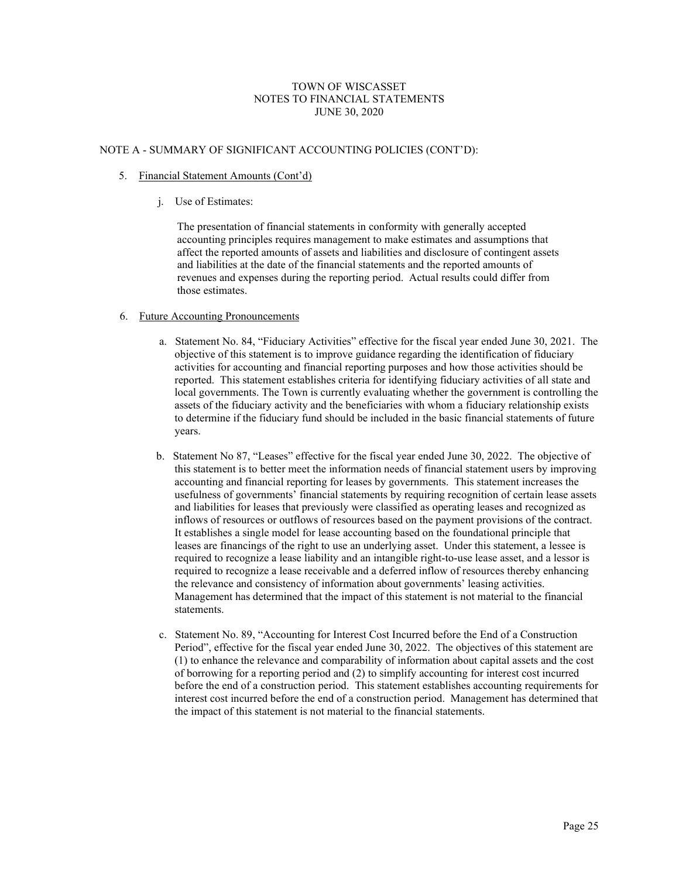# NOTE A - SUMMARY OF SIGNIFICANT ACCOUNTING POLICIES (CONT'D):

### 5. Financial Statement Amounts (Cont'd)

j. Use of Estimates:

The presentation of financial statements in conformity with generally accepted accounting principles requires management to make estimates and assumptions that affect the reported amounts of assets and liabilities and disclosure of contingent assets and liabilities at the date of the financial statements and the reported amounts of revenues and expenses during the reporting period. Actual results could differ from those estimates.

### 6. Future Accounting Pronouncements

- a. Statement No. 84, "Fiduciary Activities" effective for the fiscal year ended June 30, 2021. The objective of this statement is to improve guidance regarding the identification of fiduciary activities for accounting and financial reporting purposes and how those activities should be reported. This statement establishes criteria for identifying fiduciary activities of all state and local governments. The Town is currently evaluating whether the government is controlling the assets of the fiduciary activity and the beneficiaries with whom a fiduciary relationship exists to determine if the fiduciary fund should be included in the basic financial statements of future years.
- b. Statement No 87, "Leases" effective for the fiscal year ended June 30, 2022. The objective of this statement is to better meet the information needs of financial statement users by improving accounting and financial reporting for leases by governments. This statement increases the usefulness of governments' financial statements by requiring recognition of certain lease assets and liabilities for leases that previously were classified as operating leases and recognized as inflows of resources or outflows of resources based on the payment provisions of the contract. It establishes a single model for lease accounting based on the foundational principle that leases are financings of the right to use an underlying asset. Under this statement, a lessee is required to recognize a lease liability and an intangible right-to-use lease asset, and a lessor is required to recognize a lease receivable and a deferred inflow of resources thereby enhancing the relevance and consistency of information about governments' leasing activities. Management has determined that the impact of this statement is not material to the financial statements.
- c. Statement No. 89, "Accounting for Interest Cost Incurred before the End of a Construction Period", effective for the fiscal year ended June 30, 2022. The objectives of this statement are (1) to enhance the relevance and comparability of information about capital assets and the cost of borrowing for a reporting period and (2) to simplify accounting for interest cost incurred before the end of a construction period. This statement establishes accounting requirements for interest cost incurred before the end of a construction period. Management has determined that the impact of this statement is not material to the financial statements.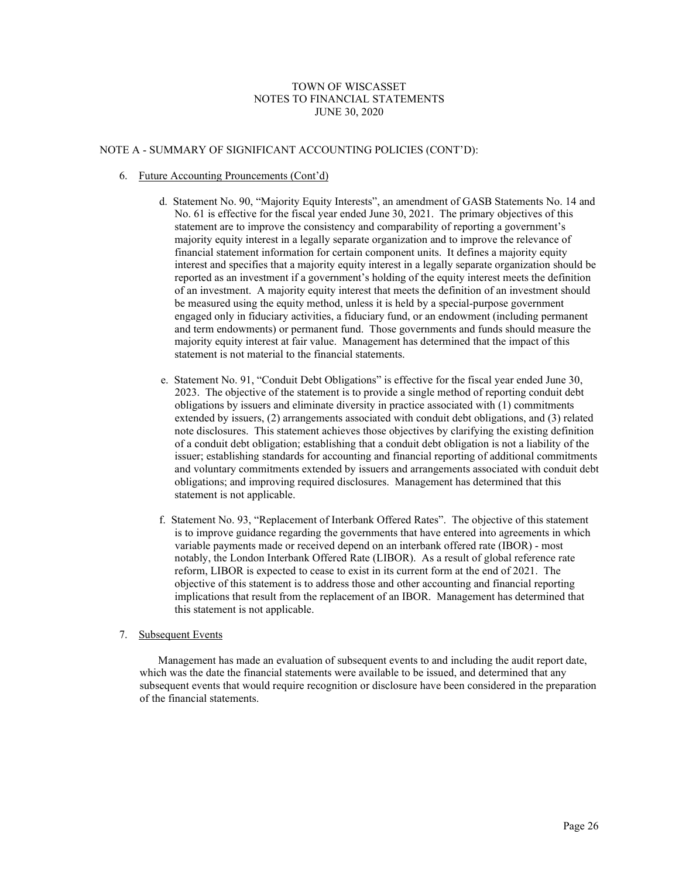# NOTE A - SUMMARY OF SIGNIFICANT ACCOUNTING POLICIES (CONT'D):

# 6. Future Accounting Prouncements (Cont'd)

- d. Statement No. 90, "Majority Equity Interests", an amendment of GASB Statements No. 14 and No. 61 is effective for the fiscal year ended June 30, 2021. The primary objectives of this statement are to improve the consistency and comparability of reporting a government's majority equity interest in a legally separate organization and to improve the relevance of financial statement information for certain component units. It defines a majority equity interest and specifies that a majority equity interest in a legally separate organization should be reported as an investment if a government's holding of the equity interest meets the definition of an investment. A majority equity interest that meets the definition of an investment should be measured using the equity method, unless it is held by a special-purpose government engaged only in fiduciary activities, a fiduciary fund, or an endowment (including permanent and term endowments) or permanent fund. Those governments and funds should measure the majority equity interest at fair value. Management has determined that the impact of this statement is not material to the financial statements.
- e. Statement No. 91, "Conduit Debt Obligations" is effective for the fiscal year ended June 30, 2023. The objective of the statement is to provide a single method of reporting conduit debt obligations by issuers and eliminate diversity in practice associated with (1) commitments extended by issuers, (2) arrangements associated with conduit debt obligations, and (3) related note disclosures. This statement achieves those objectives by clarifying the existing definition of a conduit debt obligation; establishing that a conduit debt obligation is not a liability of the issuer; establishing standards for accounting and financial reporting of additional commitments and voluntary commitments extended by issuers and arrangements associated with conduit debt obligations; and improving required disclosures. Management has determined that this statement is not applicable.
- f. Statement No. 93, "Replacement of Interbank Offered Rates". The objective of this statement is to improve guidance regarding the governments that have entered into agreements in which variable payments made or received depend on an interbank offered rate (IBOR) - most notably, the London Interbank Offered Rate (LIBOR). As a result of global reference rate reform, LIBOR is expected to cease to exist in its current form at the end of 2021. The objective of this statement is to address those and other accounting and financial reporting implications that result from the replacement of an IBOR. Management has determined that this statement is not applicable.

### 7. Subsequent Events

 Management has made an evaluation of subsequent events to and including the audit report date, which was the date the financial statements were available to be issued, and determined that any subsequent events that would require recognition or disclosure have been considered in the preparation of the financial statements.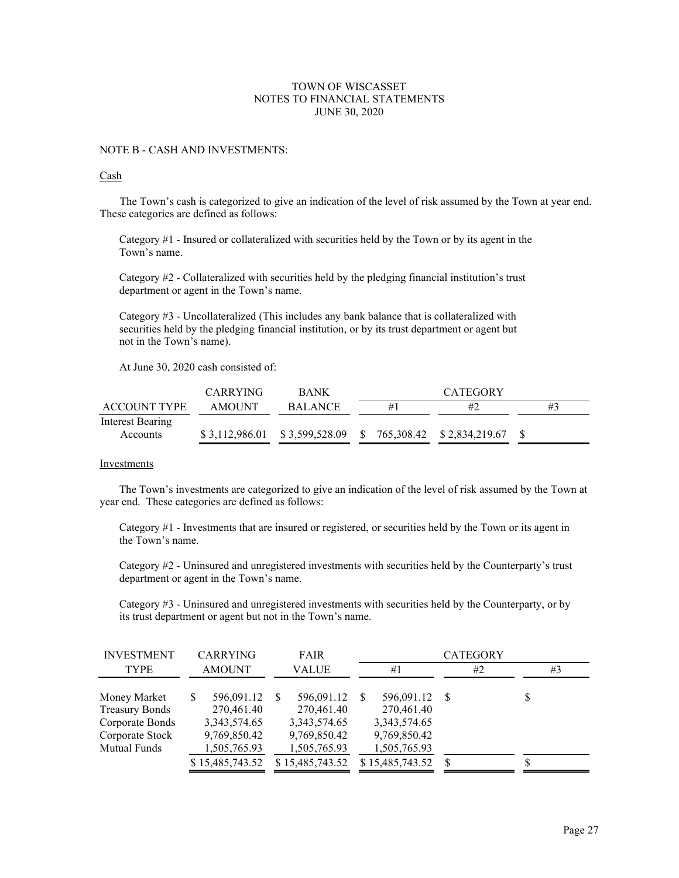# NOTE B - CASH AND INVESTMENTS:

### Cash

The Town's cash is categorized to give an indication of the level of risk assumed by the Town at year end. These categories are defined as follows:

 Category #1 - Insured or collateralized with securities held by the Town or by its agent in the Town's name.

 Category #2 - Collateralized with securities held by the pledging financial institution's trust department or agent in the Town's name.

 Category #3 - Uncollateralized (This includes any bank balance that is collateralized with securities held by the pledging financial institution, or by its trust department or agent but not in the Town's name).

At June 30, 2020 cash consisted of:

|                  | <b>CARRYING</b> | <b>BANK</b>    | <b>CATEGORY</b> |    |                                   |  |    |
|------------------|-----------------|----------------|-----------------|----|-----------------------------------|--|----|
| ACCOUNT TYPE     | AMOUNT          | <b>BALANCE</b> |                 | #1 | #2                                |  | #3 |
| Interest Bearing |                 |                |                 |    |                                   |  |    |
| Accounts         | \$3.112.986.01  | \$3,599,528.09 |                 |    | $$765,308.42 \quad $2,834,219.67$ |  |    |

### **Investments**

 The Town's investments are categorized to give an indication of the level of risk assumed by the Town at year end. These categories are defined as follows:

 Category #1 - Investments that are insured or registered, or securities held by the Town or its agent in the Town's name.

 Category #2 - Uninsured and unregistered investments with securities held by the Counterparty's trust department or agent in the Town's name.

 Category #3 - Uninsured and unregistered investments with securities held by the Counterparty, or by its trust department or agent but not in the Town's name.

| <b>INVESTMENT</b>                                                                                  | <b>CARRYING</b>                                                                      | <b>FAIR</b>                                                              |                                                                             | <b>CATEGORY</b> |    |
|----------------------------------------------------------------------------------------------------|--------------------------------------------------------------------------------------|--------------------------------------------------------------------------|-----------------------------------------------------------------------------|-----------------|----|
| <b>TYPE</b>                                                                                        | <b>AMOUNT</b>                                                                        | <b>VALUE</b>                                                             | #1                                                                          | #2              | #3 |
| Money Market<br><b>Treasury Bonds</b><br>Corporate Bonds<br>Corporate Stock<br><b>Mutual Funds</b> | 596,091.12<br><b>S</b><br>270,461.40<br>3,343,574.65<br>9,769,850.42<br>1,505,765.93 | 596,091.12<br>270,461.40<br>3,343,574.65<br>9,769,850.42<br>1,505,765.93 | 596,091.12<br>270,461.40<br>3, 343, 574. 65<br>9,769,850.42<br>1,505,765.93 | - S             |    |
|                                                                                                    | \$15,485,743.52                                                                      | \$15,485,743.52                                                          | \$15,485,743.52                                                             |                 |    |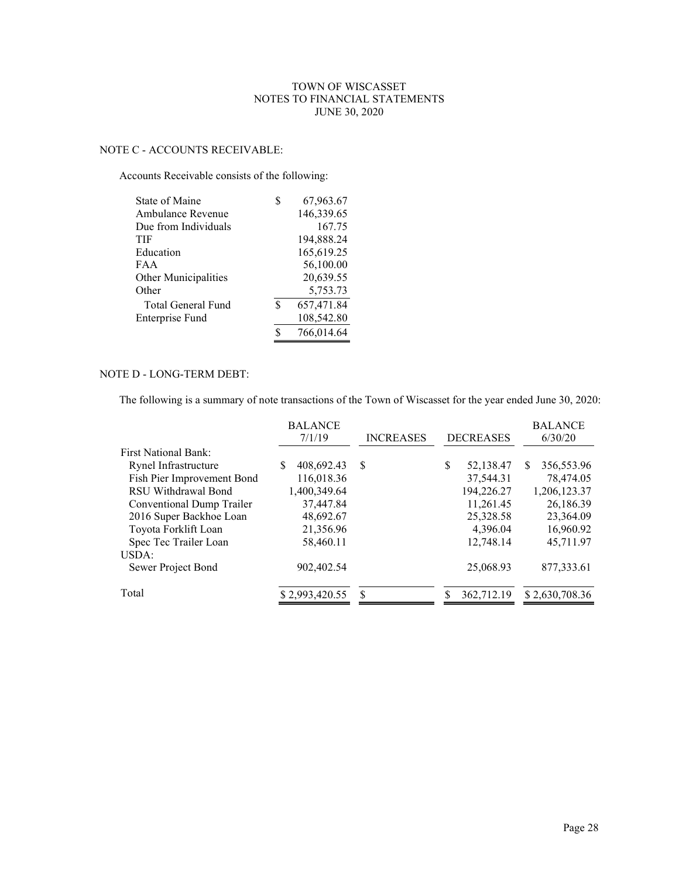# NOTE C - ACCOUNTS RECEIVABLE:

Accounts Receivable consists of the following:

| State of Maine         | S  | 67,963.67  |
|------------------------|----|------------|
| Ambulance Revenue      |    | 146,339.65 |
| Due from Individuals   |    | 167.75     |
| <b>TIF</b>             |    | 194,888.24 |
| Education              |    | 165,619.25 |
| FAA                    |    | 56,100.00  |
| Other Municipalities   |    | 20,639.55  |
| Other                  |    | 5,753.73   |
| Total General Fund     | \$ | 657,471.84 |
| <b>Enterprise Fund</b> |    | 108,542.80 |
|                        |    | 766,014.64 |

# NOTE D - LONG-TERM DEBT:

The following is a summary of note transactions of the Town of Wiscasset for the year ended June 30, 2020:

|                            | <b>BALANCE</b><br>7/1/19 | <b>INCREASES</b> | <b>DECREASES</b> | <b>BALANCE</b><br>6/30/20 |
|----------------------------|--------------------------|------------------|------------------|---------------------------|
| First National Bank:       |                          |                  |                  |                           |
| Rynel Infrastructure       | 408,692.43<br>S          | <sup>\$</sup>    | \$<br>52,138.47  | 356,553.96<br>\$.         |
| Fish Pier Improvement Bond | 116,018.36               |                  | 37,544.31        | 78,474.05                 |
| RSU Withdrawal Bond        | 1,400,349.64             |                  | 194,226.27       | 1,206,123.37              |
| Conventional Dump Trailer  | 37,447.84                |                  | 11,261.45        | 26,186.39                 |
| 2016 Super Backhoe Loan    | 48,692.67                |                  | 25,328.58        | 23,364.09                 |
| Toyota Forklift Loan       | 21,356.96                |                  | 4,396.04         | 16,960.92                 |
| Spec Tec Trailer Loan      | 58,460.11                |                  | 12,748.14        | 45.711.97                 |
| USDA:                      |                          |                  |                  |                           |
| Sewer Project Bond         | 902,402.54               |                  | 25,068.93        | 877,333.61                |
| Total                      | \$2,993,420.55           | \$               | 362,712.19       | \$2,630,708.36            |
|                            |                          |                  |                  |                           |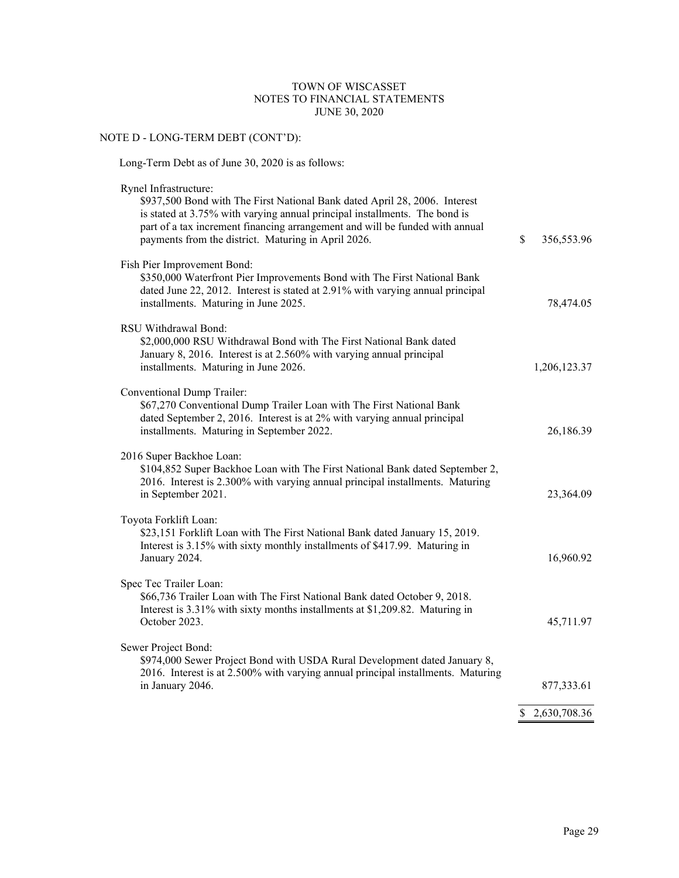| NOTE D - LONG-TERM DEBT (CONT'D):                                                                                                                                                                                                                                                                                        |                    |
|--------------------------------------------------------------------------------------------------------------------------------------------------------------------------------------------------------------------------------------------------------------------------------------------------------------------------|--------------------|
| Long-Term Debt as of June 30, 2020 is as follows:                                                                                                                                                                                                                                                                        |                    |
| Rynel Infrastructure:<br>\$937,500 Bond with The First National Bank dated April 28, 2006. Interest<br>is stated at 3.75% with varying annual principal installments. The bond is<br>part of a tax increment financing arrangement and will be funded with annual<br>payments from the district. Maturing in April 2026. | \$<br>356,553.96   |
| Fish Pier Improvement Bond:<br>\$350,000 Waterfront Pier Improvements Bond with The First National Bank<br>dated June 22, 2012. Interest is stated at 2.91% with varying annual principal<br>installments. Maturing in June 2025.                                                                                        | 78,474.05          |
| RSU Withdrawal Bond:<br>\$2,000,000 RSU Withdrawal Bond with The First National Bank dated<br>January 8, 2016. Interest is at 2.560% with varying annual principal<br>installments. Maturing in June 2026.                                                                                                               | 1,206,123.37       |
| Conventional Dump Trailer:<br>\$67,270 Conventional Dump Trailer Loan with The First National Bank<br>dated September 2, 2016. Interest is at 2% with varying annual principal<br>installments. Maturing in September 2022.                                                                                              | 26,186.39          |
| 2016 Super Backhoe Loan:<br>\$104,852 Super Backhoe Loan with The First National Bank dated September 2,<br>2016. Interest is 2.300% with varying annual principal installments. Maturing<br>in September 2021.                                                                                                          | 23,364.09          |
| Toyota Forklift Loan:<br>\$23,151 Forklift Loan with The First National Bank dated January 15, 2019.<br>Interest is 3.15% with sixty monthly installments of \$417.99. Maturing in<br>January 2024.                                                                                                                      | 16,960.92          |
| Spec Tec Trailer Loan:<br>\$66,736 Trailer Loan with The First National Bank dated October 9, 2018.<br>Interest is 3.31% with sixty months installments at \$1,209.82. Maturing in<br>October 2023.                                                                                                                      | 45,711.97          |
| Sewer Project Bond:<br>\$974,000 Sewer Project Bond with USDA Rural Development dated January 8,<br>2016. Interest is at 2.500% with varying annual principal installments. Maturing<br>in January 2046.                                                                                                                 | 877,333.61         |
|                                                                                                                                                                                                                                                                                                                          | \$<br>2,630,708.36 |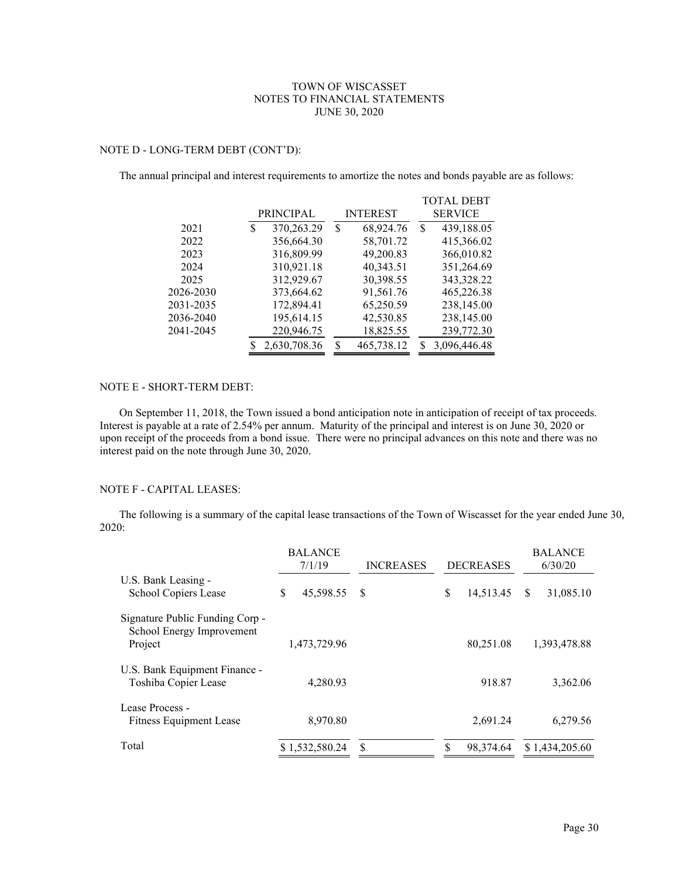# NOTE D - LONG-TERM DEBT (CONT'D):

The annual principal and interest requirements to amortize the notes and bonds payable are as follows:

|           |   |                  |    |                 |    | <b>TOTAL DEBT</b> |                |  |
|-----------|---|------------------|----|-----------------|----|-------------------|----------------|--|
|           |   | <b>PRINCIPAL</b> |    | <b>INTEREST</b> |    |                   | <b>SERVICE</b> |  |
| 2021      | S | 370,263.29       | \$ | 68,924.76       | \$ | 439,188.05        |                |  |
| 2022      |   | 356,664.30       |    | 58,701.72       |    | 415,366.02        |                |  |
| 2023      |   | 316,809.99       |    | 49,200.83       |    | 366,010.82        |                |  |
| 2024      |   | 310,921.18       |    | 40,343.51       |    | 351,264.69        |                |  |
| 2025      |   | 312,929.67       |    | 30,398.55       |    | 343,328.22        |                |  |
| 2026-2030 |   | 373,664.62       |    | 91,561.76       |    | 465,226.38        |                |  |
| 2031-2035 |   | 172,894.41       |    | 65,250.59       |    | 238,145.00        |                |  |
| 2036-2040 |   | 195,614.15       |    | 42,530.85       |    | 238,145.00        |                |  |
| 2041-2045 |   | 220,946.75       |    | 18,825.55       |    | 239,772.30        |                |  |
|           |   | 2,630,708.36     | S  | 465,738.12      |    | 3,096,446.48      |                |  |
|           |   |                  |    |                 |    |                   |                |  |

### NOTE E - SHORT-TERM DEBT:

 On September 11, 2018, the Town issued a bond anticipation note in anticipation of receipt of tax proceeds. Interest is payable at a rate of 2.54% per annum. Maturity of the principal and interest is on June 30, 2020 or upon receipt of the proceeds from a bond issue. There were no principal advances on this note and there was no interest paid on the note through June 30, 2020.

### NOTE F - CAPITAL LEASES:

 The following is a summary of the capital lease transactions of the Town of Wiscasset for the year ended June 30, 2020:

|                                                              | <b>BALANCE</b><br>7/1/19 | <b>INCREASES</b> | <b>DECREASES</b> | <b>BALANCE</b><br>6/30/20 |
|--------------------------------------------------------------|--------------------------|------------------|------------------|---------------------------|
| U.S. Bank Leasing -                                          |                          |                  |                  |                           |
| School Copiers Lease                                         | \$<br>45,598.55          | - \$             | \$<br>14,513.45  | \$<br>31,085.10           |
| Signature Public Funding Corp -<br>School Energy Improvement |                          |                  |                  |                           |
| Project                                                      | 1,473,729.96             |                  | 80,251.08        | 1,393,478.88              |
| U.S. Bank Equipment Finance -                                |                          |                  |                  |                           |
| Toshiba Copier Lease                                         | 4,280.93                 |                  | 918.87           | 3,362.06                  |
| Lease Process -                                              |                          |                  |                  |                           |
| <b>Fitness Equipment Lease</b>                               | 8,970.80                 |                  | 2,691.24         | 6,279.56                  |
| Total                                                        | \$1,532,580.24           | \$               | 98.374.64        | \$1,434,205.60            |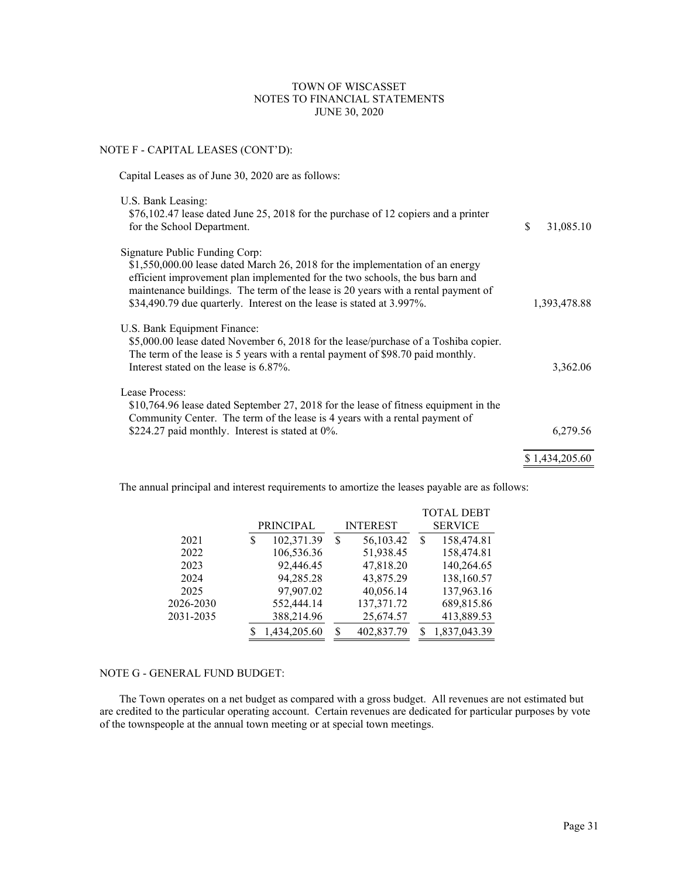# NOTE F - CAPITAL LEASES (CONT'D):

Capital Leases as of June 30, 2020 are as follows:

| U.S. Bank Leasing:                                                                                                                                             |                 |
|----------------------------------------------------------------------------------------------------------------------------------------------------------------|-----------------|
| \$76,102.47 lease dated June 25, 2018 for the purchase of 12 copiers and a printer                                                                             |                 |
| for the School Department.                                                                                                                                     | \$<br>31,085.10 |
|                                                                                                                                                                |                 |
| Signature Public Funding Corp:                                                                                                                                 |                 |
| $$1,550,000.00$ lease dated March 26, 2018 for the implementation of an energy<br>efficient improvement plan implemented for the two schools, the bus barn and |                 |
| maintenance buildings. The term of the lease is 20 years with a rental payment of                                                                              |                 |
| \$34,490.79 due quarterly. Interest on the lease is stated at 3.997%.                                                                                          | 1,393,478.88    |
|                                                                                                                                                                |                 |
| U.S. Bank Equipment Finance:                                                                                                                                   |                 |
| \$5,000.00 lease dated November 6, 2018 for the lease/purchase of a Toshiba copier.                                                                            |                 |
| The term of the lease is 5 years with a rental payment of \$98.70 paid monthly.                                                                                |                 |
| Interest stated on the lease is 6.87%.                                                                                                                         | 3,362.06        |
|                                                                                                                                                                |                 |
| Lease Process:                                                                                                                                                 |                 |
| \$10,764.96 lease dated September 27, 2018 for the lease of fitness equipment in the                                                                           |                 |
| Community Center. The term of the lease is 4 years with a rental payment of                                                                                    |                 |
| \$224.27 paid monthly. Interest is stated at 0%.                                                                                                               | 6,279.56        |
|                                                                                                                                                                |                 |
|                                                                                                                                                                | \$1,434,205.60  |
|                                                                                                                                                                |                 |

The annual principal and interest requirements to amortize the leases payable are as follows:

|           |   |                  |    |                 |               | <b>TOTAL DEBT</b> |
|-----------|---|------------------|----|-----------------|---------------|-------------------|
|           |   | <b>PRINCIPAL</b> |    | <b>INTEREST</b> |               | <b>SERVICE</b>    |
| 2021      | S | 102,371.39       | \$ | 56,103.42       | <sup>\$</sup> | 158,474.81        |
| 2022      |   | 106,536.36       |    | 51,938.45       |               | 158,474.81        |
| 2023      |   | 92,446.45        |    | 47,818.20       |               | 140,264.65        |
| 2024      |   | 94,285.28        |    | 43,875.29       |               | 138,160.57        |
| 2025      |   | 97,907.02        |    | 40,056.14       |               | 137,963.16        |
| 2026-2030 |   | 552,444.14       |    | 137, 371. 72    |               | 689,815.86        |
| 2031-2035 |   | 388,214.96       |    | 25,674.57       |               | 413,889.53        |
|           |   | 1,434,205.60     | S  | 402,837.79      | S             | 1,837,043.39      |

### NOTE G - GENERAL FUND BUDGET:

 The Town operates on a net budget as compared with a gross budget. All revenues are not estimated but are credited to the particular operating account. Certain revenues are dedicated for particular purposes by vote of the townspeople at the annual town meeting or at special town meetings.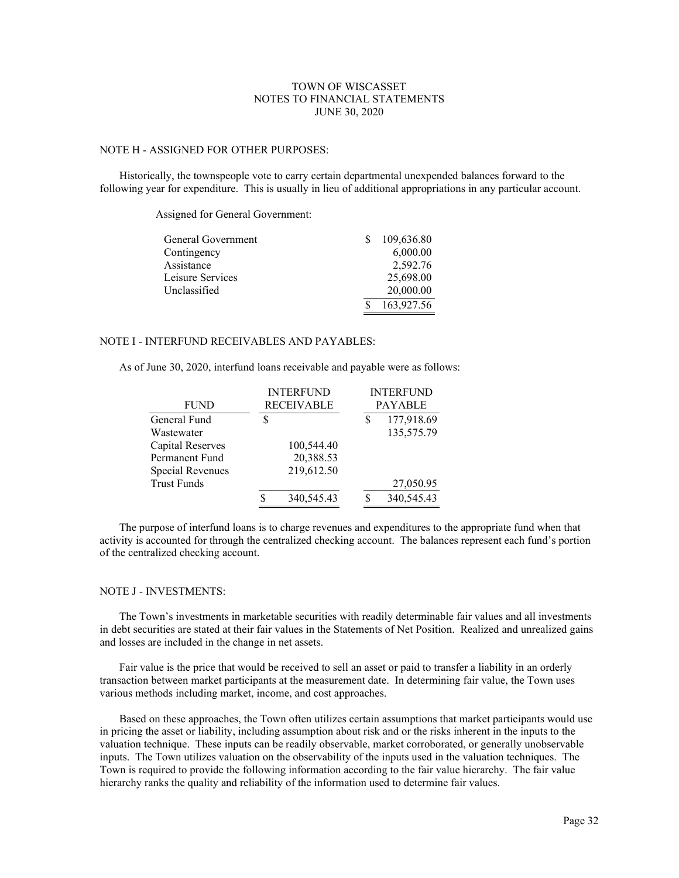#### NOTE H - ASSIGNED FOR OTHER PURPOSES:

 Historically, the townspeople vote to carry certain departmental unexpended balances forward to the following year for expenditure. This is usually in lieu of additional appropriations in any particular account.

Assigned for General Government:

| General Government | 109,636.80 |
|--------------------|------------|
| Contingency        | 6,000.00   |
| Assistance         | 2.592.76   |
| Leisure Services   | 25,698.00  |
| Unclassified       | 20,000.00  |
|                    | 163,927.56 |

#### NOTE I - INTERFUND RECEIVABLES AND PAYABLES:

As of June 30, 2020, interfund loans receivable and payable were as follows:

|                         |   | <b>INTERFUND</b>  | <b>INTERFUND</b> |
|-------------------------|---|-------------------|------------------|
| <b>FUND</b>             |   | <b>RECEIVABLE</b> | <b>PAYABLE</b>   |
| General Fund            | S |                   | \$<br>177,918.69 |
| Wastewater              |   |                   | 135,575.79       |
| Capital Reserves        |   | 100,544.40        |                  |
| Permanent Fund          |   | 20,388.53         |                  |
| <b>Special Revenues</b> |   | 219,612.50        |                  |
| Trust Funds             |   |                   | 27,050.95        |
|                         | ς | 340,545.43        | 340,545.43       |

 The purpose of interfund loans is to charge revenues and expenditures to the appropriate fund when that activity is accounted for through the centralized checking account. The balances represent each fund's portion of the centralized checking account.

#### NOTE J - INVESTMENTS:

 The Town's investments in marketable securities with readily determinable fair values and all investments in debt securities are stated at their fair values in the Statements of Net Position. Realized and unrealized gains and losses are included in the change in net assets.

 Fair value is the price that would be received to sell an asset or paid to transfer a liability in an orderly transaction between market participants at the measurement date. In determining fair value, the Town uses various methods including market, income, and cost approaches.

 Based on these approaches, the Town often utilizes certain assumptions that market participants would use in pricing the asset or liability, including assumption about risk and or the risks inherent in the inputs to the valuation technique. These inputs can be readily observable, market corroborated, or generally unobservable inputs. The Town utilizes valuation on the observability of the inputs used in the valuation techniques. The Town is required to provide the following information according to the fair value hierarchy. The fair value hierarchy ranks the quality and reliability of the information used to determine fair values.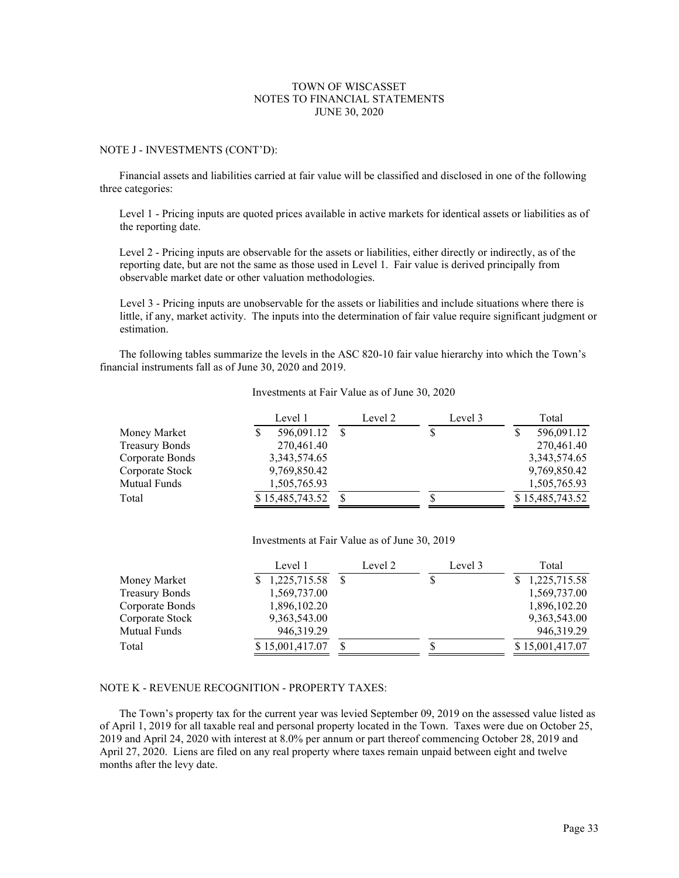#### NOTE J - INVESTMENTS (CONT'D):

 Financial assets and liabilities carried at fair value will be classified and disclosed in one of the following three categories:

 Level 1 - Pricing inputs are quoted prices available in active markets for identical assets or liabilities as of the reporting date.

 Level 2 - Pricing inputs are observable for the assets or liabilities, either directly or indirectly, as of the reporting date, but are not the same as those used in Level 1. Fair value is derived principally from observable market date or other valuation methodologies.

Level 3 - Pricing inputs are unobservable for the assets or liabilities and include situations where there is little, if any, market activity. The inputs into the determination of fair value require significant judgment or estimation.

 The following tables summarize the levels in the ASC 820-10 fair value hierarchy into which the Town's financial instruments fall as of June 30, 2020 and 2019.

|                 | Level 1         | Level 2 | Level 3 | Total           |
|-----------------|-----------------|---------|---------|-----------------|
| Money Market    | 596,091.12      |         |         | 596,091.12      |
| Treasury Bonds  | 270,461.40      |         |         | 270,461.40      |
| Corporate Bonds | 3,343,574.65    |         |         | 3, 343, 574. 65 |
| Corporate Stock | 9,769,850.42    |         |         | 9,769,850.42    |
| Mutual Funds    | 1,505,765.93    |         |         | 1,505,765.93    |
| Total           | \$15,485,743.52 |         |         | \$15,485,743.52 |

Investments at Fair Value as of June 30, 2020

Investments at Fair Value as of June 30, 2019

|                       | Level 1         | Level 2 | Level 3 | Total           |
|-----------------------|-----------------|---------|---------|-----------------|
| Money Market          | 1,225,715.58    |         |         | 1,225,715.58    |
| <b>Treasury Bonds</b> | 1,569,737.00    |         |         | 1,569,737.00    |
| Corporate Bonds       | 1,896,102.20    |         |         | 1,896,102.20    |
| Corporate Stock       | 9,363,543.00    |         |         | 9,363,543.00    |
| Mutual Funds          | 946,319.29      |         |         | 946.319.29      |
| Total                 | \$15,001,417.07 |         |         | \$15,001,417.07 |

#### NOTE K - REVENUE RECOGNITION - PROPERTY TAXES:

 The Town's property tax for the current year was levied September 09, 2019 on the assessed value listed as of April 1, 2019 for all taxable real and personal property located in the Town. Taxes were due on October 25, 2019 and April 24, 2020 with interest at 8.0% per annum or part thereof commencing October 28, 2019 and April 27, 2020. Liens are filed on any real property where taxes remain unpaid between eight and twelve months after the levy date.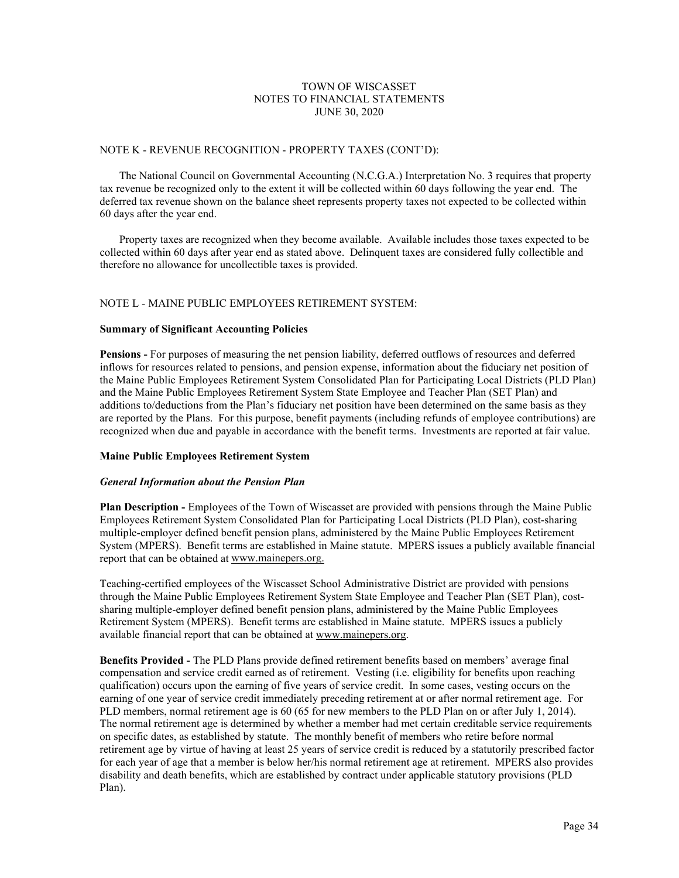# NOTE K - REVENUE RECOGNITION - PROPERTY TAXES (CONT'D):

 The National Council on Governmental Accounting (N.C.G.A.) Interpretation No. 3 requires that property tax revenue be recognized only to the extent it will be collected within 60 days following the year end. The deferred tax revenue shown on the balance sheet represents property taxes not expected to be collected within 60 days after the year end.

 Property taxes are recognized when they become available. Available includes those taxes expected to be collected within 60 days after year end as stated above. Delinquent taxes are considered fully collectible and therefore no allowance for uncollectible taxes is provided.

# NOTE L - MAINE PUBLIC EMPLOYEES RETIREMENT SYSTEM:

### **Summary of Significant Accounting Policies**

**Pensions -** For purposes of measuring the net pension liability, deferred outflows of resources and deferred inflows for resources related to pensions, and pension expense, information about the fiduciary net position of the Maine Public Employees Retirement System Consolidated Plan for Participating Local Districts (PLD Plan) and the Maine Public Employees Retirement System State Employee and Teacher Plan (SET Plan) and additions to/deductions from the Plan's fiduciary net position have been determined on the same basis as they are reported by the Plans. For this purpose, benefit payments (including refunds of employee contributions) are recognized when due and payable in accordance with the benefit terms. Investments are reported at fair value.

### **Maine Public Employees Retirement System**

### *General Information about the Pension Plan*

**Plan Description -** Employees of the Town of Wiscasset are provided with pensions through the Maine Public Employees Retirement System Consolidated Plan for Participating Local Districts (PLD Plan), cost-sharing multiple-employer defined benefit pension plans, administered by the Maine Public Employees Retirement System (MPERS). Benefit terms are established in Maine statute. MPERS issues a publicly available financial report that can be obtained at [www.mainepers.org.](http://www.mainepers.org/)

Teaching-certified employees of the Wiscasset School Administrative District are provided with pensions through the Maine Public Employees Retirement System State Employee and Teacher Plan (SET Plan), costsharing multiple-employer defined benefit pension plans, administered by the Maine Public Employees Retirement System (MPERS). Benefit terms are established in Maine statute. MPERS issues a publicly available financial report that can be obtained at [www.mainepers.org.](http://www.mainepers.org/)

**Benefits Provided -** The PLD Plans provide defined retirement benefits based on members' average final compensation and service credit earned as of retirement. Vesting (i.e. eligibility for benefits upon reaching qualification) occurs upon the earning of five years of service credit. In some cases, vesting occurs on the earning of one year of service credit immediately preceding retirement at or after normal retirement age. For PLD members, normal retirement age is 60 (65 for new members to the PLD Plan on or after July 1, 2014). The normal retirement age is determined by whether a member had met certain creditable service requirements on specific dates, as established by statute. The monthly benefit of members who retire before normal retirement age by virtue of having at least 25 years of service credit is reduced by a statutorily prescribed factor for each year of age that a member is below her/his normal retirement age at retirement. MPERS also provides disability and death benefits, which are established by contract under applicable statutory provisions (PLD Plan).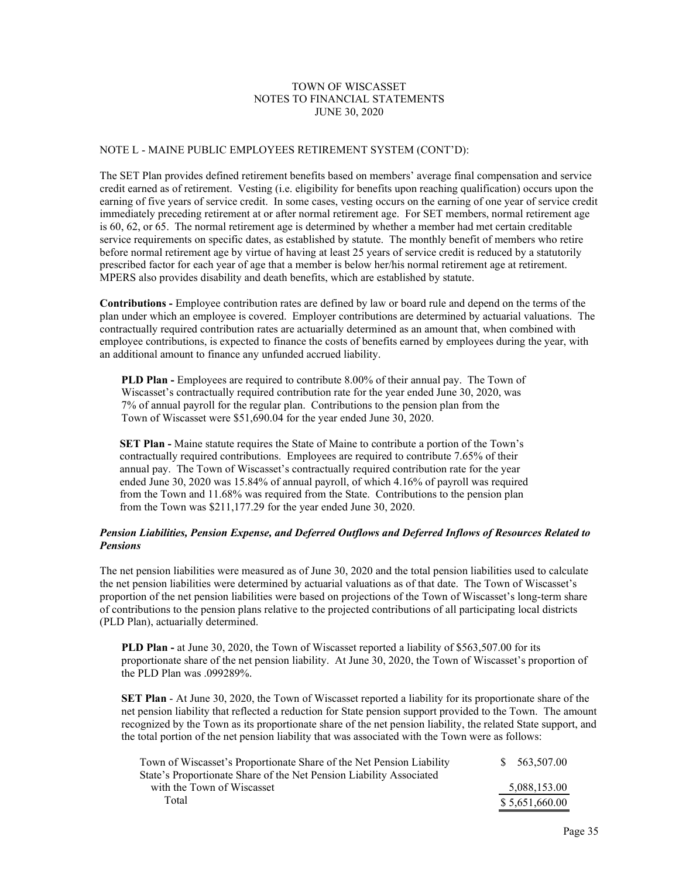# NOTE L - MAINE PUBLIC EMPLOYEES RETIREMENT SYSTEM (CONT'D):

The SET Plan provides defined retirement benefits based on members' average final compensation and service credit earned as of retirement. Vesting (i.e. eligibility for benefits upon reaching qualification) occurs upon the earning of five years of service credit. In some cases, vesting occurs on the earning of one year of service credit immediately preceding retirement at or after normal retirement age. For SET members, normal retirement age is 60, 62, or 65. The normal retirement age is determined by whether a member had met certain creditable service requirements on specific dates, as established by statute. The monthly benefit of members who retire before normal retirement age by virtue of having at least 25 years of service credit is reduced by a statutorily prescribed factor for each year of age that a member is below her/his normal retirement age at retirement. MPERS also provides disability and death benefits, which are established by statute.

**Contributions -** Employee contribution rates are defined by law or board rule and depend on the terms of the plan under which an employee is covered. Employer contributions are determined by actuarial valuations. The contractually required contribution rates are actuarially determined as an amount that, when combined with employee contributions, is expected to finance the costs of benefits earned by employees during the year, with an additional amount to finance any unfunded accrued liability.

**PLD Plan -** Employees are required to contribute 8.00% of their annual pay. The Town of Wiscasset's contractually required contribution rate for the year ended June 30, 2020, was 7% of annual payroll for the regular plan. Contributions to the pension plan from the Town of Wiscasset were \$51,690.04 for the year ended June 30, 2020.

**SET Plan -** Maine statute requires the State of Maine to contribute a portion of the Town's contractually required contributions. Employees are required to contribute 7.65% of their annual pay. The Town of Wiscasset's contractually required contribution rate for the year ended June 30, 2020 was 15.84% of annual payroll, of which 4.16% of payroll was required from the Town and 11.68% was required from the State. Contributions to the pension plan from the Town was \$211,177.29 for the year ended June 30, 2020.

# *Pension Liabilities, Pension Expense, and Deferred Outflows and Deferred Inflows of Resources Related to Pensions*

The net pension liabilities were measured as of June 30, 2020 and the total pension liabilities used to calculate the net pension liabilities were determined by actuarial valuations as of that date. The Town of Wiscasset's proportion of the net pension liabilities were based on projections of the Town of Wiscasset's long-term share of contributions to the pension plans relative to the projected contributions of all participating local districts (PLD Plan), actuarially determined.

**PLD Plan -** at June 30, 2020, the Town of Wiscasset reported a liability of \$563,507.00 for its proportionate share of the net pension liability. At June 30, 2020, the Town of Wiscasset's proportion of the PLD Plan was .099289%.

**SET Plan** - At June 30, 2020, the Town of Wiscasset reported a liability for its proportionate share of the net pension liability that reflected a reduction for State pension support provided to the Town. The amount recognized by the Town as its proportionate share of the net pension liability, the related State support, and the total portion of the net pension liability that was associated with the Town were as follows:

| Town of Wiscasset's Proportionate Share of the Net Pension Liability | \$ 563,507.00  |
|----------------------------------------------------------------------|----------------|
| State's Proportionate Share of the Net Pension Liability Associated  |                |
| with the Town of Wiscasset                                           | 5,088,153.00   |
| Total                                                                | \$5.651,660.00 |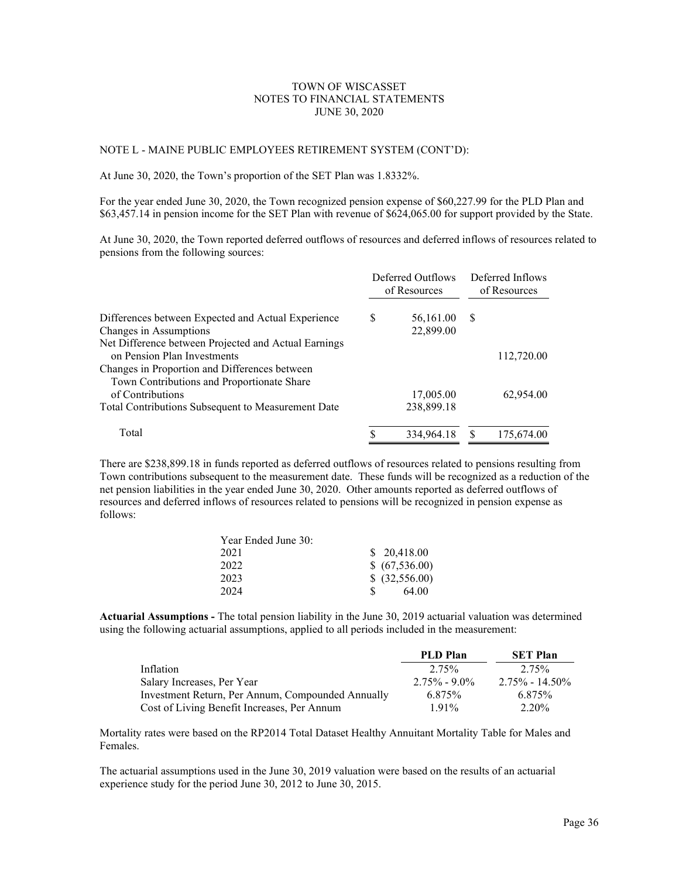# NOTE L - MAINE PUBLIC EMPLOYEES RETIREMENT SYSTEM (CONT'D):

At June 30, 2020, the Town's proportion of the SET Plan was 1.8332%.

For the year ended June 30, 2020, the Town recognized pension expense of \$60,227.99 for the PLD Plan and \$63,457.14 in pension income for the SET Plan with revenue of \$624,065.00 for support provided by the State.

At June 30, 2020, the Town reported deferred outflows of resources and deferred inflows of resources related to pensions from the following sources:

|                                                      |   | Deferred Outflows<br>of Resources |    | Deferred Inflows<br>of Resources |  |
|------------------------------------------------------|---|-----------------------------------|----|----------------------------------|--|
| Differences between Expected and Actual Experience   | S | 56,161.00                         | -S |                                  |  |
| Changes in Assumptions                               |   | 22,899.00                         |    |                                  |  |
| Net Difference between Projected and Actual Earnings |   |                                   |    |                                  |  |
| on Pension Plan Investments                          |   |                                   |    | 112,720.00                       |  |
| Changes in Proportion and Differences between        |   |                                   |    |                                  |  |
| Town Contributions and Proportionate Share           |   |                                   |    |                                  |  |
| of Contributions                                     |   | 17,005.00                         |    | 62,954.00                        |  |
| Total Contributions Subsequent to Measurement Date   |   | 238,899.18                        |    |                                  |  |
| Total                                                | Φ | 334,964.18                        |    | 175,674.00                       |  |

There are \$238,899.18 in funds reported as deferred outflows of resources related to pensions resulting from Town contributions subsequent to the measurement date. These funds will be recognized as a reduction of the net pension liabilities in the year ended June 30, 2020. Other amounts reported as deferred outflows of resources and deferred inflows of resources related to pensions will be recognized in pension expense as follows:

| Year Ended June 30: |    |                |
|---------------------|----|----------------|
| 2021                |    | \$20,418,00    |
| 2022                |    | \$ (67,536.00) |
| 2023                |    | \$ (32,556.00) |
| 2024                | Ж. | 64.00          |

**Actuarial Assumptions -** The total pension liability in the June 30, 2019 actuarial valuation was determined using the following actuarial assumptions, applied to all periods included in the measurement:

|                                                   | <b>PLD Plan</b>  | <b>SET Plan</b>    |
|---------------------------------------------------|------------------|--------------------|
| Inflation                                         | 2.75%            | 2.75%              |
| Salary Increases, Per Year                        | $2.75\% - 9.0\%$ | $2.75\% - 14.50\%$ |
| Investment Return, Per Annum, Compounded Annually | 6.875%           | 6.875%             |
| Cost of Living Benefit Increases, Per Annum       | $1.91\%$         | 2.20%              |

Mortality rates were based on the RP2014 Total Dataset Healthy Annuitant Mortality Table for Males and Females.

The actuarial assumptions used in the June 30, 2019 valuation were based on the results of an actuarial experience study for the period June 30, 2012 to June 30, 2015.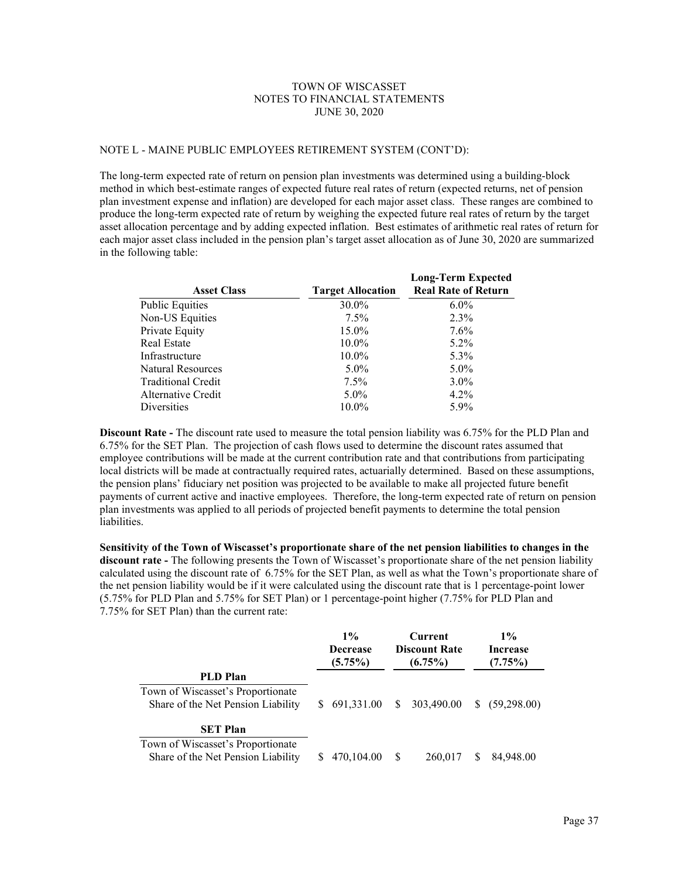# NOTE L - MAINE PUBLIC EMPLOYEES RETIREMENT SYSTEM (CONT'D):

The long-term expected rate of return on pension plan investments was determined using a building-block method in which best-estimate ranges of expected future real rates of return (expected returns, net of pension plan investment expense and inflation) are developed for each major asset class. These ranges are combined to produce the long-term expected rate of return by weighing the expected future real rates of return by the target asset allocation percentage and by adding expected inflation. Best estimates of arithmetic real rates of return for each major asset class included in the pension plan's target asset allocation as of June 30, 2020 are summarized in the following table:

|         | <b>Long-Term Expected</b><br><b>Real Rate of Return</b> |
|---------|---------------------------------------------------------|
| 30.0%   | $6.0\%$                                                 |
| $7.5\%$ | $2.3\%$                                                 |
| 15.0%   | $7.6\%$                                                 |
| 10.0%   | $5.2\%$                                                 |
| 10.0%   | $5.3\%$                                                 |
| $5.0\%$ | $5.0\%$                                                 |
| $7.5\%$ | $3.0\%$                                                 |
| $5.0\%$ | $4.2\%$                                                 |
| 10.0%   | 5.9%                                                    |
|         | <b>Target Allocation</b>                                |

**Discount Rate -** The discount rate used to measure the total pension liability was 6.75% for the PLD Plan and 6.75% for the SET Plan. The projection of cash flows used to determine the discount rates assumed that employee contributions will be made at the current contribution rate and that contributions from participating local districts will be made at contractually required rates, actuarially determined. Based on these assumptions, the pension plans' fiduciary net position was projected to be available to make all projected future benefit payments of current active and inactive employees. Therefore, the long-term expected rate of return on pension plan investments was applied to all periods of projected benefit payments to determine the total pension liabilities.

**Sensitivity of the Town of Wiscasset's proportionate share of the net pension liabilities to changes in the discount rate -** The following presents the Town of Wiscasset's proportionate share of the net pension liability calculated using the discount rate of 6.75% for the SET Plan, as well as what the Town's proportionate share of the net pension liability would be if it were calculated using the discount rate that is 1 percentage-point lower (5.75% for PLD Plan and 5.75% for SET Plan) or 1 percentage-point higher (7.75% for PLD Plan and 7.75% for SET Plan) than the current rate:

|                                    | $1\%$<br><b>Decrease</b><br>$(5.75\%)$ |   | <b>Current</b><br><b>Discount Rate</b><br>$(6.75\%)$ |   | $1\%$<br>Increase<br>(7.75%) |
|------------------------------------|----------------------------------------|---|------------------------------------------------------|---|------------------------------|
| PLD Plan                           |                                        |   |                                                      |   |                              |
| Town of Wiscasset's Proportionate  |                                        |   |                                                      |   |                              |
| Share of the Net Pension Liability | 691,331.00                             | S | 303,490.00                                           | S | (59,298.00)                  |
| <b>SET Plan</b>                    |                                        |   |                                                      |   |                              |
| Town of Wiscasset's Proportionate  |                                        |   |                                                      |   |                              |
| Share of the Net Pension Liability | 470,104.00                             |   | 260.017                                              |   | 84,948.00                    |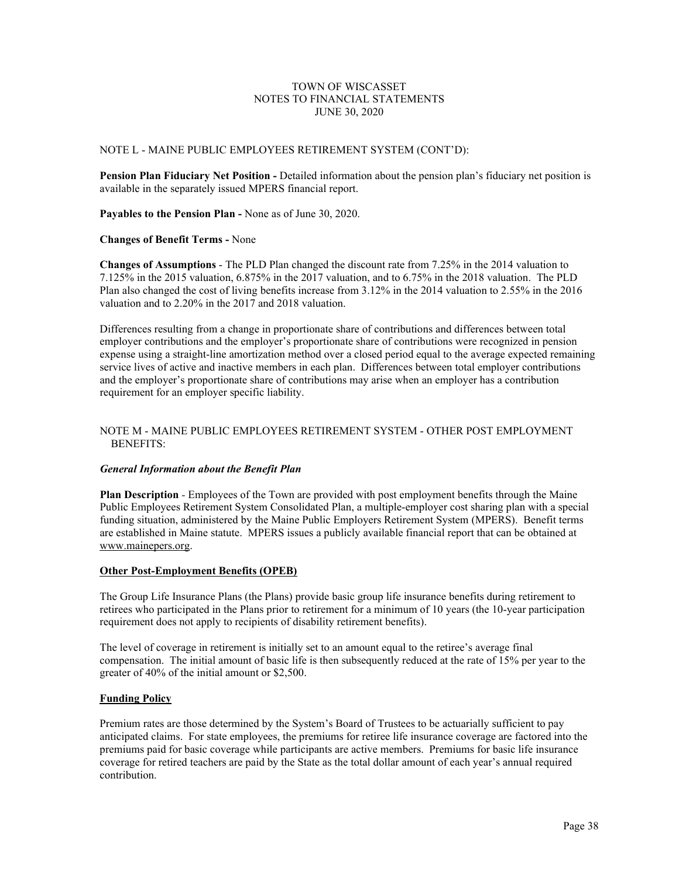# NOTE L - MAINE PUBLIC EMPLOYEES RETIREMENT SYSTEM (CONT'D):

**Pension Plan Fiduciary Net Position -** Detailed information about the pension plan's fiduciary net position is available in the separately issued MPERS financial report.

**Payables to the Pension Plan -** None as of June 30, 2020.

### **Changes of Benefit Terms -** None

**Changes of Assumptions** - The PLD Plan changed the discount rate from 7.25% in the 2014 valuation to 7.125% in the 2015 valuation, 6.875% in the 2017 valuation, and to 6.75% in the 2018 valuation. The PLD Plan also changed the cost of living benefits increase from 3.12% in the 2014 valuation to 2.55% in the 2016 valuation and to 2.20% in the 2017 and 2018 valuation.

Differences resulting from a change in proportionate share of contributions and differences between total employer contributions and the employer's proportionate share of contributions were recognized in pension expense using a straight-line amortization method over a closed period equal to the average expected remaining service lives of active and inactive members in each plan. Differences between total employer contributions and the employer's proportionate share of contributions may arise when an employer has a contribution requirement for an employer specific liability.

### NOTE M - MAINE PUBLIC EMPLOYEES RETIREMENT SYSTEM - OTHER POST EMPLOYMENT BENEFITS:

### *General Information about the Benefit Plan*

**Plan Description** *-* Employees of the Town are provided with post employment benefits through the Maine Public Employees Retirement System Consolidated Plan, a multiple-employer cost sharing plan with a special funding situation, administered by the Maine Public Employers Retirement System (MPERS). Benefit terms are established in Maine statute. MPERS issues a publicly available financial report that can be obtained at [www.mainepers.org.](http://www.mainepers.org/)

### **Other Post-Employment Benefits (OPEB)**

The Group Life Insurance Plans (the Plans) provide basic group life insurance benefits during retirement to retirees who participated in the Plans prior to retirement for a minimum of 10 years (the 10-year participation requirement does not apply to recipients of disability retirement benefits).

The level of coverage in retirement is initially set to an amount equal to the retiree's average final compensation. The initial amount of basic life is then subsequently reduced at the rate of 15% per year to the greater of 40% of the initial amount or \$2,500.

### **Funding Policy**

Premium rates are those determined by the System's Board of Trustees to be actuarially sufficient to pay anticipated claims. For state employees, the premiums for retiree life insurance coverage are factored into the premiums paid for basic coverage while participants are active members. Premiums for basic life insurance coverage for retired teachers are paid by the State as the total dollar amount of each year's annual required contribution.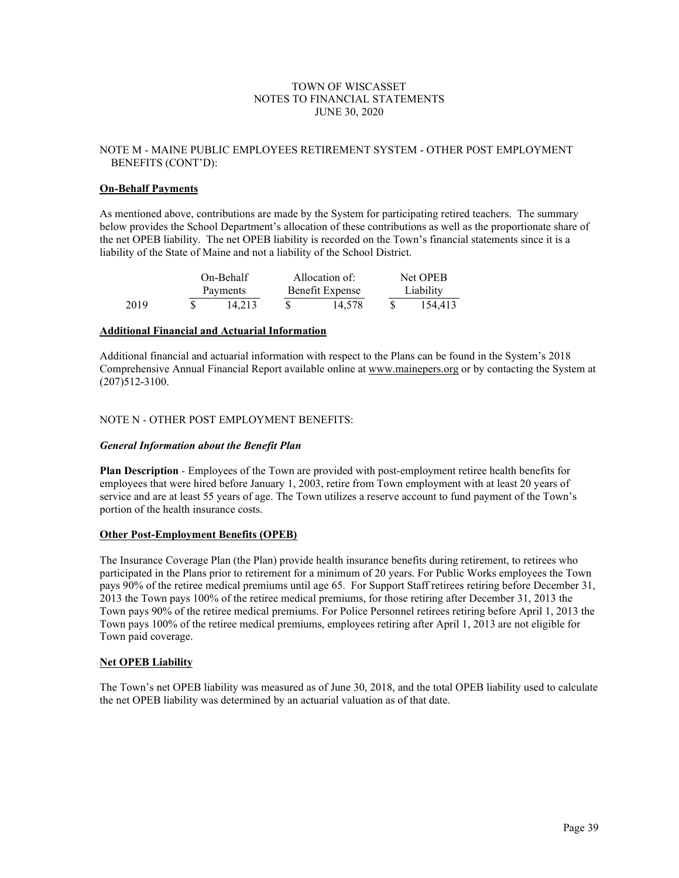# NOTE M - MAINE PUBLIC EMPLOYEES RETIREMENT SYSTEM - OTHER POST EMPLOYMENT BENEFITS (CONT'D):

# **On-Behalf Payments**

As mentioned above, contributions are made by the System for participating retired teachers. The summary below provides the School Department's allocation of these contributions as well as the proportionate share of the net OPEB liability. The net OPEB liability is recorded on the Town's financial statements since it is a liability of the State of Maine and not a liability of the School District.

|      | On-Behalf | Allocation of: |                 | Net OPEB |           |  |
|------|-----------|----------------|-----------------|----------|-----------|--|
|      | Payments  |                | Benefit Expense |          | Liability |  |
| 2019 | 14.213    |                | 14.578          |          | 154.413   |  |

### **Additional Financial and Actuarial Information**

Additional financial and actuarial information with respect to the Plans can be found in the System's 2018 Comprehensive Annual Financial Report available online a[t www.mainepers.org](http://www.mainepers.org/) or by contacting the System at (207)512-3100.

# NOTE N - OTHER POST EMPLOYMENT BENEFITS:

### *General Information about the Benefit Plan*

**Plan Description** *-* Employees of the Town are provided with post-employment retiree health benefits for employees that were hired before January 1, 2003, retire from Town employment with at least 20 years of service and are at least 55 years of age. The Town utilizes a reserve account to fund payment of the Town's portion of the health insurance costs.

# **Other Post-Employment Benefits (OPEB)**

The Insurance Coverage Plan (the Plan) provide health insurance benefits during retirement, to retirees who participated in the Plans prior to retirement for a minimum of 20 years. For Public Works employees the Town pays 90% of the retiree medical premiums until age 65. For Support Staff retirees retiring before December 31, 2013 the Town pays 100% of the retiree medical premiums, for those retiring after December 31, 2013 the Town pays 90% of the retiree medical premiums. For Police Personnel retirees retiring before April 1, 2013 the Town pays 100% of the retiree medical premiums, employees retiring after April 1, 2013 are not eligible for Town paid coverage.

### **Net OPEB Liability**

The Town's net OPEB liability was measured as of June 30, 2018, and the total OPEB liability used to calculate the net OPEB liability was determined by an actuarial valuation as of that date.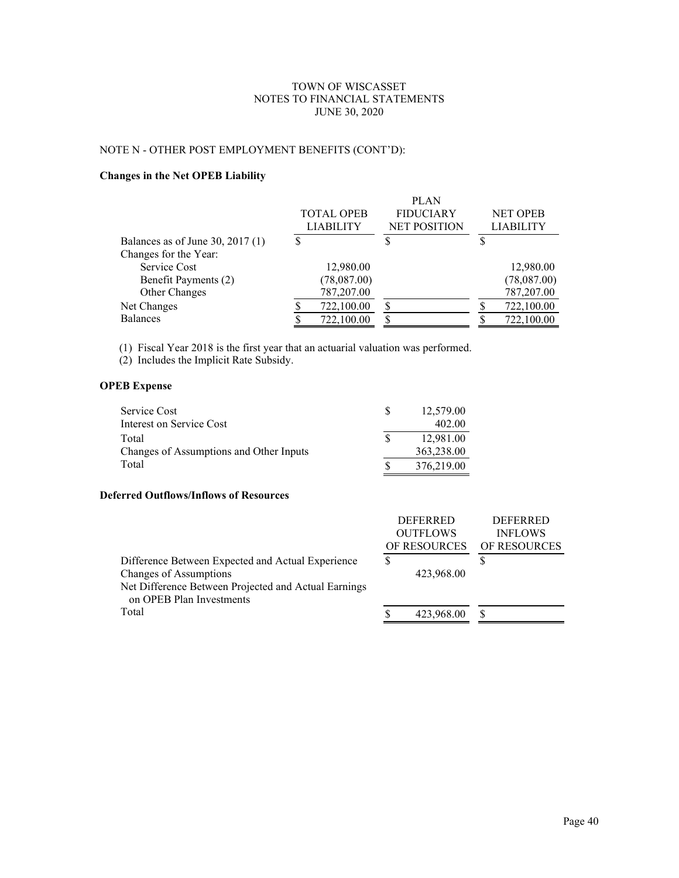# NOTE N - OTHER POST EMPLOYMENT BENEFITS (CONT'D):

# **Changes in the Net OPEB Liability**

|                                    |                   | <b>PLAN</b>         |                 |
|------------------------------------|-------------------|---------------------|-----------------|
|                                    | <b>TOTAL OPEB</b> | <b>FIDUCIARY</b>    | <b>NET OPEB</b> |
|                                    | <b>LIABILITY</b>  | <b>NET POSITION</b> | LIABILITY       |
| Balances as of June 30, 2017 $(1)$ |                   |                     |                 |
| Changes for the Year:              |                   |                     |                 |
| Service Cost                       | 12,980.00         |                     | 12,980.00       |
| Benefit Payments (2)               | (78,087.00)       |                     | (78,087.00)     |
| Other Changes                      | 787,207.00        |                     | 787,207.00      |
| Net Changes                        | 722,100.00        | S                   | 722,100.00      |
| <b>Balances</b>                    | 722,100.00        |                     | 722,100.00      |

(1) Fiscal Year 2018 is the first year that an actuarial valuation was performed.

(2) Includes the Implicit Rate Subsidy.

# **OPEB Expense**

| Service Cost                            | 12,579.00  |
|-----------------------------------------|------------|
| Interest on Service Cost                | 402.00     |
| Total                                   | 12.981.00  |
| Changes of Assumptions and Other Inputs | 363,238.00 |
| Total                                   | 376,219.00 |

# **Deferred Outflows/Inflows of Resources**

|                                                      | <b>DEFERRED</b> | <b>DEFERRED</b>     |
|------------------------------------------------------|-----------------|---------------------|
|                                                      | <b>OUTFLOWS</b> | <b>INFLOWS</b>      |
|                                                      | OF RESOURCES    | <b>OF RESOURCES</b> |
| Difference Between Expected and Actual Experience    |                 |                     |
| Changes of Assumptions                               | 423,968.00      |                     |
| Net Difference Between Projected and Actual Earnings |                 |                     |
| on OPEB Plan Investments                             |                 |                     |
| Total                                                | 423,968.00      |                     |
|                                                      |                 |                     |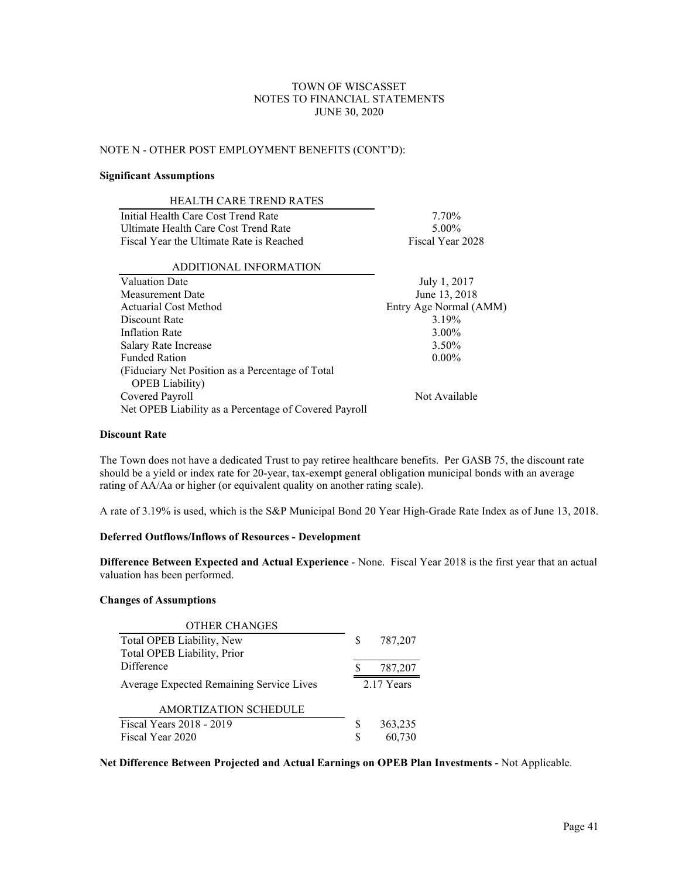## NOTE N - OTHER POST EMPLOYMENT BENEFITS (CONT'D):

### **Significant Assumptions**

#### HEALTH CARE TREND RATES

Initial Health Care Cost Trend Rate 7.70%<br>Ultimate Health Care Cost Trend Rate 5.00% Ultimate Health Care Cost Trend Rate 5.00% Fiscal Year the Ultimate Rate is Reached Fiscal Year 2028

#### ADDITIONAL INFORMATION

| <b>Valuation Date</b>                                 | July 1, 2017           |
|-------------------------------------------------------|------------------------|
| Measurement Date                                      | June 13, 2018          |
| Actuarial Cost Method                                 | Entry Age Normal (AMM) |
| Discount Rate                                         | 3.19%                  |
| Inflation Rate                                        | $3.00\%$               |
| Salary Rate Increase                                  | $3.50\%$               |
| <b>Funded Ration</b>                                  | $0.00\%$               |
| (Fiduciary Net Position as a Percentage of Total)     |                        |
| <b>OPEB</b> Liability)                                |                        |
| Covered Payroll                                       | Not Available          |
| Net OPEB Liability as a Percentage of Covered Payroll |                        |

#### **Discount Rate**

The Town does not have a dedicated Trust to pay retiree healthcare benefits. Per GASB 75, the discount rate should be a yield or index rate for 20-year, tax-exempt general obligation municipal bonds with an average rating of AA/Aa or higher (or equivalent quality on another rating scale).

A rate of 3.19% is used, which is the S&P Municipal Bond 20 Year High-Grade Rate Index as of June 13, 2018.

### **Deferred Outflows/Inflows of Resources - Development**

**Difference Between Expected and Actual Experience** - None. Fiscal Year 2018 is the first year that an actual valuation has been performed.

### **Changes of Assumptions**

| <b>OTHER CHANGES</b>                     |  |            |
|------------------------------------------|--|------------|
| Total OPEB Liability, New                |  | 787,207    |
| Total OPEB Liability, Prior              |  |            |
| Difference                               |  | 787,207    |
| Average Expected Remaining Service Lives |  | 2.17 Years |
| AMORTIZATION SCHEDULE                    |  |            |
| Fiscal Years 2018 - 2019                 |  | 363,235    |
| Fiscal Year 2020                         |  | 60,730     |

**Net Difference Between Projected and Actual Earnings on OPEB Plan Investments** - Not Applicable.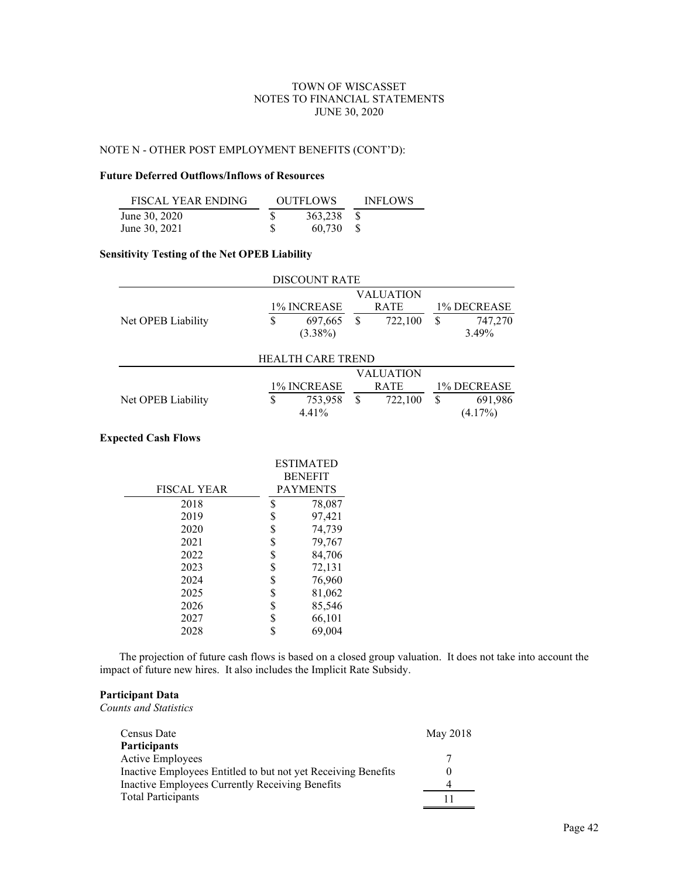# NOTE N - OTHER POST EMPLOYMENT BENEFITS (CONT'D):

### **Future Deferred Outflows/Inflows of Resources**

| FISCAL YEAR ENDING | <b>OUTFLOWS</b> |            | <b>INFLOWS</b> |
|--------------------|-----------------|------------|----------------|
| June 30, 2020      |                 | 363,238 \$ |                |
| June 30, 2021      |                 | 60.730 \$  |                |

# **Sensitivity Testing of the Net OPEB Liability**

| <b>DISCOUNT RATE</b> |                            |             |               |             |             |             |
|----------------------|----------------------------|-------------|---------------|-------------|-------------|-------------|
|                      | VALUATION                  |             |               |             |             |             |
|                      |                            | 1% INCREASE |               | <b>RATE</b> |             | 1% DECREASE |
| Net OPEB Liability   | S                          | 697,665     | <sup>\$</sup> | 722,100     | S           | 747,270     |
|                      |                            | $(3.38\%)$  |               |             |             | 3.49%       |
| HEALTH CARE TREND    |                            |             |               |             |             |             |
|                      | VALUATION                  |             |               |             |             |             |
|                      | 1% INCREASE<br><b>RATE</b> |             |               |             | 1% DECREASE |             |
| Net OPEB Liability   | S                          | 753,958     | \$            | 722,100     | \$          | 691,986     |
|                      |                            | 4.41%       |               |             |             | (4.17%)     |

# **Expected Cash Flows**

|                    | <b>ESTIMATED</b> |                 |
|--------------------|------------------|-----------------|
|                    |                  | <b>BENEFIT</b>  |
| <b>FISCAL YEAR</b> |                  | <b>PAYMENTS</b> |
| 2018               | \$               | 78,087          |
| 2019               | \$               | 97,421          |
| 2020               | \$               | 74,739          |
| 2021               | \$               | 79,767          |
| 2022               | \$               | 84,706          |
| 2023               | \$               | 72,131          |
| 2024               | \$               | 76,960          |
| 2025               | \$               | 81,062          |
| 2026               | \$               | 85,546          |
| 2027               | \$               | 66,101          |
| 2028               | \$               | 69,004          |
|                    |                  |                 |

 The projection of future cash flows is based on a closed group valuation. It does not take into account the impact of future new hires. It also includes the Implicit Rate Subsidy.

# **Participant Data**

*Counts and Statistics*

| Census Date                                                   | May 2018 |
|---------------------------------------------------------------|----------|
| <b>Participants</b>                                           |          |
| Active Employees                                              |          |
| Inactive Employees Entitled to but not yet Receiving Benefits | $_{0}$   |
| Inactive Employees Currently Receiving Benefits               |          |
| <b>Total Participants</b>                                     |          |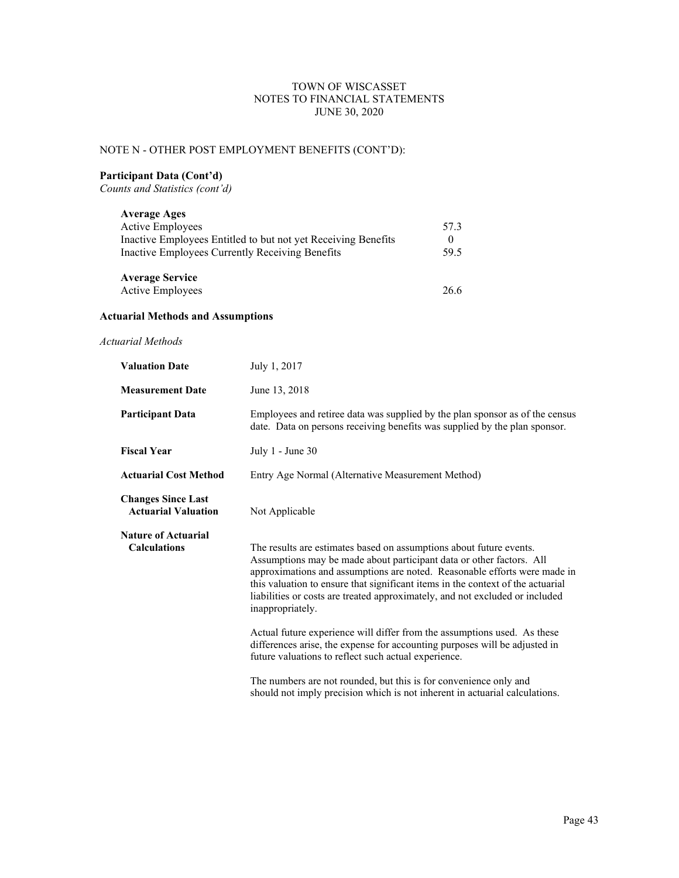# NOTE N - OTHER POST EMPLOYMENT BENEFITS (CONT'D):

# **Participant Data (Cont'd)**

*Counts and Statistics (cont'd)*

| <b>Average Ages</b>                                           |          |
|---------------------------------------------------------------|----------|
| <b>Active Employees</b>                                       | 57.3     |
| Inactive Employees Entitled to but not yet Receiving Benefits | $\theta$ |
| Inactive Employees Currently Receiving Benefits               | 59.5     |
| <b>Average Service</b>                                        |          |
| Active Employees                                              | 26.6     |

# **Actuarial Methods and Assumptions**

# *Actuarial Methods*

| <b>Valuation Date</b>                                   | July 1, 2017                                                                                                                                                                                                                                                                                                                                                                                                                                                                                                                                                                                                                      |
|---------------------------------------------------------|-----------------------------------------------------------------------------------------------------------------------------------------------------------------------------------------------------------------------------------------------------------------------------------------------------------------------------------------------------------------------------------------------------------------------------------------------------------------------------------------------------------------------------------------------------------------------------------------------------------------------------------|
| <b>Measurement Date</b>                                 | June 13, 2018                                                                                                                                                                                                                                                                                                                                                                                                                                                                                                                                                                                                                     |
| <b>Participant Data</b>                                 | Employees and retiree data was supplied by the plan sponsor as of the census<br>date. Data on persons receiving benefits was supplied by the plan sponsor.                                                                                                                                                                                                                                                                                                                                                                                                                                                                        |
| <b>Fiscal Year</b>                                      | July $1$ - June 30                                                                                                                                                                                                                                                                                                                                                                                                                                                                                                                                                                                                                |
| <b>Actuarial Cost Method</b>                            | Entry Age Normal (Alternative Measurement Method)                                                                                                                                                                                                                                                                                                                                                                                                                                                                                                                                                                                 |
| <b>Changes Since Last</b><br><b>Actuarial Valuation</b> | Not Applicable                                                                                                                                                                                                                                                                                                                                                                                                                                                                                                                                                                                                                    |
| <b>Nature of Actuarial</b><br><b>Calculations</b>       | The results are estimates based on assumptions about future events.<br>Assumptions may be made about participant data or other factors. All<br>approximations and assumptions are noted. Reasonable efforts were made in<br>this valuation to ensure that significant items in the context of the actuarial<br>liabilities or costs are treated approximately, and not excluded or included<br>inappropriately.<br>Actual future experience will differ from the assumptions used. As these<br>differences arise, the expense for accounting purposes will be adjusted in<br>future valuations to reflect such actual experience. |
|                                                         | The numbers are not rounded, but this is for convenience only and<br>should not imply precision which is not inherent in actuarial calculations.                                                                                                                                                                                                                                                                                                                                                                                                                                                                                  |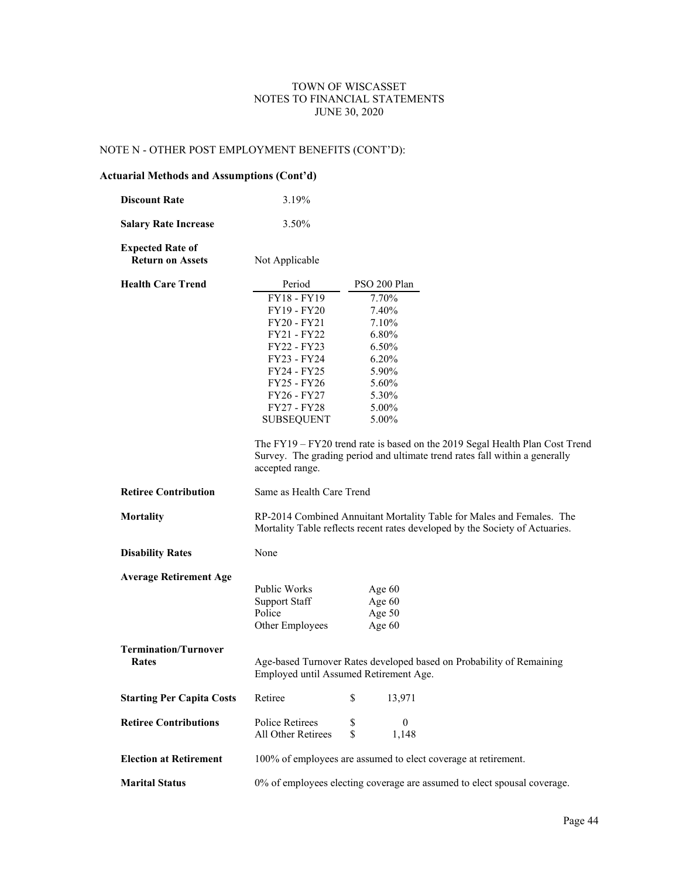# NOTE N - OTHER POST EMPLOYMENT BENEFITS (CONT'D):

# **Actuarial Methods and Assumptions (Cont'd)**

| <b>Discount Rate</b>                               | 3.19%                                        |                                       |                                                                                                                                                             |
|----------------------------------------------------|----------------------------------------------|---------------------------------------|-------------------------------------------------------------------------------------------------------------------------------------------------------------|
| <b>Salary Rate Increase</b>                        | 3.50%                                        |                                       |                                                                                                                                                             |
| <b>Expected Rate of</b><br><b>Return on Assets</b> | Not Applicable                               |                                       |                                                                                                                                                             |
| <b>Health Care Trend</b>                           | Period                                       | PSO 200 Plan                          |                                                                                                                                                             |
|                                                    | FY18 - FY19                                  | 7.70%                                 |                                                                                                                                                             |
|                                                    | FY19 - FY20                                  | 7.40%                                 |                                                                                                                                                             |
|                                                    | FY20 - FY21                                  | 7.10%                                 |                                                                                                                                                             |
|                                                    | FY21 - FY22                                  | 6.80%                                 |                                                                                                                                                             |
|                                                    | FY22 - FY23                                  | 6.50%                                 |                                                                                                                                                             |
|                                                    | FY23 - FY24                                  | 6.20%                                 |                                                                                                                                                             |
|                                                    | FY24 - FY25                                  | 5.90%                                 |                                                                                                                                                             |
|                                                    | FY25 - FY26                                  | 5.60%                                 |                                                                                                                                                             |
|                                                    | FY26 - FY27                                  | 5.30%                                 |                                                                                                                                                             |
|                                                    | FY27 - FY28                                  | 5.00%                                 |                                                                                                                                                             |
|                                                    | <b>SUBSEQUENT</b>                            | 5.00%                                 |                                                                                                                                                             |
|                                                    | accepted range.                              |                                       | The FY19 - FY20 trend rate is based on the 2019 Segal Health Plan Cost Trend<br>Survey. The grading period and ultimate trend rates fall within a generally |
| <b>Retiree Contribution</b>                        | Same as Health Care Trend                    |                                       |                                                                                                                                                             |
| <b>Mortality</b>                                   |                                              |                                       | RP-2014 Combined Annuitant Mortality Table for Males and Females. The<br>Mortality Table reflects recent rates developed by the Society of Actuaries.       |
| <b>Disability Rates</b>                            | None                                         |                                       |                                                                                                                                                             |
| <b>Average Retirement Age</b>                      |                                              |                                       |                                                                                                                                                             |
|                                                    | Public Works                                 | Age $60$                              |                                                                                                                                                             |
|                                                    | <b>Support Staff</b>                         | Age $60$                              |                                                                                                                                                             |
|                                                    | Police                                       | Age 50                                |                                                                                                                                                             |
|                                                    | Other Employees                              | Age $60$                              |                                                                                                                                                             |
| <b>Termination/Turnover</b>                        |                                              |                                       |                                                                                                                                                             |
| Rates                                              | Employed until Assumed Retirement Age.       |                                       | Age-based Turnover Rates developed based on Probability of Remaining                                                                                        |
| <b>Starting Per Capita Costs</b>                   | Retiree                                      | \$<br>13,971                          |                                                                                                                                                             |
| <b>Retiree Contributions</b>                       | <b>Police Retirees</b><br>All Other Retirees | $\boldsymbol{0}$<br>\$<br>\$<br>1,148 |                                                                                                                                                             |
| <b>Election at Retirement</b>                      |                                              |                                       | 100% of employees are assumed to elect coverage at retirement.                                                                                              |
| <b>Marital Status</b>                              |                                              |                                       | 0% of employees electing coverage are assumed to elect spousal coverage.                                                                                    |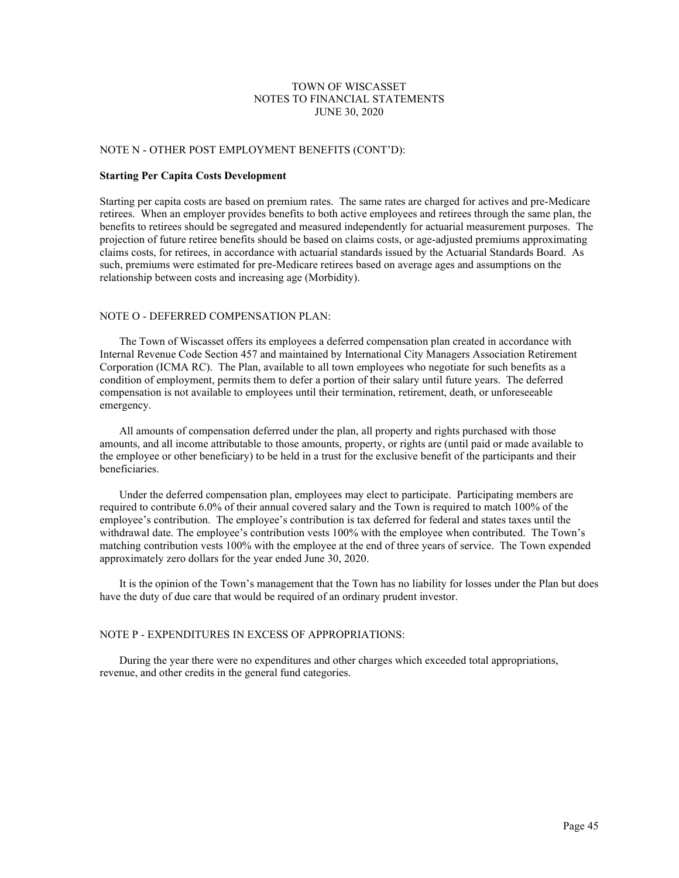### NOTE N - OTHER POST EMPLOYMENT BENEFITS (CONT'D):

#### **Starting Per Capita Costs Development**

Starting per capita costs are based on premium rates. The same rates are charged for actives and pre-Medicare retirees. When an employer provides benefits to both active employees and retirees through the same plan, the benefits to retirees should be segregated and measured independently for actuarial measurement purposes. The projection of future retiree benefits should be based on claims costs, or age-adjusted premiums approximating claims costs, for retirees, in accordance with actuarial standards issued by the Actuarial Standards Board. As such, premiums were estimated for pre-Medicare retirees based on average ages and assumptions on the relationship between costs and increasing age (Morbidity).

#### NOTE O - DEFERRED COMPENSATION PLAN:

 The Town of Wiscasset offers its employees a deferred compensation plan created in accordance with Internal Revenue Code Section 457 and maintained by International City Managers Association Retirement Corporation (ICMA RC). The Plan, available to all town employees who negotiate for such benefits as a condition of employment, permits them to defer a portion of their salary until future years. The deferred compensation is not available to employees until their termination, retirement, death, or unforeseeable emergency.

 All amounts of compensation deferred under the plan, all property and rights purchased with those amounts, and all income attributable to those amounts, property, or rights are (until paid or made available to the employee or other beneficiary) to be held in a trust for the exclusive benefit of the participants and their beneficiaries.

 Under the deferred compensation plan, employees may elect to participate. Participating members are required to contribute 6.0% of their annual covered salary and the Town is required to match 100% of the employee's contribution. The employee's contribution is tax deferred for federal and states taxes until the withdrawal date. The employee's contribution vests 100% with the employee when contributed. The Town's matching contribution vests 100% with the employee at the end of three years of service. The Town expended approximately zero dollars for the year ended June 30, 2020.

 It is the opinion of the Town's management that the Town has no liability for losses under the Plan but does have the duty of due care that would be required of an ordinary prudent investor.

#### NOTE P - EXPENDITURES IN EXCESS OF APPROPRIATIONS:

 During the year there were no expenditures and other charges which exceeded total appropriations, revenue, and other credits in the general fund categories.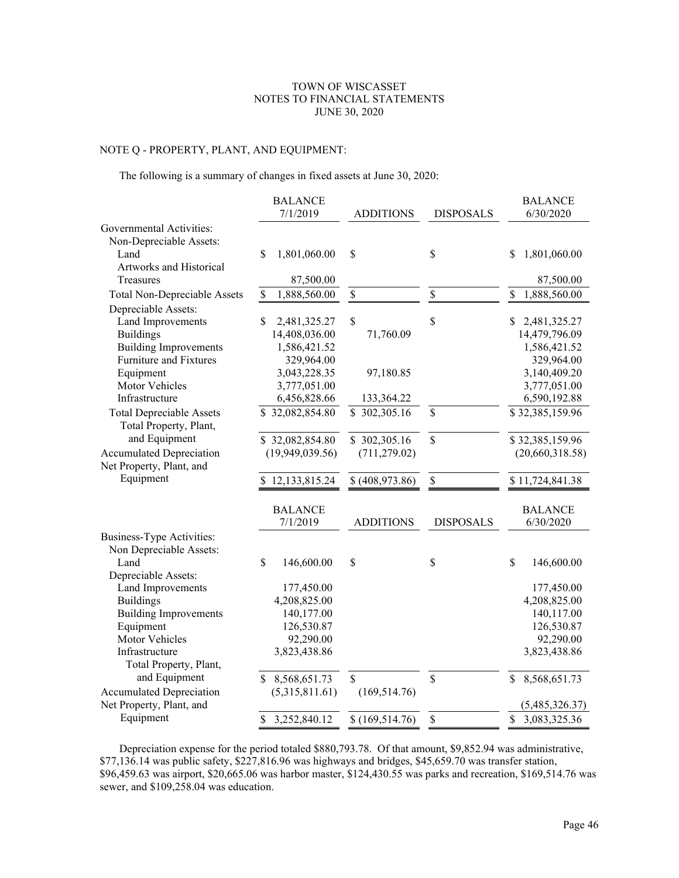# NOTE Q - PROPERTY, PLANT, AND EQUIPMENT:

The following is a summary of changes in fixed assets at June 30, 2020:

| Non-Depreciable Assets:<br>\$<br>\$<br>Land<br>\$<br>1,801,060.00<br>\$<br>1,801,060.00<br>Artworks and Historical<br>87,500.00<br>Treasures<br>87,500.00<br>\$<br>$\mathbb{S}$<br>\$<br>\$<br>1,888,560.00<br><b>Total Non-Depreciable Assets</b><br>1,888,560.00<br>Depreciable Assets:<br>\$<br>\$<br>Land Improvements<br>2,481,325.27<br>\$<br>2,481,325.27<br>\$<br>71,760.09<br><b>Buildings</b><br>14,408,036.00<br>14,479,796.09<br><b>Building Improvements</b><br>1,586,421.52<br>1,586,421.52<br>Furniture and Fixtures<br>329,964.00<br>329,964.00<br>Equipment<br>3,043,228.35<br>3,140,409.20<br>97,180.85<br>Motor Vehicles<br>3,777,051.00<br>3,777,051.00<br>Infrastructure<br>6,456,828.66<br>133,364.22<br>6,590,192.88<br>\$302,305.16<br>$\mathbf{\hat{S}}$<br>\$32,082,854.80<br>\$32,385,159.96<br><b>Total Depreciable Assets</b><br>Total Property, Plant,<br>and Equipment<br>\$<br>\$32,082,854.80<br>\$302,305.16<br>\$32,385,159.96<br><b>Accumulated Depreciation</b><br>(19,949,039.56)<br>(711, 279.02)<br>(20,660,318.58)<br>Net Property, Plant, and<br>Equipment<br>\$<br>12, 133, 815. 24<br>\$ (408,973.86)<br>\$11,724,841.38<br>S<br><b>BALANCE</b><br><b>BALANCE</b><br>7/1/2019<br>6/30/2020<br><b>ADDITIONS</b><br><b>DISPOSALS</b><br>Non Depreciable Assets:<br>\$<br>\$<br>\$<br>146,600.00<br>\$<br>146,600.00<br>Land<br>Depreciable Assets:<br>Land Improvements<br>177,450.00<br>177,450.00<br><b>Buildings</b><br>4,208,825.00<br>4,208,825.00<br><b>Building Improvements</b><br>140,177.00<br>140,117.00<br>Equipment<br>126,530.87<br>126,530.87<br>Motor Vehicles<br>92,290.00<br>92,290.00<br>Infrastructure<br>3,823,438.86<br>3,823,438.86<br>Total Property, Plant,<br>and Equipment<br>\$<br>\$<br>8,568,651.73<br>\$<br>\$<br>8,568,651.73<br>(5,315,811.61)<br>(169, 514.76)<br>Net Property, Plant, and<br>(5,485,326.37)<br>Equipment<br>\$<br>\$<br>\$<br>3,252,840.12<br>\$(169,514.76)<br>3,083,325.36 |                                 | <b>BALANCE</b><br>7/1/2019 | <b>ADDITIONS</b> | <b>DISPOSALS</b> | <b>BALANCE</b><br>6/30/2020 |
|---------------------------------------------------------------------------------------------------------------------------------------------------------------------------------------------------------------------------------------------------------------------------------------------------------------------------------------------------------------------------------------------------------------------------------------------------------------------------------------------------------------------------------------------------------------------------------------------------------------------------------------------------------------------------------------------------------------------------------------------------------------------------------------------------------------------------------------------------------------------------------------------------------------------------------------------------------------------------------------------------------------------------------------------------------------------------------------------------------------------------------------------------------------------------------------------------------------------------------------------------------------------------------------------------------------------------------------------------------------------------------------------------------------------------------------------------------------------------------------------------------------------------------------------------------------------------------------------------------------------------------------------------------------------------------------------------------------------------------------------------------------------------------------------------------------------------------------------------------------------------------------------------------------------------------------------------------------------------|---------------------------------|----------------------------|------------------|------------------|-----------------------------|
|                                                                                                                                                                                                                                                                                                                                                                                                                                                                                                                                                                                                                                                                                                                                                                                                                                                                                                                                                                                                                                                                                                                                                                                                                                                                                                                                                                                                                                                                                                                                                                                                                                                                                                                                                                                                                                                                                                                                                                           | Governmental Activities:        |                            |                  |                  |                             |
|                                                                                                                                                                                                                                                                                                                                                                                                                                                                                                                                                                                                                                                                                                                                                                                                                                                                                                                                                                                                                                                                                                                                                                                                                                                                                                                                                                                                                                                                                                                                                                                                                                                                                                                                                                                                                                                                                                                                                                           |                                 |                            |                  |                  |                             |
|                                                                                                                                                                                                                                                                                                                                                                                                                                                                                                                                                                                                                                                                                                                                                                                                                                                                                                                                                                                                                                                                                                                                                                                                                                                                                                                                                                                                                                                                                                                                                                                                                                                                                                                                                                                                                                                                                                                                                                           |                                 |                            |                  |                  |                             |
|                                                                                                                                                                                                                                                                                                                                                                                                                                                                                                                                                                                                                                                                                                                                                                                                                                                                                                                                                                                                                                                                                                                                                                                                                                                                                                                                                                                                                                                                                                                                                                                                                                                                                                                                                                                                                                                                                                                                                                           |                                 |                            |                  |                  |                             |
|                                                                                                                                                                                                                                                                                                                                                                                                                                                                                                                                                                                                                                                                                                                                                                                                                                                                                                                                                                                                                                                                                                                                                                                                                                                                                                                                                                                                                                                                                                                                                                                                                                                                                                                                                                                                                                                                                                                                                                           |                                 |                            |                  |                  |                             |
|                                                                                                                                                                                                                                                                                                                                                                                                                                                                                                                                                                                                                                                                                                                                                                                                                                                                                                                                                                                                                                                                                                                                                                                                                                                                                                                                                                                                                                                                                                                                                                                                                                                                                                                                                                                                                                                                                                                                                                           |                                 |                            |                  |                  |                             |
|                                                                                                                                                                                                                                                                                                                                                                                                                                                                                                                                                                                                                                                                                                                                                                                                                                                                                                                                                                                                                                                                                                                                                                                                                                                                                                                                                                                                                                                                                                                                                                                                                                                                                                                                                                                                                                                                                                                                                                           |                                 |                            |                  |                  |                             |
|                                                                                                                                                                                                                                                                                                                                                                                                                                                                                                                                                                                                                                                                                                                                                                                                                                                                                                                                                                                                                                                                                                                                                                                                                                                                                                                                                                                                                                                                                                                                                                                                                                                                                                                                                                                                                                                                                                                                                                           |                                 |                            |                  |                  |                             |
|                                                                                                                                                                                                                                                                                                                                                                                                                                                                                                                                                                                                                                                                                                                                                                                                                                                                                                                                                                                                                                                                                                                                                                                                                                                                                                                                                                                                                                                                                                                                                                                                                                                                                                                                                                                                                                                                                                                                                                           |                                 |                            |                  |                  |                             |
|                                                                                                                                                                                                                                                                                                                                                                                                                                                                                                                                                                                                                                                                                                                                                                                                                                                                                                                                                                                                                                                                                                                                                                                                                                                                                                                                                                                                                                                                                                                                                                                                                                                                                                                                                                                                                                                                                                                                                                           |                                 |                            |                  |                  |                             |
|                                                                                                                                                                                                                                                                                                                                                                                                                                                                                                                                                                                                                                                                                                                                                                                                                                                                                                                                                                                                                                                                                                                                                                                                                                                                                                                                                                                                                                                                                                                                                                                                                                                                                                                                                                                                                                                                                                                                                                           |                                 |                            |                  |                  |                             |
|                                                                                                                                                                                                                                                                                                                                                                                                                                                                                                                                                                                                                                                                                                                                                                                                                                                                                                                                                                                                                                                                                                                                                                                                                                                                                                                                                                                                                                                                                                                                                                                                                                                                                                                                                                                                                                                                                                                                                                           |                                 |                            |                  |                  |                             |
|                                                                                                                                                                                                                                                                                                                                                                                                                                                                                                                                                                                                                                                                                                                                                                                                                                                                                                                                                                                                                                                                                                                                                                                                                                                                                                                                                                                                                                                                                                                                                                                                                                                                                                                                                                                                                                                                                                                                                                           |                                 |                            |                  |                  |                             |
|                                                                                                                                                                                                                                                                                                                                                                                                                                                                                                                                                                                                                                                                                                                                                                                                                                                                                                                                                                                                                                                                                                                                                                                                                                                                                                                                                                                                                                                                                                                                                                                                                                                                                                                                                                                                                                                                                                                                                                           |                                 |                            |                  |                  |                             |
|                                                                                                                                                                                                                                                                                                                                                                                                                                                                                                                                                                                                                                                                                                                                                                                                                                                                                                                                                                                                                                                                                                                                                                                                                                                                                                                                                                                                                                                                                                                                                                                                                                                                                                                                                                                                                                                                                                                                                                           |                                 |                            |                  |                  |                             |
|                                                                                                                                                                                                                                                                                                                                                                                                                                                                                                                                                                                                                                                                                                                                                                                                                                                                                                                                                                                                                                                                                                                                                                                                                                                                                                                                                                                                                                                                                                                                                                                                                                                                                                                                                                                                                                                                                                                                                                           |                                 |                            |                  |                  |                             |
|                                                                                                                                                                                                                                                                                                                                                                                                                                                                                                                                                                                                                                                                                                                                                                                                                                                                                                                                                                                                                                                                                                                                                                                                                                                                                                                                                                                                                                                                                                                                                                                                                                                                                                                                                                                                                                                                                                                                                                           |                                 |                            |                  |                  |                             |
|                                                                                                                                                                                                                                                                                                                                                                                                                                                                                                                                                                                                                                                                                                                                                                                                                                                                                                                                                                                                                                                                                                                                                                                                                                                                                                                                                                                                                                                                                                                                                                                                                                                                                                                                                                                                                                                                                                                                                                           |                                 |                            |                  |                  |                             |
|                                                                                                                                                                                                                                                                                                                                                                                                                                                                                                                                                                                                                                                                                                                                                                                                                                                                                                                                                                                                                                                                                                                                                                                                                                                                                                                                                                                                                                                                                                                                                                                                                                                                                                                                                                                                                                                                                                                                                                           |                                 |                            |                  |                  |                             |
|                                                                                                                                                                                                                                                                                                                                                                                                                                                                                                                                                                                                                                                                                                                                                                                                                                                                                                                                                                                                                                                                                                                                                                                                                                                                                                                                                                                                                                                                                                                                                                                                                                                                                                                                                                                                                                                                                                                                                                           |                                 |                            |                  |                  |                             |
|                                                                                                                                                                                                                                                                                                                                                                                                                                                                                                                                                                                                                                                                                                                                                                                                                                                                                                                                                                                                                                                                                                                                                                                                                                                                                                                                                                                                                                                                                                                                                                                                                                                                                                                                                                                                                                                                                                                                                                           |                                 |                            |                  |                  |                             |
|                                                                                                                                                                                                                                                                                                                                                                                                                                                                                                                                                                                                                                                                                                                                                                                                                                                                                                                                                                                                                                                                                                                                                                                                                                                                                                                                                                                                                                                                                                                                                                                                                                                                                                                                                                                                                                                                                                                                                                           | Business-Type Activities:       |                            |                  |                  |                             |
|                                                                                                                                                                                                                                                                                                                                                                                                                                                                                                                                                                                                                                                                                                                                                                                                                                                                                                                                                                                                                                                                                                                                                                                                                                                                                                                                                                                                                                                                                                                                                                                                                                                                                                                                                                                                                                                                                                                                                                           |                                 |                            |                  |                  |                             |
|                                                                                                                                                                                                                                                                                                                                                                                                                                                                                                                                                                                                                                                                                                                                                                                                                                                                                                                                                                                                                                                                                                                                                                                                                                                                                                                                                                                                                                                                                                                                                                                                                                                                                                                                                                                                                                                                                                                                                                           |                                 |                            |                  |                  |                             |
|                                                                                                                                                                                                                                                                                                                                                                                                                                                                                                                                                                                                                                                                                                                                                                                                                                                                                                                                                                                                                                                                                                                                                                                                                                                                                                                                                                                                                                                                                                                                                                                                                                                                                                                                                                                                                                                                                                                                                                           |                                 |                            |                  |                  |                             |
|                                                                                                                                                                                                                                                                                                                                                                                                                                                                                                                                                                                                                                                                                                                                                                                                                                                                                                                                                                                                                                                                                                                                                                                                                                                                                                                                                                                                                                                                                                                                                                                                                                                                                                                                                                                                                                                                                                                                                                           |                                 |                            |                  |                  |                             |
|                                                                                                                                                                                                                                                                                                                                                                                                                                                                                                                                                                                                                                                                                                                                                                                                                                                                                                                                                                                                                                                                                                                                                                                                                                                                                                                                                                                                                                                                                                                                                                                                                                                                                                                                                                                                                                                                                                                                                                           |                                 |                            |                  |                  |                             |
|                                                                                                                                                                                                                                                                                                                                                                                                                                                                                                                                                                                                                                                                                                                                                                                                                                                                                                                                                                                                                                                                                                                                                                                                                                                                                                                                                                                                                                                                                                                                                                                                                                                                                                                                                                                                                                                                                                                                                                           |                                 |                            |                  |                  |                             |
|                                                                                                                                                                                                                                                                                                                                                                                                                                                                                                                                                                                                                                                                                                                                                                                                                                                                                                                                                                                                                                                                                                                                                                                                                                                                                                                                                                                                                                                                                                                                                                                                                                                                                                                                                                                                                                                                                                                                                                           |                                 |                            |                  |                  |                             |
|                                                                                                                                                                                                                                                                                                                                                                                                                                                                                                                                                                                                                                                                                                                                                                                                                                                                                                                                                                                                                                                                                                                                                                                                                                                                                                                                                                                                                                                                                                                                                                                                                                                                                                                                                                                                                                                                                                                                                                           |                                 |                            |                  |                  |                             |
|                                                                                                                                                                                                                                                                                                                                                                                                                                                                                                                                                                                                                                                                                                                                                                                                                                                                                                                                                                                                                                                                                                                                                                                                                                                                                                                                                                                                                                                                                                                                                                                                                                                                                                                                                                                                                                                                                                                                                                           | <b>Accumulated Depreciation</b> |                            |                  |                  |                             |
|                                                                                                                                                                                                                                                                                                                                                                                                                                                                                                                                                                                                                                                                                                                                                                                                                                                                                                                                                                                                                                                                                                                                                                                                                                                                                                                                                                                                                                                                                                                                                                                                                                                                                                                                                                                                                                                                                                                                                                           |                                 |                            |                  |                  |                             |

 Depreciation expense for the period totaled \$880,793.78. Of that amount, \$9,852.94 was administrative, \$77,136.14 was public safety, \$227,816.96 was highways and bridges, \$45,659.70 was transfer station, \$96,459.63 was airport, \$20,665.06 was harbor master, \$124,430.55 was parks and recreation, \$169,514.76 was sewer, and \$109,258.04 was education.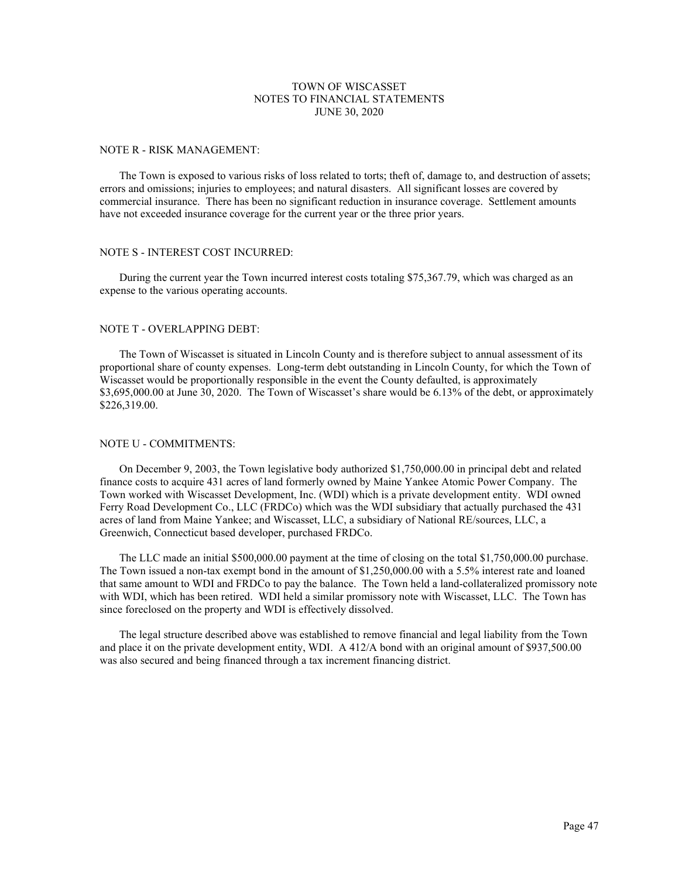#### NOTE R - RISK MANAGEMENT:

 The Town is exposed to various risks of loss related to torts; theft of, damage to, and destruction of assets; errors and omissions; injuries to employees; and natural disasters. All significant losses are covered by commercial insurance. There has been no significant reduction in insurance coverage. Settlement amounts have not exceeded insurance coverage for the current year or the three prior years.

#### NOTE S - INTEREST COST INCURRED:

 During the current year the Town incurred interest costs totaling \$75,367.79, which was charged as an expense to the various operating accounts.

# NOTE T - OVERLAPPING DEBT:

 The Town of Wiscasset is situated in Lincoln County and is therefore subject to annual assessment of its proportional share of county expenses. Long-term debt outstanding in Lincoln County, for which the Town of Wiscasset would be proportionally responsible in the event the County defaulted, is approximately \$3,695,000.00 at June 30, 2020. The Town of Wiscasset's share would be 6.13% of the debt, or approximately \$226,319.00.

#### NOTE U - COMMITMENTS:

 On December 9, 2003, the Town legislative body authorized \$1,750,000.00 in principal debt and related finance costs to acquire 431 acres of land formerly owned by Maine Yankee Atomic Power Company. The Town worked with Wiscasset Development, Inc. (WDI) which is a private development entity. WDI owned Ferry Road Development Co., LLC (FRDCo) which was the WDI subsidiary that actually purchased the 431 acres of land from Maine Yankee; and Wiscasset, LLC, a subsidiary of National RE/sources, LLC, a Greenwich, Connecticut based developer, purchased FRDCo.

 The LLC made an initial \$500,000.00 payment at the time of closing on the total \$1,750,000.00 purchase. The Town issued a non-tax exempt bond in the amount of \$1,250,000.00 with a 5.5% interest rate and loaned that same amount to WDI and FRDCo to pay the balance. The Town held a land-collateralized promissory note with WDI, which has been retired. WDI held a similar promissory note with Wiscasset, LLC. The Town has since foreclosed on the property and WDI is effectively dissolved.

 The legal structure described above was established to remove financial and legal liability from the Town and place it on the private development entity, WDI. A 412/A bond with an original amount of \$937,500.00 was also secured and being financed through a tax increment financing district.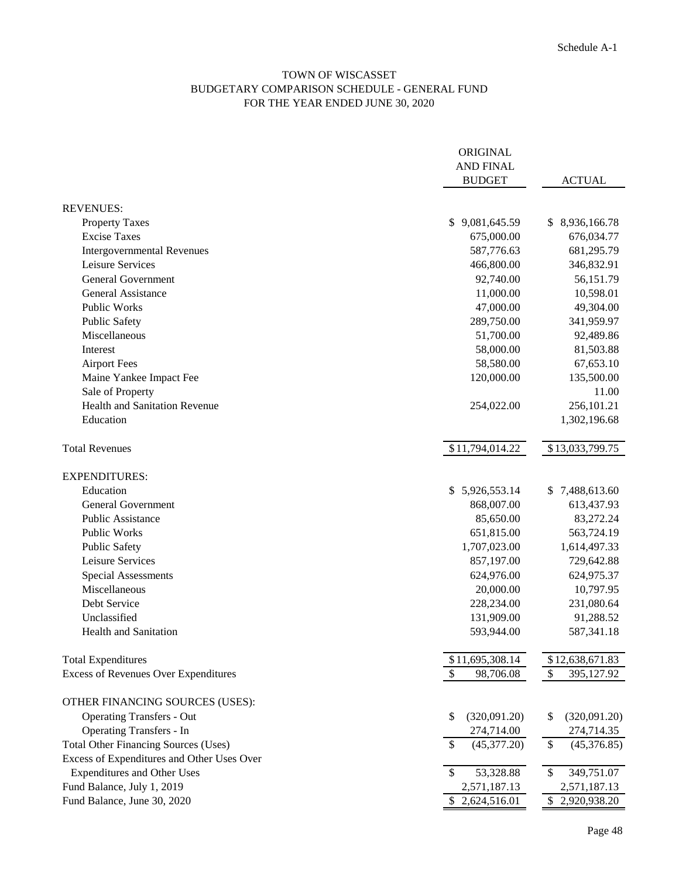# TOWN OF WISCASSET BUDGETARY COMPARISON SCHEDULE - GENERAL FUND FOR THE YEAR ENDED JUNE 30, 2020

|                                             | ORIGINAL           |                    |
|---------------------------------------------|--------------------|--------------------|
|                                             | <b>AND FINAL</b>   |                    |
|                                             | <b>BUDGET</b>      | <b>ACTUAL</b>      |
| <b>REVENUES:</b>                            |                    |                    |
| <b>Property Taxes</b>                       | 9,081,645.59<br>\$ | \$ 8,936,166.78    |
| <b>Excise Taxes</b>                         | 675,000.00         | 676,034.77         |
| <b>Intergovernmental Revenues</b>           | 587,776.63         | 681,295.79         |
| Leisure Services                            | 466,800.00         | 346,832.91         |
| <b>General Government</b>                   | 92,740.00          | 56,151.79          |
| General Assistance                          | 11,000.00          | 10,598.01          |
| <b>Public Works</b>                         | 47,000.00          | 49,304.00          |
| <b>Public Safety</b>                        | 289,750.00         | 341,959.97         |
| Miscellaneous                               | 51,700.00          | 92,489.86          |
| Interest                                    | 58,000.00          | 81,503.88          |
| <b>Airport Fees</b>                         | 58,580.00          | 67,653.10          |
| Maine Yankee Impact Fee                     | 120,000.00         | 135,500.00         |
| Sale of Property                            |                    | 11.00              |
| Health and Sanitation Revenue               | 254,022.00         | 256,101.21         |
| Education                                   |                    | 1,302,196.68       |
| <b>Total Revenues</b>                       | \$11,794,014.22    | \$13,033,799.75    |
|                                             |                    |                    |
| <b>EXPENDITURES:</b>                        |                    |                    |
| Education                                   | \$5,926,553.14     | \$7,488,613.60     |
| <b>General Government</b>                   | 868,007.00         | 613,437.93         |
| <b>Public Assistance</b>                    | 85,650.00          | 83,272.24          |
| Public Works                                | 651,815.00         | 563,724.19         |
| <b>Public Safety</b>                        | 1,707,023.00       | 1,614,497.33       |
| Leisure Services                            | 857,197.00         | 729,642.88         |
| <b>Special Assessments</b>                  | 624,976.00         | 624,975.37         |
| Miscellaneous                               | 20,000.00          | 10,797.95          |
| Debt Service                                | 228,234.00         | 231,080.64         |
| Unclassified                                | 131,909.00         | 91,288.52          |
| <b>Health and Sanitation</b>                | 593,944.00         | 587,341.18         |
| <b>Total Expenditures</b>                   | \$11,695,308.14    | \$12,638,671.83    |
| <b>Excess of Revenues Over Expenditures</b> | \$<br>98,706.08    | \$<br>395,127.92   |
| OTHER FINANCING SOURCES (USES):             |                    |                    |
| <b>Operating Transfers - Out</b>            | \$<br>(320,091.20) | \$<br>(320,091.20) |
| <b>Operating Transfers - In</b>             | 274,714.00         | 274,714.35         |
| <b>Total Other Financing Sources (Uses)</b> | S<br>(45,377.20)   | \$<br>(45,376.85)  |
| Excess of Expenditures and Other Uses Over  |                    |                    |
| <b>Expenditures and Other Uses</b>          | 53,328.88<br>\$.   | \$<br>349,751.07   |
| Fund Balance, July 1, 2019                  | 2,571,187.13       | 2,571,187.13       |
| Fund Balance, June 30, 2020                 | \$2,624,516.01     | \$2,920,938.20     |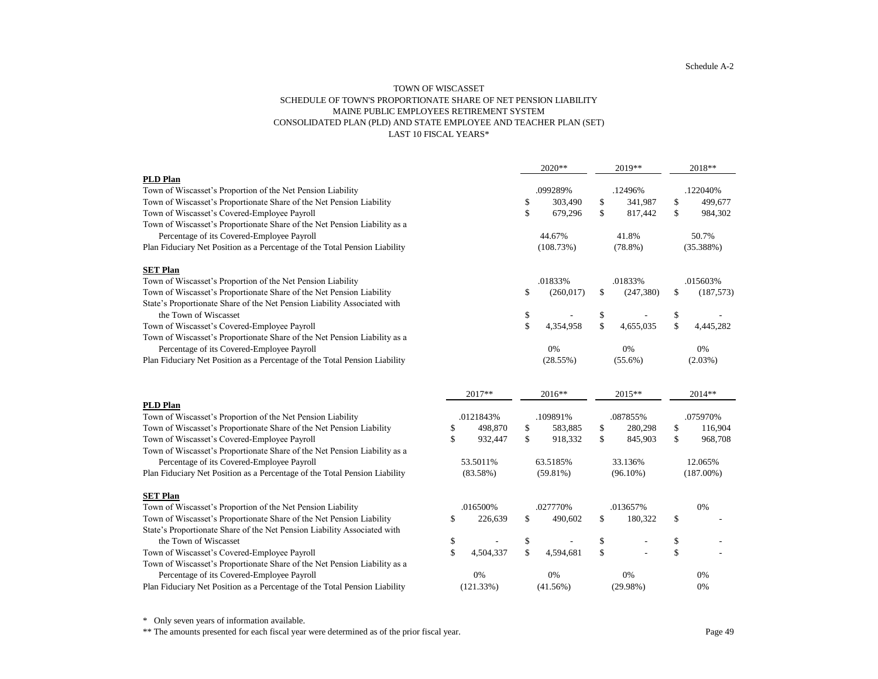#### TOWN OF WISCASSET SCHEDULE OF TOWN'S PROPORTIONATE SHARE OF NET PENSION LIABILITY MAINE PUBLIC EMPLOYEES RETIREMENT SYSTEM CONSOLIDATED PLAN (PLD) AND STATE EMPLOYEE AND TEACHER PLAN (SET) LAST 10 FISCAL YEARS\*

|                                                                            |    |           | 2020**           | 2019**           | 2018**           |
|----------------------------------------------------------------------------|----|-----------|------------------|------------------|------------------|
| <b>PLD Plan</b>                                                            |    |           |                  |                  |                  |
| Town of Wiscasset's Proportion of the Net Pension Liability                |    |           | .099289%         | .12496%          | .122040%         |
| Town of Wiscasset's Proportionate Share of the Net Pension Liability       |    |           | \$<br>303,490    | \$<br>341,987    | \$<br>499,677    |
| Town of Wiscasset's Covered-Employee Payroll                               |    |           | \$<br>679,296    | \$<br>817,442    | \$<br>984,302    |
| Town of Wiscasset's Proportionate Share of the Net Pension Liability as a  |    |           |                  |                  |                  |
| Percentage of its Covered-Employee Payroll                                 |    |           | 44.67%           | 41.8%            | 50.7%            |
| Plan Fiduciary Net Position as a Percentage of the Total Pension Liability |    |           | (108.73%)        | $(78.8\%)$       | (35.388%)        |
| <b>SET Plan</b>                                                            |    |           |                  |                  |                  |
| Town of Wiscasset's Proportion of the Net Pension Liability                |    |           | .01833%          | .01833%          | .015603%         |
| Town of Wiscasset's Proportionate Share of the Net Pension Liability       |    |           | \$<br>(260, 017) | \$<br>(247, 380) | \$<br>(187, 573) |
| State's Proportionate Share of the Net Pension Liability Associated with   |    |           |                  |                  |                  |
| the Town of Wiscasset                                                      |    |           | \$               | \$               | \$               |
| Town of Wiscasset's Covered-Employee Payroll                               |    |           | \$<br>4,354,958  | \$<br>4,655,035  | \$<br>4,445,282  |
| Town of Wiscasset's Proportionate Share of the Net Pension Liability as a  |    |           |                  |                  |                  |
| Percentage of its Covered-Employee Payroll                                 |    |           | 0%               | 0%               | 0%               |
| Plan Fiduciary Net Position as a Percentage of the Total Pension Liability |    |           | (28.55%)         | $(55.6\%)$       | $(2.03\%)$       |
|                                                                            |    | 2017**    | 2016**           | 2015**           | 2014**           |
| <b>PLD Plan</b>                                                            |    |           |                  |                  |                  |
| Town of Wiscasset's Proportion of the Net Pension Liability                |    | .0121843% | .109891%         | .087855%         | .075970%         |
| Town of Wiscasset's Proportionate Share of the Net Pension Liability       | S  | 498,870   | \$<br>583,885    | \$<br>280,298    | \$<br>116,904    |
| Town of Wiscasset's Covered-Employee Payroll                               | \$ | 932,447   | \$<br>918,332    | \$<br>845,903    | \$<br>968,708    |
| Town of Wiscasset's Proportionate Share of the Net Pension Liability as a  |    |           |                  |                  |                  |
| Percentage of its Covered-Employee Payroll                                 |    | 53.5011%  | 63.5185%         | 33.136%          | 12.065%          |
| Plan Fiduciary Net Position as a Percentage of the Total Pension Liability |    | (83.58%)  | $(59.81\%)$      | $(96.10\%)$      | $(187.00\%)$     |
| <b>SET Plan</b>                                                            |    |           |                  |                  |                  |
| Town of Wiscasset's Proportion of the Net Pension Liability                |    | .016500%  | .027770%         | .013657%         | 0%               |
| Town of Wiscasset's Proportionate Share of the Net Pension Liability       | \$ | 226,639   | \$<br>490,602    | \$<br>180,322    | \$               |
| State's Proportionate Share of the Net Pension Liability Associated with   |    |           |                  |                  |                  |
| the Town of Wiscasset                                                      | \$ |           | \$               | \$               | \$               |
| Town of Wiscasset's Covered-Employee Payroll                               | \$ | 4,504,337 | \$<br>4,594,681  | \$               | \$               |
| Town of Wiscasset's Proportionate Share of the Net Pension Liability as a  |    |           |                  |                  |                  |
| Percentage of its Covered-Employee Payroll                                 |    | 0%        | 0%               | 0%               | 0%               |
| Plan Fiduciary Net Position as a Percentage of the Total Pension Liability |    | (121.33%) | $(41.56\%)$      | (29.98%)         | 0%               |

\* Only seven years of information available.

\*\* The amounts presented for each fiscal year were determined as of the prior fiscal year. Page 49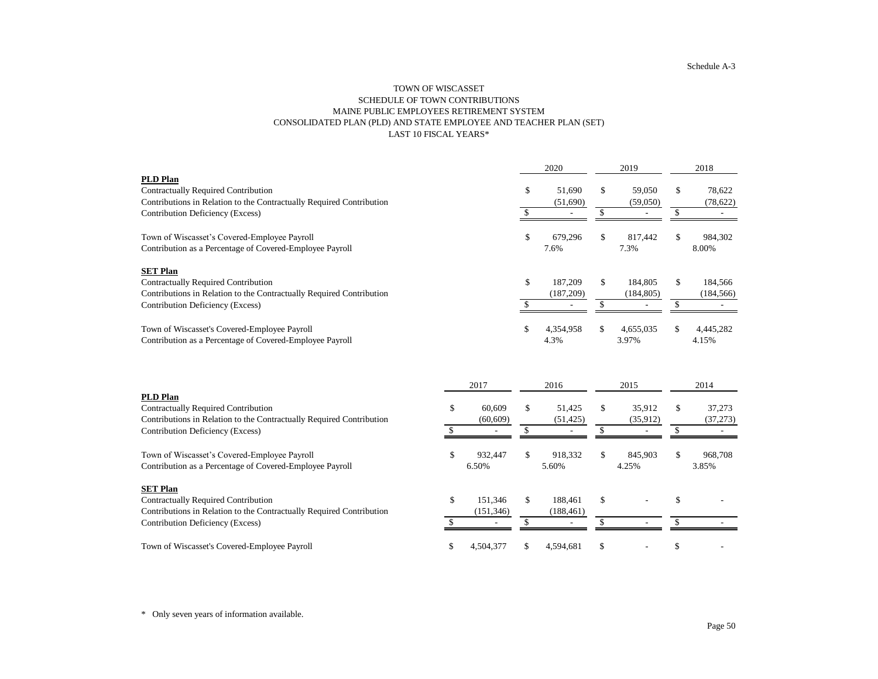#### TOWN OF WISCASSET SCHEDULE OF TOWN CONTRIBUTIONS MAINE PUBLIC EMPLOYEES RETIREMENT SYSTEM CONSOLIDATED PLAN (PLD) AND STATE EMPLOYEE AND TEACHER PLAN (SET) LAST 10 FISCAL YEARS\*

|                                                                                                                                                                                  |                             |           | 2020                  |          | 2019                  |          | 2018                  |
|----------------------------------------------------------------------------------------------------------------------------------------------------------------------------------|-----------------------------|-----------|-----------------------|----------|-----------------------|----------|-----------------------|
| <b>PLD Plan</b><br><b>Contractually Required Contribution</b><br>Contributions in Relation to the Contractually Required Contribution<br><b>Contribution Deficiency (Excess)</b> |                             | \$<br>\$. | 51,690<br>(51,690)    | \$<br>\$ | 59,050<br>(59,050)    | \$<br>\$ | 78,622<br>(78, 622)   |
| Town of Wiscasset's Covered-Employee Payroll<br>Contribution as a Percentage of Covered-Employee Payroll                                                                         |                             | \$        | 679,296<br>7.6%       | \$       | 817,442<br>7.3%       | \$       | 984,302<br>8.00%      |
| <b>SET Plan</b><br><b>Contractually Required Contribution</b><br>Contributions in Relation to the Contractually Required Contribution<br>Contribution Deficiency (Excess)        |                             | \$        | 187,209<br>(187,209)  | \$<br>\$ | 184,805<br>(184, 805) | \$<br>\$ | 184,566<br>(184, 566) |
| Town of Wiscasset's Covered-Employee Payroll<br>Contribution as a Percentage of Covered-Employee Payroll                                                                         |                             | \$        | 4,354,958<br>4.3%     | \$       | 4,655,035<br>3.97%    | \$       | 4,445,282<br>4.15%    |
| <b>PLD Plan</b>                                                                                                                                                                  | 2017                        |           | 2016                  |          | 2015                  |          | 2014                  |
| <b>Contractually Required Contribution</b><br>Contributions in Relation to the Contractually Required Contribution<br>Contribution Deficiency (Excess)                           | \$<br>60,609<br>(60, 609)   | \$<br>\$  | 51,425<br>(51, 425)   | \$<br>\$ | 35,912<br>(35, 912)   | \$<br>\$ | 37,273<br>(37, 273)   |
| Town of Wiscasset's Covered-Employee Payroll<br>Contribution as a Percentage of Covered-Employee Payroll                                                                         | \$<br>932,447<br>6.50%      | \$        | 918,332<br>5.60%      | \$       | 845,903<br>4.25%      | \$       | 968,708<br>3.85%      |
| <b>SET Plan</b><br><b>Contractually Required Contribution</b><br>Contributions in Relation to the Contractually Required Contribution                                            | \$<br>151,346<br>(151, 346) | \$        | 188,461<br>(188, 461) | \$       |                       | \$       |                       |
| Contribution Deficiency (Excess)<br>Town of Wiscasset's Covered-Employee Payroll                                                                                                 | \$<br>4,504,377             | \$<br>\$  | 4,594,681             | \$<br>\$ |                       | \$<br>\$ |                       |

\* Only seven years of information available.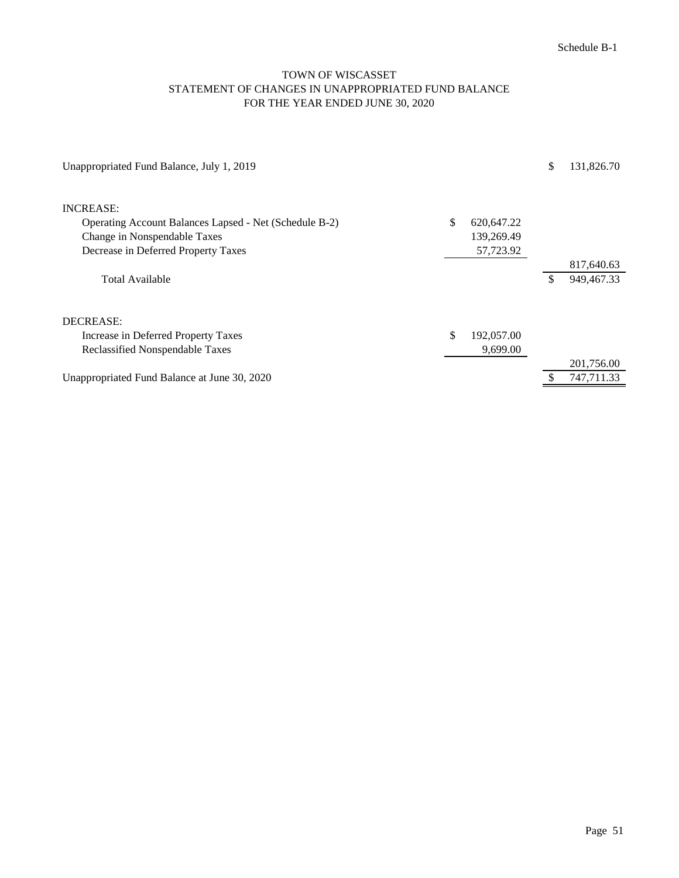# TOWN OF WISCASSET STATEMENT OF CHANGES IN UNAPPROPRIATED FUND BALANCE FOR THE YEAR ENDED JUNE 30, 2020

| Unappropriated Fund Balance, July 1, 2019                     |                  | \$<br>131,826.70 |
|---------------------------------------------------------------|------------------|------------------|
| <b>INCREASE:</b>                                              |                  |                  |
| <b>Operating Account Balances Lapsed - Net (Schedule B-2)</b> | \$<br>620,647.22 |                  |
| Change in Nonspendable Taxes                                  | 139,269.49       |                  |
| Decrease in Deferred Property Taxes                           | 57,723.92        |                  |
|                                                               |                  | 817,640.63       |
| <b>Total Available</b>                                        |                  | \$<br>949,467.33 |
| <b>DECREASE:</b>                                              |                  |                  |
| Increase in Deferred Property Taxes                           | \$<br>192,057.00 |                  |
| Reclassified Nonspendable Taxes                               | 9,699.00         |                  |
|                                                               |                  | 201,756.00       |
| Unappropriated Fund Balance at June 30, 2020                  |                  | 747,711.33       |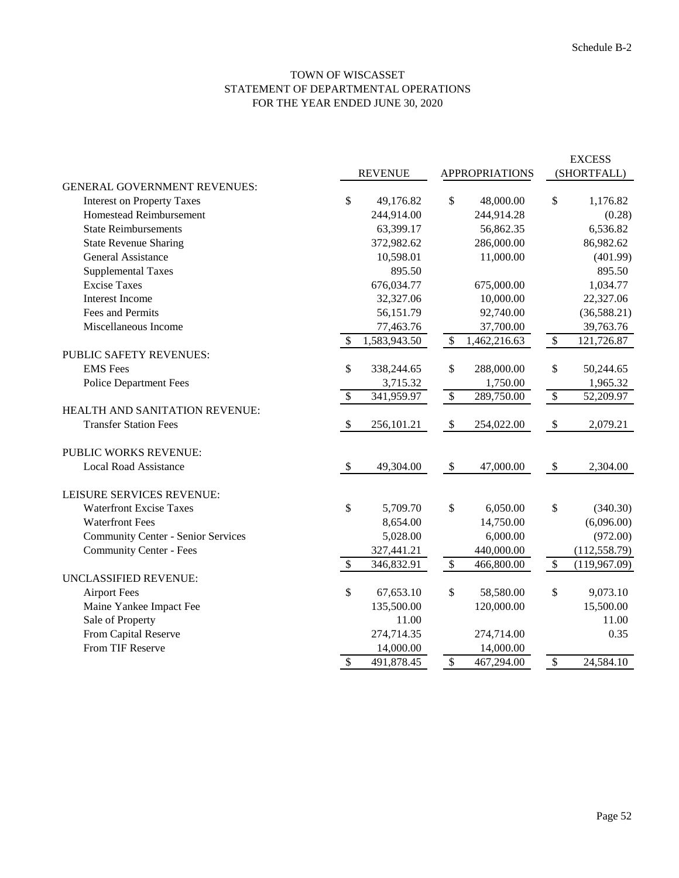# TOWN OF WISCASSET STATEMENT OF DEPARTMENTAL OPERATIONS FOR THE YEAR ENDED JUNE 30, 2020

|                                           |                          |                |                           |                       |                           | <b>EXCESS</b> |
|-------------------------------------------|--------------------------|----------------|---------------------------|-----------------------|---------------------------|---------------|
|                                           |                          | <b>REVENUE</b> |                           | <b>APPROPRIATIONS</b> |                           | (SHORTFALL)   |
| <b>GENERAL GOVERNMENT REVENUES:</b>       |                          |                |                           |                       |                           |               |
| <b>Interest on Property Taxes</b>         | \$                       | 49,176.82      | \$                        | 48,000.00             | \$                        | 1,176.82      |
| Homestead Reimbursement                   |                          | 244,914.00     |                           | 244,914.28            |                           | (0.28)        |
| <b>State Reimbursements</b>               |                          | 63,399.17      |                           | 56,862.35             |                           | 6,536.82      |
| <b>State Revenue Sharing</b>              |                          | 372,982.62     |                           | 286,000.00            |                           | 86,982.62     |
| <b>General Assistance</b>                 |                          | 10,598.01      |                           | 11,000.00             |                           | (401.99)      |
| Supplemental Taxes                        |                          | 895.50         |                           |                       |                           | 895.50        |
| <b>Excise Taxes</b>                       |                          | 676,034.77     |                           | 675,000.00            |                           | 1,034.77      |
| <b>Interest Income</b>                    |                          | 32,327.06      |                           | 10,000.00             |                           | 22,327.06     |
| Fees and Permits                          |                          | 56,151.79      |                           | 92,740.00             |                           | (36,588.21)   |
| Miscellaneous Income                      |                          | 77,463.76      |                           | 37,700.00             |                           | 39,763.76     |
|                                           | \$                       | 1,583,943.50   | $\overline{\mathcal{S}}$  | 1,462,216.63          | $\overline{\mathcal{S}}$  | 121,726.87    |
| PUBLIC SAFETY REVENUES:                   |                          |                |                           |                       |                           |               |
| <b>EMS</b> Fees                           | \$                       | 338,244.65     | \$                        | 288,000.00            | \$                        | 50,244.65     |
| <b>Police Department Fees</b>             |                          | 3,715.32       |                           | 1,750.00              |                           | 1,965.32      |
|                                           | $\overline{\mathcal{S}}$ | 341,959.97     | $\overline{\$}$           | 289,750.00            | $\overline{\$}$           | 52,209.97     |
| HEALTH AND SANITATION REVENUE:            |                          |                |                           |                       |                           |               |
| <b>Transfer Station Fees</b>              | \$                       | 256,101.21     | $\boldsymbol{\mathsf{S}}$ | 254,022.00            | $\$\,$                    | 2,079.21      |
| PUBLIC WORKS REVENUE:                     |                          |                |                           |                       |                           |               |
| <b>Local Road Assistance</b>              | \$                       | 49,304.00      | $\boldsymbol{\mathsf{S}}$ | 47,000.00             | $\boldsymbol{\mathsf{S}}$ | 2,304.00      |
| LEISURE SERVICES REVENUE:                 |                          |                |                           |                       |                           |               |
| <b>Waterfront Excise Taxes</b>            | \$                       | 5,709.70       | \$                        | 6,050.00              | \$                        | (340.30)      |
| <b>Waterfront Fees</b>                    |                          | 8,654.00       |                           | 14,750.00             |                           | (6,096.00)    |
| <b>Community Center - Senior Services</b> |                          | 5,028.00       |                           | 6,000.00              |                           | (972.00)      |
| <b>Community Center - Fees</b>            |                          | 327,441.21     |                           | 440,000.00            |                           | (112, 558.79) |
|                                           | $\$\,$                   | 346,832.91     | $\boldsymbol{\$}$         | 466,800.00            | $\boldsymbol{\mathsf{S}}$ | (119, 967.09) |
| UNCLASSIFIED REVENUE:                     |                          |                |                           |                       |                           |               |
| <b>Airport Fees</b>                       | \$                       | 67,653.10      | \$                        | 58,580.00             | \$                        | 9,073.10      |
| Maine Yankee Impact Fee                   |                          | 135,500.00     |                           | 120,000.00            |                           | 15,500.00     |
| Sale of Property                          |                          | 11.00          |                           |                       |                           | 11.00         |
| From Capital Reserve                      |                          | 274,714.35     |                           | 274,714.00            |                           | 0.35          |
| From TIF Reserve                          |                          | 14,000.00      |                           | 14,000.00             |                           |               |
|                                           | \$                       | 491,878.45     | \$                        | 467,294.00            | $\mathcal{S}$             | 24,584.10     |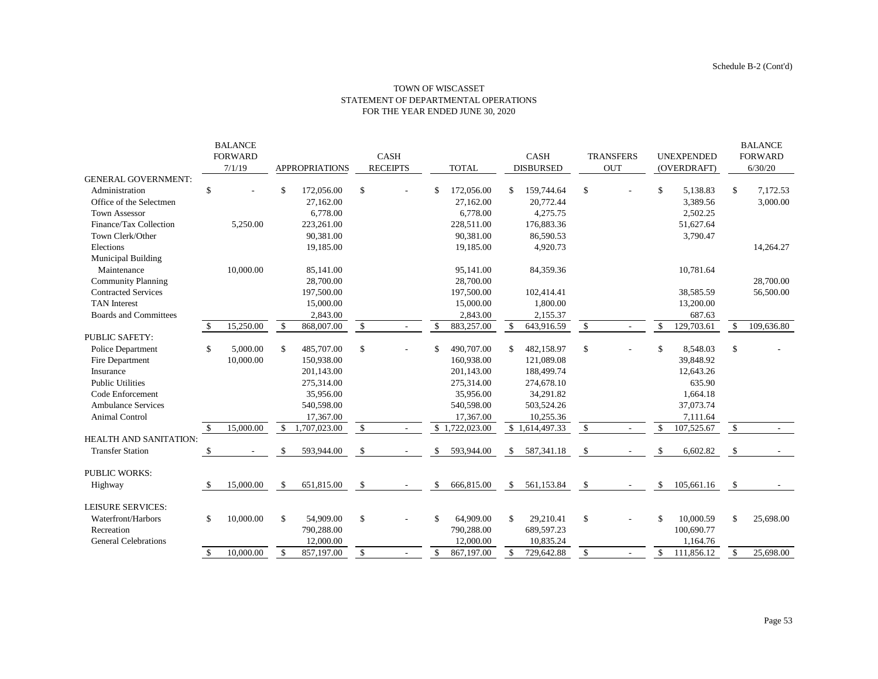|                               |               | <b>BALANCE</b><br><b>FORWARD</b><br>7/1/19 |     | <b>APPROPRIATIONS</b> |              | <b>CASH</b><br><b>RECEIPTS</b> |     | <b>TOTAL</b>   |               | <b>CASH</b><br><b>DISBURSED</b> |              | <b>TRANSFERS</b><br><b>OUT</b> | <b>UNEXPENDED</b><br>(OVERDRAFT) |              | <b>BALANCE</b><br><b>FORWARD</b><br>6/30/20 |
|-------------------------------|---------------|--------------------------------------------|-----|-----------------------|--------------|--------------------------------|-----|----------------|---------------|---------------------------------|--------------|--------------------------------|----------------------------------|--------------|---------------------------------------------|
| <b>GENERAL GOVERNMENT:</b>    |               |                                            |     |                       |              |                                |     |                |               |                                 |              |                                |                                  |              |                                             |
| Administration                | \$            |                                            | \$  | 172,056.00            | \$           |                                | \$  | 172,056.00     | $\mathcal{S}$ | 159,744.64                      | $\mathbf S$  |                                | \$<br>5,138.83                   | \$           | 7,172.53                                    |
| Office of the Selectmen       |               |                                            |     | 27,162.00             |              |                                |     | 27,162.00      |               | 20,772.44                       |              |                                | 3,389.56                         |              | 3,000.00                                    |
| <b>Town Assessor</b>          |               |                                            |     | 6,778.00              |              |                                |     | 6,778.00       |               | 4,275.75                        |              |                                | 2,502.25                         |              |                                             |
| Finance/Tax Collection        |               | 5,250.00                                   |     | 223,261.00            |              |                                |     | 228,511.00     |               | 176,883.36                      |              |                                | 51,627.64                        |              |                                             |
| Town Clerk/Other              |               |                                            |     | 90,381.00             |              |                                |     | 90,381.00      |               | 86,590.53                       |              |                                | 3,790.47                         |              |                                             |
| Elections                     |               |                                            |     | 19,185.00             |              |                                |     | 19,185.00      |               | 4,920.73                        |              |                                |                                  |              | 14,264.27                                   |
| Municipal Building            |               |                                            |     |                       |              |                                |     |                |               |                                 |              |                                |                                  |              |                                             |
| Maintenance                   |               | 10,000.00                                  |     | 85,141.00             |              |                                |     | 95,141.00      |               | 84,359.36                       |              |                                | 10,781.64                        |              |                                             |
| <b>Community Planning</b>     |               |                                            |     | 28,700.00             |              |                                |     | 28,700.00      |               |                                 |              |                                |                                  |              | 28,700.00                                   |
| <b>Contracted Services</b>    |               |                                            |     | 197,500.00            |              |                                |     | 197,500.00     |               | 102,414.41                      |              |                                | 38,585.59                        |              | 56,500.00                                   |
| <b>TAN</b> Interest           |               |                                            |     | 15,000.00             |              |                                |     | 15,000.00      |               | 1,800.00                        |              |                                | 13,200.00                        |              |                                             |
| <b>Boards and Committees</b>  |               |                                            |     | 2,843.00              |              |                                |     | 2,843.00       |               | 2,155.37                        |              |                                | 687.63                           |              |                                             |
|                               | \$            | 15,250.00                                  | \$  | 868,007.00            | $\mathbb{S}$ | $\sim$                         | \$  | 883,257.00     | \$            | 643,916.59                      | $\mathbb{S}$ |                                | \$<br>129,703.61                 | \$           | 109,636.80                                  |
| <b>PUBLIC SAFETY:</b>         |               |                                            |     |                       |              |                                |     |                |               |                                 |              |                                |                                  |              |                                             |
| Police Department             | \$            | 5,000.00                                   | \$  | 485,707.00            | \$           |                                |     | 490,707.00     |               | 482,158.97                      | \$           |                                | \$<br>8,548.03                   | \$           |                                             |
| Fire Department               |               | 10,000.00                                  |     | 150,938.00            |              |                                |     | 160,938.00     |               | 121,089.08                      |              |                                | 39,848.92                        |              |                                             |
| Insurance                     |               |                                            |     | 201,143.00            |              |                                |     | 201,143.00     |               | 188,499.74                      |              |                                | 12,643.26                        |              |                                             |
| <b>Public Utilities</b>       |               |                                            |     | 275,314.00            |              |                                |     | 275,314.00     |               | 274,678.10                      |              |                                | 635.90                           |              |                                             |
| Code Enforcement              |               |                                            |     | 35,956.00             |              |                                |     | 35,956.00      |               | 34,291.82                       |              |                                | 1,664.18                         |              |                                             |
| <b>Ambulance Services</b>     |               |                                            |     | 540,598.00            |              |                                |     | 540,598.00     |               | 503,524.26                      |              |                                | 37,073.74                        |              |                                             |
| Animal Control                |               |                                            |     | 17,367.00             |              |                                |     | 17,367.00      |               | 10,255.36                       |              |                                | 7,111.64                         |              |                                             |
|                               | \$.           | 15,000.00                                  | \$  | 1,707,023.00          | $\mathbb{S}$ |                                |     | \$1,722,023.00 |               | \$1,614,497.33                  | $\mathbb{S}$ |                                | \$<br>107,525.67                 | $\mathbb{S}$ |                                             |
| <b>HEALTH AND SANITATION:</b> |               |                                            |     |                       |              |                                |     |                |               |                                 |              |                                |                                  |              |                                             |
| <b>Transfer Station</b>       | \$            |                                            |     | 593,944.00            | \$           |                                | \$  | 593,944.00     | \$.           | 587,341.18                      | \$           |                                | \$<br>6,602.82                   | \$           |                                             |
| <b>PUBLIC WORKS:</b>          |               |                                            |     |                       |              |                                |     |                |               |                                 |              |                                |                                  |              |                                             |
| Highway                       |               | 15,000.00                                  | -\$ | 651,815.00            | -\$          |                                | \$. | 666,815.00     | <sup>\$</sup> | 561,153.84                      | -\$          |                                | \$<br>105,661.16                 | \$           |                                             |
| LEISURE SERVICES:             |               |                                            |     |                       |              |                                |     |                |               |                                 |              |                                |                                  |              |                                             |
| Waterfront/Harbors            | \$            | 10,000.00                                  | \$  | 54,909.00             | \$           |                                | \$  | 64,909.00      | <sup>\$</sup> | 29,210.41                       | \$           |                                | \$<br>10,000.59                  | \$           | 25,698.00                                   |
| Recreation                    |               |                                            |     | 790,288.00            |              |                                |     | 790,288.00     |               | 689,597.23                      |              |                                | 100,690.77                       |              |                                             |
| <b>General Celebrations</b>   |               |                                            |     | 12,000.00             |              |                                |     | 12,000.00      |               | 10,835.24                       |              |                                | 1,164.76                         |              |                                             |
|                               | $\mathcal{S}$ | 10,000.00                                  | \$  | 857,197.00            | $\mathbb{S}$ |                                | \$  | 867,197.00     | \$            | 729,642.88                      | $\mathbb{S}$ |                                | \$<br>111.856.12                 | \$           | 25,698.00                                   |

#### TOWN OF WISCASSET STATEMENT OF DEPARTMENTAL OPERATIONS FOR THE YEAR ENDED JUNE 30, 2020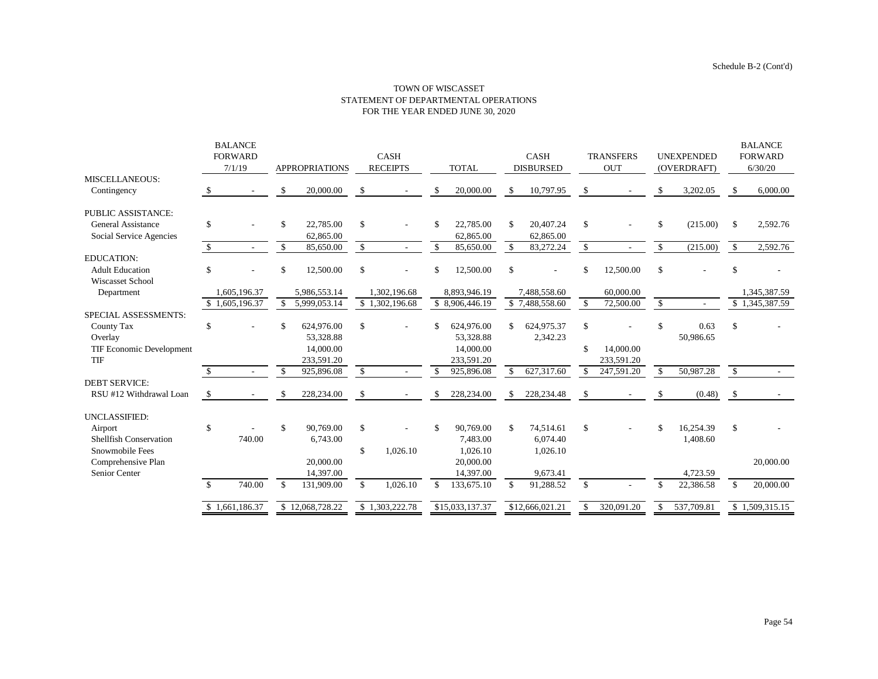|                                                                        |                         | <b>BALANCE</b><br><b>FORWARD</b><br>7/1/19 | <b>APPROPRIATIONS</b>        |              | <b>CASH</b><br><b>RECEIPTS</b> |     | <b>TOTAL</b>                       |    | <b>CASH</b><br><b>DISBURSED</b> |               | <b>TRANSFERS</b><br><b>OUT</b> |                    | <b>UNEXPENDED</b><br>(OVERDRAFT) |               | <b>BALANCE</b><br><b>FORWARD</b><br>6/30/20 |
|------------------------------------------------------------------------|-------------------------|--------------------------------------------|------------------------------|--------------|--------------------------------|-----|------------------------------------|----|---------------------------------|---------------|--------------------------------|--------------------|----------------------------------|---------------|---------------------------------------------|
| MISCELLANEOUS:<br>Contingency                                          |                         |                                            | 20,000.00                    | \$           |                                |     | 20,000.00                          | -S | 10,797.95                       | S.            |                                | \$                 | 3,202.05                         | \$            | 6,000.00                                    |
| PUBLIC ASSISTANCE:                                                     |                         |                                            |                              |              |                                |     |                                    |    |                                 |               |                                |                    |                                  |               |                                             |
| General Assistance<br>Social Service Agencies                          | \$                      |                                            | \$<br>22,785.00<br>62,865.00 | \$           |                                | \$  | 22,785.00<br>62,865.00             |    | 20.407.24<br>62,865.00          | \$.           |                                | \$                 | (215.00)                         | \$            | 2,592.76                                    |
|                                                                        | $\sqrt[6]{\frac{1}{2}}$ | $\sim$                                     | \$<br>85,650.00              | \$           | $\sim$                         | \$  | 85,650.00                          | S  | 83,272.24                       | \$            | ÷.                             | \$                 | (215.00)                         | \$            | 2,592.76                                    |
| <b>EDUCATION:</b><br><b>Adult Education</b><br><b>Wiscasset School</b> | \$                      |                                            | \$<br>12,500.00              | \$           |                                | \$  | 12,500.00                          | \$ |                                 | <sup>\$</sup> | 12,500.00                      | \$                 |                                  | \$            |                                             |
| Department                                                             |                         | 1,605,196.37                               | 5,986,553.14                 |              | 1,302,196.68                   |     | 8,893,946.19                       |    | 7,488,558.60                    |               | 60,000.00                      |                    |                                  |               | 1,345,387.59                                |
|                                                                        |                         | \$1,605,196.37                             | \$<br>5,999,053.14           |              | \$1,302,196.68                 |     | \$8,906,446.19                     |    | \$7,488,558.60                  | S.            | 72,500.00                      | $\mathbf{\hat{S}}$ |                                  |               | \$1,345,387.59                              |
| SPECIAL ASSESSMENTS:<br>County Tax<br>Overlay                          | \$                      |                                            | 624,976.00<br>53,328.88      | \$           |                                |     | 624,976.00<br>53,328.88            |    | 624,975.37<br>2,342.23          | \$            |                                | \$                 | 0.63<br>50,986.65                | \$            |                                             |
| <b>TIF Economic Development</b><br>TIF                                 |                         |                                            | 14,000.00<br>233,591.20      |              |                                |     | 14,000.00<br>233,591.20            |    |                                 | \$.           | 14,000.00<br>233,591.20        |                    |                                  |               |                                             |
|                                                                        |                         |                                            | \$<br>925,896.08             | $\mathbb{S}$ |                                | \$  | 925,896.08                         |    | 627,317.60                      | $\mathcal{S}$ | 247,591.20                     | $\mathcal{S}$      | 50,987.28                        | $\mathcal{S}$ |                                             |
| <b>DEBT SERVICE:</b><br>RSU #12 Withdrawal Loan                        | -S                      |                                            | 228,234.00                   | \$           |                                |     | 228,234.00                         |    | 228,234.48                      | -S            |                                | <sup>\$</sup>      | (0.48)                           | -S            |                                             |
| <b>UNCLASSIFIED:</b><br>Airport<br>Shellfish Conservation              | \$                      | 740.00                                     | \$<br>90.769.00<br>6,743.00  | \$<br>\$     |                                | \$. | 90,769.00<br>7,483.00              | \$ | 74,514.61<br>6.074.40           | \$.           |                                | \$                 | 16,254.39<br>1,408.60            | $\mathbb{S}$  |                                             |
| Snowmobile Fees<br>Comprehensive Plan<br>Senior Center                 |                         |                                            | 20,000.00<br>14,397.00       |              | 1.026.10                       |     | 1.026.10<br>20,000.00<br>14,397.00 |    | 1,026.10<br>9,673.41            |               |                                |                    | 4,723.59                         |               | 20,000.00                                   |
|                                                                        | $\mathcal{S}$           | 740.00                                     | \$<br>131,909.00             | $\mathbb{S}$ | 1,026.10                       | \$  | 133,675.10                         | \$ | 91,288.52                       | \$            |                                | \$                 | 22,386.58                        | \$            | 20,000.00                                   |
|                                                                        |                         | \$1.661.186.37                             | \$12.068.728.22              |              | \$1.303.222.78                 |     | \$15,033,137.37                    |    | \$12,666,021.21                 | \$.           | 320,091.20                     | \$                 | 537.709.81                       |               | \$1.509.315.15                              |

#### TOWN OF WISCASSET STATEMENT OF DEPARTMENTAL OPERATIONS FOR THE YEAR ENDED JUNE 30, 2020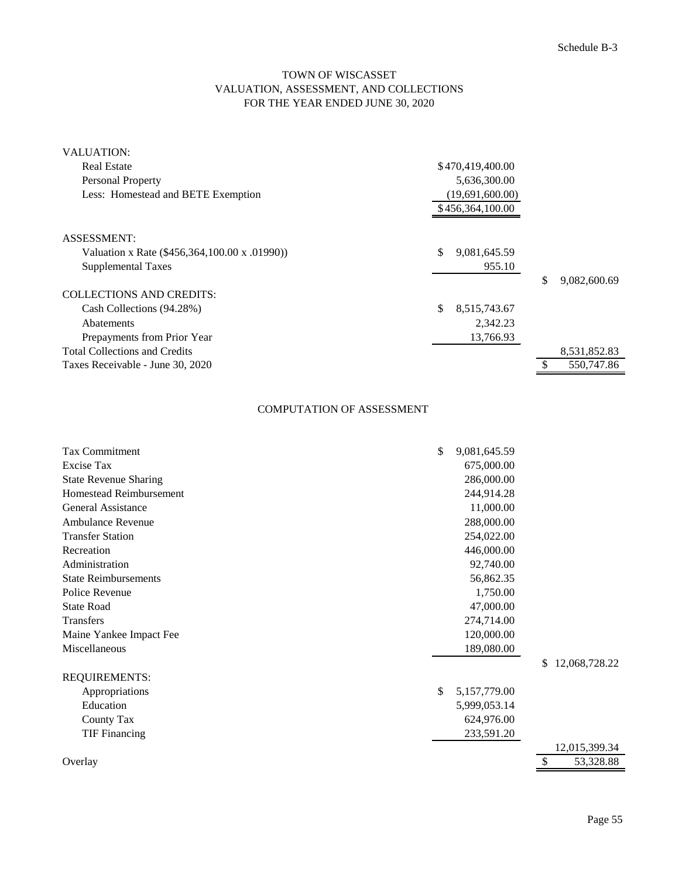# TOWN OF WISCASSET VALUATION, ASSESSMENT, AND COLLECTIONS FOR THE YEAR ENDED JUNE 30, 2020

| <b>VALUATION:</b>                             |                    |                    |
|-----------------------------------------------|--------------------|--------------------|
| <b>Real Estate</b>                            | \$470,419,400.00   |                    |
| <b>Personal Property</b>                      | 5,636,300.00       |                    |
| Less: Homestead and BETE Exemption            | (19,691,600.00)    |                    |
|                                               | \$456,364,100.00   |                    |
| <b>ASSESSMENT:</b>                            |                    |                    |
| Valuation x Rate (\$456,364,100.00 x .01990)) | \$<br>9,081,645.59 |                    |
| Supplemental Taxes                            | 955.10             |                    |
|                                               |                    | \$<br>9,082,600.69 |
| <b>COLLECTIONS AND CREDITS:</b>               |                    |                    |
| Cash Collections (94.28%)                     | \$<br>8,515,743.67 |                    |
| Abatements                                    | 2,342.23           |                    |
| Prepayments from Prior Year                   | 13,766.93          |                    |
| <b>Total Collections and Credits</b>          |                    | 8,531,852.83       |
| Taxes Receivable - June 30, 2020              |                    | 550,747.86         |

# COMPUTATION OF ASSESSMENT

| <b>Excise Tax</b><br>675,000.00<br><b>State Revenue Sharing</b><br>286,000.00<br>Homestead Reimbursement<br>244,914.28<br>General Assistance<br>11,000.00<br>288,000.00<br>Ambulance Revenue<br><b>Transfer Station</b><br>254,022.00<br>446,000.00<br>Recreation<br>Administration<br>92,740.00<br><b>State Reimbursements</b><br>56,862.35<br>Police Revenue<br>1,750.00<br><b>State Road</b><br>47,000.00 |  |
|--------------------------------------------------------------------------------------------------------------------------------------------------------------------------------------------------------------------------------------------------------------------------------------------------------------------------------------------------------------------------------------------------------------|--|
|                                                                                                                                                                                                                                                                                                                                                                                                              |  |
|                                                                                                                                                                                                                                                                                                                                                                                                              |  |
|                                                                                                                                                                                                                                                                                                                                                                                                              |  |
|                                                                                                                                                                                                                                                                                                                                                                                                              |  |
|                                                                                                                                                                                                                                                                                                                                                                                                              |  |
|                                                                                                                                                                                                                                                                                                                                                                                                              |  |
|                                                                                                                                                                                                                                                                                                                                                                                                              |  |
|                                                                                                                                                                                                                                                                                                                                                                                                              |  |
|                                                                                                                                                                                                                                                                                                                                                                                                              |  |
|                                                                                                                                                                                                                                                                                                                                                                                                              |  |
|                                                                                                                                                                                                                                                                                                                                                                                                              |  |
| <b>Transfers</b><br>274,714.00                                                                                                                                                                                                                                                                                                                                                                               |  |
| 120,000.00<br>Maine Yankee Impact Fee                                                                                                                                                                                                                                                                                                                                                                        |  |
| Miscellaneous<br>189,080.00                                                                                                                                                                                                                                                                                                                                                                                  |  |
| 12,068,728.22<br>\$                                                                                                                                                                                                                                                                                                                                                                                          |  |
| <b>REQUIREMENTS:</b>                                                                                                                                                                                                                                                                                                                                                                                         |  |
| \$<br>5,157,779.00<br>Appropriations                                                                                                                                                                                                                                                                                                                                                                         |  |
| Education<br>5,999,053.14                                                                                                                                                                                                                                                                                                                                                                                    |  |
| County Tax<br>624,976.00                                                                                                                                                                                                                                                                                                                                                                                     |  |
| <b>TIF Financing</b><br>233,591.20                                                                                                                                                                                                                                                                                                                                                                           |  |
| 12,015,399.34                                                                                                                                                                                                                                                                                                                                                                                                |  |
| 53,328.88<br>Overlay                                                                                                                                                                                                                                                                                                                                                                                         |  |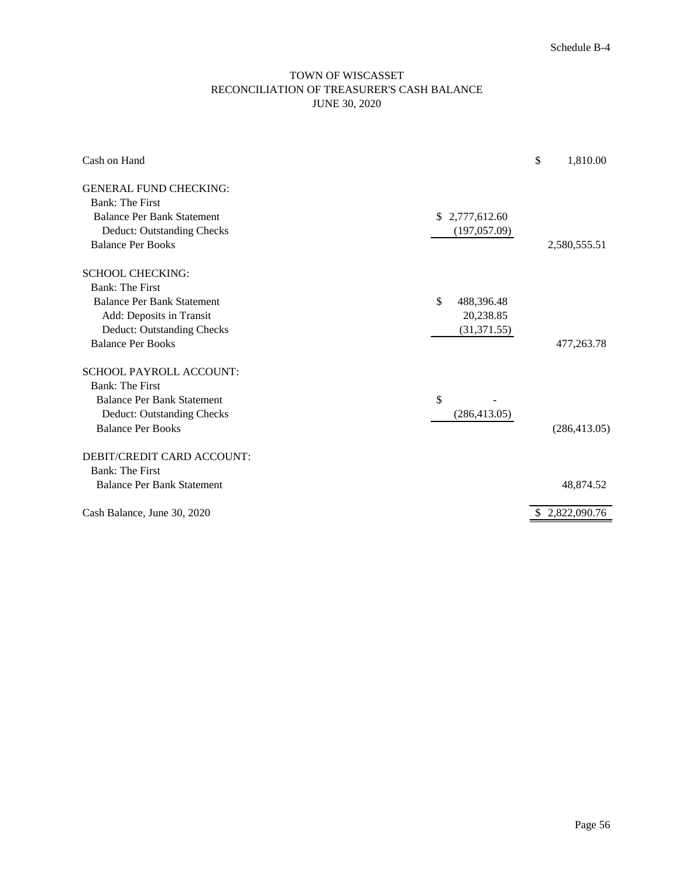# TOWN OF WISCASSET RECONCILIATION OF TREASURER'S CASH BALANCE JUNE 30, 2020

| Cash on Hand                                                                                                                                                  |                                              | \$<br>1,810.00     |
|---------------------------------------------------------------------------------------------------------------------------------------------------------------|----------------------------------------------|--------------------|
| <b>GENERAL FUND CHECKING:</b><br><b>Bank: The First</b><br><b>Balance Per Bank Statement</b><br><b>Deduct: Outstanding Checks</b><br><b>Balance Per Books</b> | \$2,777,612.60<br>(197, 057.09)              | 2,580,555.51       |
| <b>SCHOOL CHECKING:</b><br><b>Bank: The First</b><br><b>Balance Per Bank Statement</b><br>Add: Deposits in Transit<br><b>Deduct: Outstanding Checks</b>       | \$<br>488,396.48<br>20,238.85<br>(31,371.55) |                    |
| <b>Balance Per Books</b><br><b>SCHOOL PAYROLL ACCOUNT:</b><br><b>Bank: The First</b><br><b>Balance Per Bank Statement</b>                                     | \$                                           | 477,263.78         |
| <b>Deduct: Outstanding Checks</b><br><b>Balance Per Books</b>                                                                                                 | (286, 413.05)                                | (286, 413.05)      |
| DEBIT/CREDIT CARD ACCOUNT:<br><b>Bank: The First</b><br><b>Balance Per Bank Statement</b>                                                                     |                                              | 48,874.52          |
| Cash Balance, June 30, 2020                                                                                                                                   |                                              | \$<br>2,822,090.76 |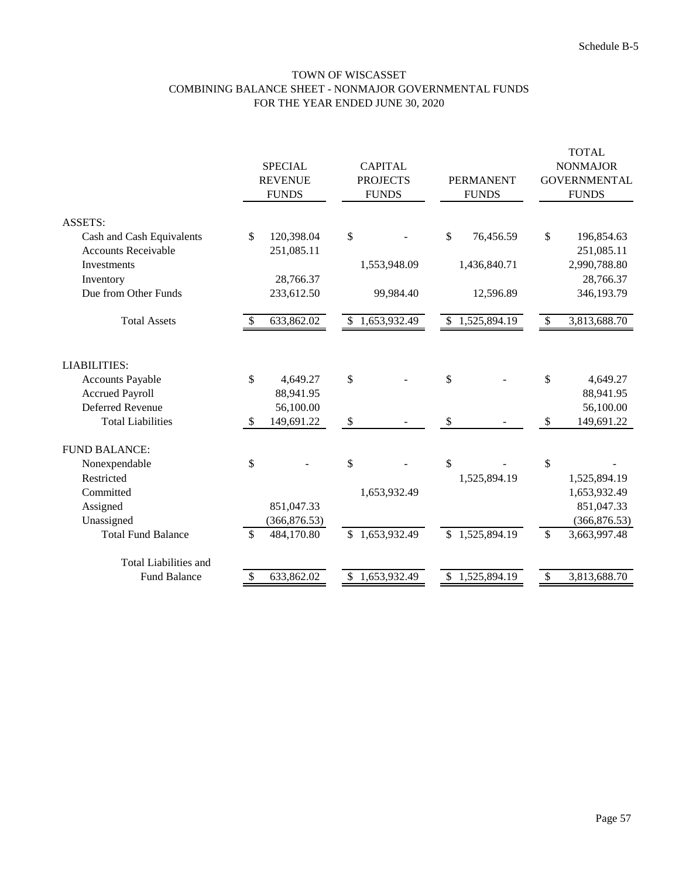# TOWN OF WISCASSET COMBINING BALANCE SHEET - NONMAJOR GOVERNMENTAL FUNDS FOR THE YEAR ENDED JUNE 30, 2020

|                              |               |                |               |                 |                    |                 | <b>TOTAL</b>        |  |  |  |
|------------------------------|---------------|----------------|---------------|-----------------|--------------------|-----------------|---------------------|--|--|--|
|                              |               | <b>SPECIAL</b> |               | <b>CAPITAL</b>  |                    | <b>NONMAJOR</b> |                     |  |  |  |
|                              |               | <b>REVENUE</b> |               | <b>PROJECTS</b> | <b>PERMANENT</b>   |                 | <b>GOVERNMENTAL</b> |  |  |  |
|                              |               | <b>FUNDS</b>   |               | <b>FUNDS</b>    | <b>FUNDS</b>       |                 | <b>FUNDS</b>        |  |  |  |
| <b>ASSETS:</b>               |               |                |               |                 |                    |                 |                     |  |  |  |
| Cash and Cash Equivalents    | \$            | 120,398.04     | \$            |                 | \$<br>76,456.59    | \$              | 196,854.63          |  |  |  |
| <b>Accounts Receivable</b>   |               | 251,085.11     |               |                 |                    |                 | 251,085.11          |  |  |  |
| Investments                  |               |                |               | 1,553,948.09    | 1,436,840.71       |                 | 2,990,788.80        |  |  |  |
| Inventory                    |               | 28,766.37      |               |                 |                    |                 | 28,766.37           |  |  |  |
| Due from Other Funds         |               | 233,612.50     |               | 99,984.40       | 12,596.89          |                 | 346,193.79          |  |  |  |
|                              |               |                |               |                 |                    |                 |                     |  |  |  |
| <b>Total Assets</b>          | \$            | 633,862.02     |               | \$1,653,932.49  | \$1,525,894.19     | <sup>\$</sup>   | 3,813,688.70        |  |  |  |
| <b>LIABILITIES:</b>          |               |                |               |                 |                    |                 |                     |  |  |  |
| <b>Accounts Payable</b>      | \$            | 4,649.27       | \$            |                 | \$                 | \$              | 4,649.27            |  |  |  |
| <b>Accrued Payroll</b>       |               | 88,941.95      |               |                 |                    |                 | 88,941.95           |  |  |  |
| <b>Deferred Revenue</b>      |               | 56,100.00      |               |                 |                    |                 | 56,100.00           |  |  |  |
| <b>Total Liabilities</b>     | <sup>\$</sup> | 149,691.22     | $\mathcal{S}$ |                 | \$                 | <sup>\$</sup>   | 149,691.22          |  |  |  |
| <b>FUND BALANCE:</b>         |               |                |               |                 |                    |                 |                     |  |  |  |
| Nonexpendable                | \$            |                | \$            |                 | \$                 | \$              |                     |  |  |  |
| Restricted                   |               |                |               |                 | 1,525,894.19       |                 | 1,525,894.19        |  |  |  |
| Committed                    |               |                |               | 1,653,932.49    |                    |                 | 1,653,932.49        |  |  |  |
| Assigned                     |               | 851,047.33     |               |                 |                    |                 | 851,047.33          |  |  |  |
| Unassigned                   |               | (366, 876.53)  |               |                 |                    |                 | (366, 876.53)       |  |  |  |
| <b>Total Fund Balance</b>    | \$            | 484,170.80     | $\mathbb{S}$  | 1,653,932.49    | \$1,525,894.19     | \$              | 3,663,997.48        |  |  |  |
| <b>Total Liabilities and</b> |               |                |               |                 |                    |                 |                     |  |  |  |
| <b>Fund Balance</b>          | \$            | 633,862.02     | \$            | 1,653,932.49    | \$<br>1,525,894.19 | \$              | 3,813,688.70        |  |  |  |
|                              |               |                |               |                 |                    |                 |                     |  |  |  |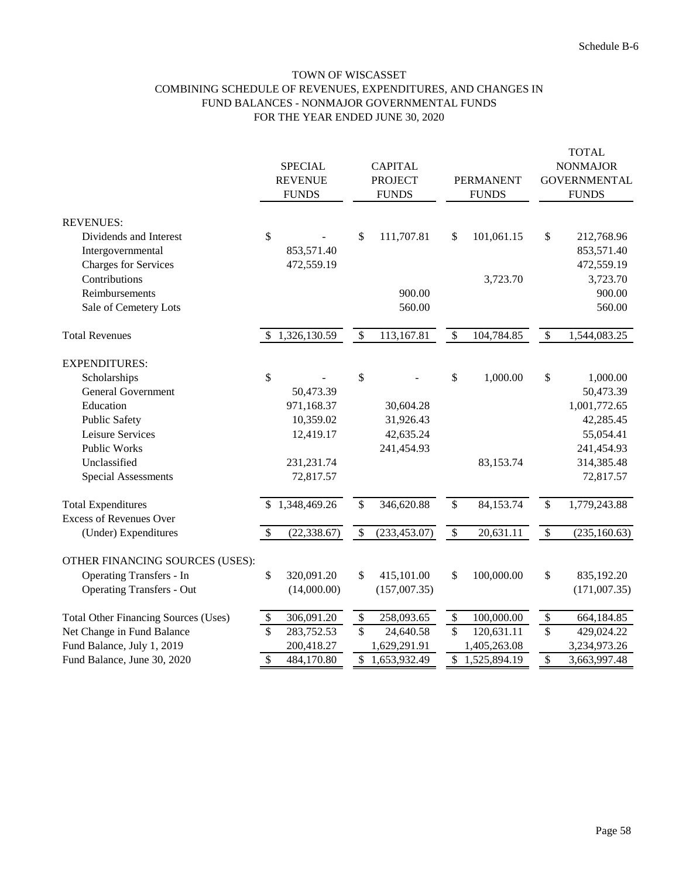# TOWN OF WISCASSET COMBINING SCHEDULE OF REVENUES, EXPENDITURES, AND CHANGES IN FUND BALANCES - NONMAJOR GOVERNMENTAL FUNDS FOR THE YEAR ENDED JUNE 30, 2020

|                                             |              | <b>SPECIAL</b><br><b>REVENUE</b><br><b>FUNDS</b> | <b>CAPITAL</b><br><b>PROJECT</b><br><b>FUNDS</b> |               | <b>PERMANENT</b><br><b>FUNDS</b> |                |                           | <b>TOTAL</b><br><b>NONMAJOR</b><br><b>GOVERNMENTAL</b><br><b>FUNDS</b> |
|---------------------------------------------|--------------|--------------------------------------------------|--------------------------------------------------|---------------|----------------------------------|----------------|---------------------------|------------------------------------------------------------------------|
| <b>REVENUES:</b>                            |              |                                                  |                                                  |               |                                  |                |                           |                                                                        |
| Dividends and Interest                      | \$           |                                                  | \$                                               | 111,707.81    | \$                               | 101,061.15     | \$                        | 212,768.96                                                             |
| Intergovernmental                           |              | 853,571.40                                       |                                                  |               |                                  |                |                           | 853,571.40                                                             |
| <b>Charges for Services</b>                 |              | 472,559.19                                       |                                                  |               |                                  |                |                           | 472,559.19                                                             |
| Contributions<br>Reimbursements             |              |                                                  |                                                  | 900.00        |                                  | 3,723.70       |                           | 3,723.70<br>900.00                                                     |
|                                             |              |                                                  |                                                  | 560.00        |                                  |                |                           | 560.00                                                                 |
| Sale of Cemetery Lots                       |              |                                                  |                                                  |               |                                  |                |                           |                                                                        |
| <b>Total Revenues</b>                       | \$           | 1,326,130.59                                     | \$                                               | 113,167.81    | \$                               | 104,784.85     | \$                        | 1,544,083.25                                                           |
| <b>EXPENDITURES:</b>                        |              |                                                  |                                                  |               |                                  |                |                           |                                                                        |
| Scholarships                                | $\$$         |                                                  | \$                                               |               | \$                               | 1,000.00       | \$                        | 1,000.00                                                               |
| <b>General Government</b>                   |              | 50,473.39                                        |                                                  |               |                                  |                |                           | 50,473.39                                                              |
| Education                                   |              | 971,168.37                                       |                                                  | 30,604.28     |                                  |                |                           | 1,001,772.65                                                           |
| <b>Public Safety</b>                        |              | 10,359.02                                        |                                                  | 31,926.43     |                                  |                |                           | 42,285.45                                                              |
| Leisure Services                            |              | 12,419.17                                        |                                                  | 42,635.24     |                                  |                |                           | 55,054.41                                                              |
| <b>Public Works</b>                         |              |                                                  |                                                  | 241,454.93    |                                  |                |                           | 241,454.93                                                             |
| Unclassified                                |              | 231, 231. 74                                     |                                                  |               |                                  | 83,153.74      |                           | 314,385.48                                                             |
| <b>Special Assessments</b>                  |              | 72,817.57                                        |                                                  |               |                                  |                |                           | 72,817.57                                                              |
| <b>Total Expenditures</b>                   | \$.          | 1,348,469.26                                     | \$                                               | 346,620.88    | $\mathcal{S}$                    | 84,153.74      | \$                        | 1,779,243.88                                                           |
| <b>Excess of Revenues Over</b>              |              |                                                  |                                                  |               |                                  |                |                           |                                                                        |
| (Under) Expenditures                        | \$           | (22, 338.67)                                     | \$                                               | (233, 453.07) | $\$\,$                           | 20,631.11      | $\$\,$                    | (235, 160.63)                                                          |
| OTHER FINANCING SOURCES (USES):             |              |                                                  |                                                  |               |                                  |                |                           |                                                                        |
| <b>Operating Transfers - In</b>             | \$           | 320,091.20                                       | \$                                               | 415,101.00    | \$                               | 100,000.00     | \$                        | 835,192.20                                                             |
| <b>Operating Transfers - Out</b>            |              | (14,000.00)                                      |                                                  | (157,007.35)  |                                  |                |                           | (171,007.35)                                                           |
| <b>Total Other Financing Sources (Uses)</b> | \$           | 306,091.20                                       | \$                                               | 258,093.65    | $\mathcal{S}$                    | 100,000.00     | $\boldsymbol{\mathsf{S}}$ | 664,184.85                                                             |
| Net Change in Fund Balance                  | $\mathbb{S}$ | 283,752.53                                       | $\mathbb{S}$                                     | 24,640.58     | \$                               | 120,631.11     | \$                        | 429,024.22                                                             |
| Fund Balance, July 1, 2019                  |              | 200,418.27                                       |                                                  | 1,629,291.91  |                                  | 1,405,263.08   |                           | 3,234,973.26                                                           |
| Fund Balance, June 30, 2020                 | \$           | 484,170.80                                       | \$                                               | 1,653,932.49  |                                  | \$1,525,894.19 | \$                        | 3,663,997.48                                                           |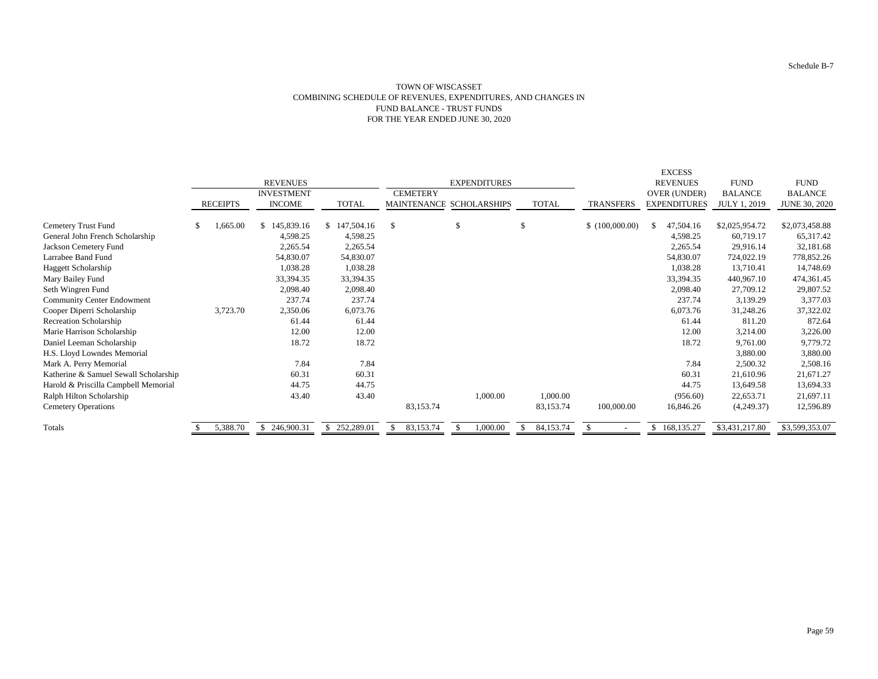#### TOWN OF WISCASSET COMBINING SCHEDULE OF REVENUES, EXPENDITURES, AND CHANGES IN FUND BALANCE - TRUST FUNDS FOR THE YEAR ENDED JUNE 30, 2020

| <b>REVENUES</b><br><b>FUND</b><br><b>EXPENDITURES</b><br><b>REVENUES</b><br><b>INVESTMENT</b><br><b>CEMETERY</b><br>OVER (UNDER)<br><b>BALANCE</b><br><b>TOTAL</b><br><b>TOTAL</b><br><b>RECEIPTS</b><br><b>INCOME</b><br>MAINTENANCE SCHOLARSHIPS<br><b>EXPENDITURES</b><br><b>JULY 1, 2019</b><br><b>TRANSFERS</b><br>\$<br>Cemetery Trust Fund<br>1,665.00<br>145,839.16<br>\$147,504.16<br>\$<br>\$<br>\$(100,000.00)<br>47,504.16<br>\$2,025,954.72<br>S<br>S.<br>S<br>General John French Scholarship<br>4,598.25<br>4,598.25<br>60,719.17<br>4,598.25<br>Jackson Cemetery Fund<br>2,265.54<br>2,265.54<br>2,265.54<br>29,916.14<br>Larrabee Band Fund<br>54,830.07<br>54,830.07<br>54,830.07<br>724,022.19<br>Haggett Scholarship<br>1,038.28<br>1,038.28<br>1,038.28<br>13,710.41<br>Mary Bailey Fund<br>33,394.35<br>33,394.35<br>33,394.35<br>440,967.10<br>Seth Wingren Fund<br>2,098.40<br>2,098.40<br>2,098.40<br>27,709.12<br>237.74<br>237.74<br>237.74<br>3,139.29<br><b>Community Center Endowment</b><br>3,723.70<br>2,350.06<br>6,073.76<br>6,073.76<br>31,248.26<br>Cooper Diperri Scholarship<br>61.44<br>61.44<br>61.44<br>811.20<br>Recreation Scholarship<br>12.00<br>Marie Harrison Scholarship<br>12.00<br>12.00<br>3,214.00<br>18.72<br>18.72<br>18.72<br>Daniel Leeman Scholarship<br>9,761.00<br>H.S. Lloyd Lowndes Memorial<br>3,880.00<br>Mark A. Perry Memorial<br>7.84<br>7.84<br>7.84<br>2,500.32<br>Katherine & Samuel Sewall Scholarship<br>60.31<br>60.31<br>60.31<br>21,610.96<br>44.75<br>Harold & Priscilla Campbell Memorial<br>44.75<br>44.75<br>13,649.58<br>Ralph Hilton Scholarship<br>43.40<br>43.40<br>1,000.00<br>1,000.00<br>22,653.71<br>(956.60) |                            |  |  |  |  |           |  |  |  | <b>EXCESS</b> |            |  |           |            |                      |
|-----------------------------------------------------------------------------------------------------------------------------------------------------------------------------------------------------------------------------------------------------------------------------------------------------------------------------------------------------------------------------------------------------------------------------------------------------------------------------------------------------------------------------------------------------------------------------------------------------------------------------------------------------------------------------------------------------------------------------------------------------------------------------------------------------------------------------------------------------------------------------------------------------------------------------------------------------------------------------------------------------------------------------------------------------------------------------------------------------------------------------------------------------------------------------------------------------------------------------------------------------------------------------------------------------------------------------------------------------------------------------------------------------------------------------------------------------------------------------------------------------------------------------------------------------------------------------------------------------------------------------------------------------------------------------------------------------|----------------------------|--|--|--|--|-----------|--|--|--|---------------|------------|--|-----------|------------|----------------------|
|                                                                                                                                                                                                                                                                                                                                                                                                                                                                                                                                                                                                                                                                                                                                                                                                                                                                                                                                                                                                                                                                                                                                                                                                                                                                                                                                                                                                                                                                                                                                                                                                                                                                                                     |                            |  |  |  |  |           |  |  |  |               |            |  |           |            | <b>FUND</b>          |
|                                                                                                                                                                                                                                                                                                                                                                                                                                                                                                                                                                                                                                                                                                                                                                                                                                                                                                                                                                                                                                                                                                                                                                                                                                                                                                                                                                                                                                                                                                                                                                                                                                                                                                     |                            |  |  |  |  |           |  |  |  |               |            |  |           |            | <b>BALANCE</b>       |
|                                                                                                                                                                                                                                                                                                                                                                                                                                                                                                                                                                                                                                                                                                                                                                                                                                                                                                                                                                                                                                                                                                                                                                                                                                                                                                                                                                                                                                                                                                                                                                                                                                                                                                     |                            |  |  |  |  |           |  |  |  |               |            |  |           |            | <b>JUNE 30, 2020</b> |
|                                                                                                                                                                                                                                                                                                                                                                                                                                                                                                                                                                                                                                                                                                                                                                                                                                                                                                                                                                                                                                                                                                                                                                                                                                                                                                                                                                                                                                                                                                                                                                                                                                                                                                     |                            |  |  |  |  |           |  |  |  |               |            |  |           |            | \$2,073,458.88       |
|                                                                                                                                                                                                                                                                                                                                                                                                                                                                                                                                                                                                                                                                                                                                                                                                                                                                                                                                                                                                                                                                                                                                                                                                                                                                                                                                                                                                                                                                                                                                                                                                                                                                                                     |                            |  |  |  |  |           |  |  |  |               |            |  |           |            | 65,317.42            |
|                                                                                                                                                                                                                                                                                                                                                                                                                                                                                                                                                                                                                                                                                                                                                                                                                                                                                                                                                                                                                                                                                                                                                                                                                                                                                                                                                                                                                                                                                                                                                                                                                                                                                                     |                            |  |  |  |  |           |  |  |  |               |            |  |           |            | 32,181.68            |
|                                                                                                                                                                                                                                                                                                                                                                                                                                                                                                                                                                                                                                                                                                                                                                                                                                                                                                                                                                                                                                                                                                                                                                                                                                                                                                                                                                                                                                                                                                                                                                                                                                                                                                     |                            |  |  |  |  |           |  |  |  |               |            |  |           |            | 778,852.26           |
|                                                                                                                                                                                                                                                                                                                                                                                                                                                                                                                                                                                                                                                                                                                                                                                                                                                                                                                                                                                                                                                                                                                                                                                                                                                                                                                                                                                                                                                                                                                                                                                                                                                                                                     |                            |  |  |  |  |           |  |  |  |               |            |  |           |            | 14,748.69            |
|                                                                                                                                                                                                                                                                                                                                                                                                                                                                                                                                                                                                                                                                                                                                                                                                                                                                                                                                                                                                                                                                                                                                                                                                                                                                                                                                                                                                                                                                                                                                                                                                                                                                                                     |                            |  |  |  |  |           |  |  |  |               |            |  |           |            | 474,361.45           |
|                                                                                                                                                                                                                                                                                                                                                                                                                                                                                                                                                                                                                                                                                                                                                                                                                                                                                                                                                                                                                                                                                                                                                                                                                                                                                                                                                                                                                                                                                                                                                                                                                                                                                                     |                            |  |  |  |  |           |  |  |  |               |            |  |           |            | 29,807.52            |
|                                                                                                                                                                                                                                                                                                                                                                                                                                                                                                                                                                                                                                                                                                                                                                                                                                                                                                                                                                                                                                                                                                                                                                                                                                                                                                                                                                                                                                                                                                                                                                                                                                                                                                     |                            |  |  |  |  |           |  |  |  |               |            |  |           |            | 3,377.03             |
|                                                                                                                                                                                                                                                                                                                                                                                                                                                                                                                                                                                                                                                                                                                                                                                                                                                                                                                                                                                                                                                                                                                                                                                                                                                                                                                                                                                                                                                                                                                                                                                                                                                                                                     |                            |  |  |  |  |           |  |  |  |               |            |  |           |            | 37,322.02            |
|                                                                                                                                                                                                                                                                                                                                                                                                                                                                                                                                                                                                                                                                                                                                                                                                                                                                                                                                                                                                                                                                                                                                                                                                                                                                                                                                                                                                                                                                                                                                                                                                                                                                                                     |                            |  |  |  |  |           |  |  |  |               |            |  |           |            | 872.64               |
|                                                                                                                                                                                                                                                                                                                                                                                                                                                                                                                                                                                                                                                                                                                                                                                                                                                                                                                                                                                                                                                                                                                                                                                                                                                                                                                                                                                                                                                                                                                                                                                                                                                                                                     |                            |  |  |  |  |           |  |  |  |               |            |  |           |            | 3,226.00             |
|                                                                                                                                                                                                                                                                                                                                                                                                                                                                                                                                                                                                                                                                                                                                                                                                                                                                                                                                                                                                                                                                                                                                                                                                                                                                                                                                                                                                                                                                                                                                                                                                                                                                                                     |                            |  |  |  |  |           |  |  |  |               |            |  |           |            | 9,779.72             |
|                                                                                                                                                                                                                                                                                                                                                                                                                                                                                                                                                                                                                                                                                                                                                                                                                                                                                                                                                                                                                                                                                                                                                                                                                                                                                                                                                                                                                                                                                                                                                                                                                                                                                                     |                            |  |  |  |  |           |  |  |  |               |            |  |           |            | 3,880.00             |
|                                                                                                                                                                                                                                                                                                                                                                                                                                                                                                                                                                                                                                                                                                                                                                                                                                                                                                                                                                                                                                                                                                                                                                                                                                                                                                                                                                                                                                                                                                                                                                                                                                                                                                     |                            |  |  |  |  |           |  |  |  |               |            |  |           |            | 2,508.16             |
|                                                                                                                                                                                                                                                                                                                                                                                                                                                                                                                                                                                                                                                                                                                                                                                                                                                                                                                                                                                                                                                                                                                                                                                                                                                                                                                                                                                                                                                                                                                                                                                                                                                                                                     |                            |  |  |  |  |           |  |  |  |               |            |  |           |            | 21,671.27            |
|                                                                                                                                                                                                                                                                                                                                                                                                                                                                                                                                                                                                                                                                                                                                                                                                                                                                                                                                                                                                                                                                                                                                                                                                                                                                                                                                                                                                                                                                                                                                                                                                                                                                                                     |                            |  |  |  |  |           |  |  |  |               |            |  |           |            | 13,694.33            |
|                                                                                                                                                                                                                                                                                                                                                                                                                                                                                                                                                                                                                                                                                                                                                                                                                                                                                                                                                                                                                                                                                                                                                                                                                                                                                                                                                                                                                                                                                                                                                                                                                                                                                                     |                            |  |  |  |  |           |  |  |  |               |            |  |           |            | 21,697.11            |
|                                                                                                                                                                                                                                                                                                                                                                                                                                                                                                                                                                                                                                                                                                                                                                                                                                                                                                                                                                                                                                                                                                                                                                                                                                                                                                                                                                                                                                                                                                                                                                                                                                                                                                     | <b>Cemetery Operations</b> |  |  |  |  | 83,153.74 |  |  |  | 83,153.74     | 100,000.00 |  | 16,846.26 | (4,249.37) | 12,596.89            |
| 246,900.31<br>252,289.01<br>83,153.74<br>1,000.00<br>84,153.74<br>\$3,431,217.80<br>Totals<br>5,388.70<br>168,135.27<br>\$<br>S                                                                                                                                                                                                                                                                                                                                                                                                                                                                                                                                                                                                                                                                                                                                                                                                                                                                                                                                                                                                                                                                                                                                                                                                                                                                                                                                                                                                                                                                                                                                                                     |                            |  |  |  |  |           |  |  |  |               |            |  |           |            | \$3,599,353.07       |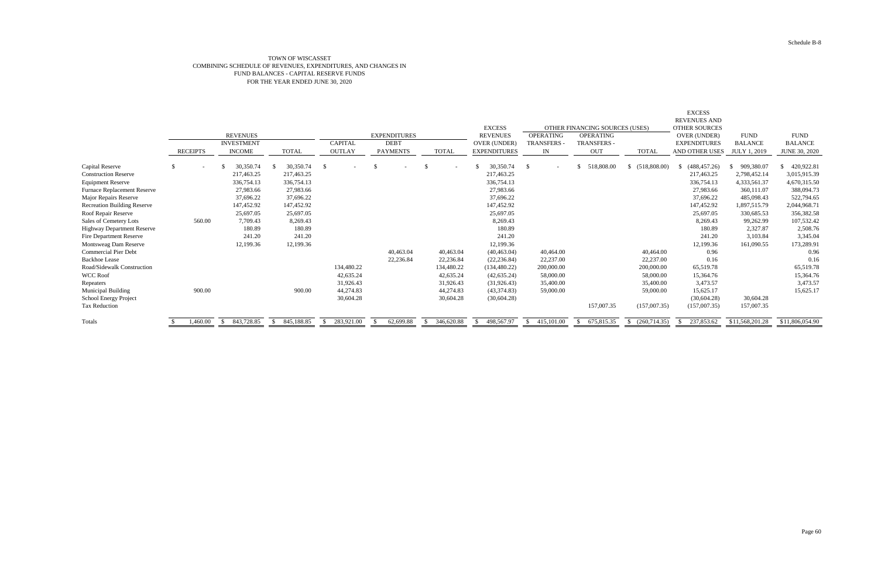|                                    |               |          | <b>REVENUES</b>                    |                   |                                 | <b>EXPENDITURES</b>            |              | <b>EXCESS</b><br><b>REVENUES</b>           | <b>OPERATING</b>       | OTHER FINANCING SOURCES (USES)<br><b>OPERATING</b> |               | <b>EXCESS</b><br><b>REVENUES AND</b><br><b>OTHER SOURCES</b><br><b>OVER (UNDER)</b> | <b>FUND</b>                           | <b>FUND</b>                            |
|------------------------------------|---------------|----------|------------------------------------|-------------------|---------------------------------|--------------------------------|--------------|--------------------------------------------|------------------------|----------------------------------------------------|---------------|-------------------------------------------------------------------------------------|---------------------------------------|----------------------------------------|
|                                    |               | RECEIPTS | <b>INVESTMENT</b><br><b>INCOME</b> | <b>TOTAL</b>      | <b>CAPITAL</b><br><b>OUTLAY</b> | <b>DEBT</b><br><b>PAYMENTS</b> | <b>TOTAL</b> | <b>OVER (UNDER)</b><br><b>EXPENDITURES</b> | <b>TRANSFERS</b><br>IN | <b>TRANSFERS -</b><br>OUT                          | <b>TOTAL</b>  | <b>EXPENDITURES</b><br>AND OTHER USES                                               | <b>BALANCE</b><br><b>JULY 1, 2019</b> | <b>BALANCE</b><br><b>JUNE 30, 2020</b> |
|                                    |               |          |                                    |                   |                                 |                                |              |                                            |                        |                                                    |               |                                                                                     |                                       |                                        |
| Capital Reserve                    | <sup>\$</sup> |          | 30,350.74                          | 30,350.74         | - \$                            |                                |              | 30,350.74                                  | -8<br>$\sim$           | 518,808.00                                         | (518,808,00)  | (488, 457, 26)                                                                      | 909,380.07                            | 420,922.81                             |
| <b>Construction Reserve</b>        |               |          | 217,463.25                         | 217,463.25        |                                 |                                |              | 217,463.25                                 |                        |                                                    |               | 217,463.25                                                                          | 2,798,452.14                          | 3,015,915.39                           |
| <b>Equipment Reserve</b>           |               |          | 336,754.13                         | 336,754.13        |                                 |                                |              | 336,754.13                                 |                        |                                                    |               | 336,754.13                                                                          | 4,333,561.37                          | 4,670,315.50                           |
| Furnace Replacement Reserve        |               |          | 27,983.66                          | 27,983.66         |                                 |                                |              | 27,983.66                                  |                        |                                                    |               | 27,983.66                                                                           | 360,111.07                            | 388,094.73                             |
| Major Repairs Reserve              |               |          | 37,696.22                          | 37,696.22         |                                 |                                |              | 37,696.22                                  |                        |                                                    |               | 37,696.22                                                                           | 485,098.43                            | 522,794.65                             |
| <b>Recreation Building Reserve</b> |               |          | 147,452.92                         | 147,452.92        |                                 |                                |              | 147,452.92                                 |                        |                                                    |               | 147,452.92                                                                          | 1,897,515.79                          | 2,044,968.71                           |
| Roof Repair Reserve                |               |          | 25,697.05                          | 25,697.05         |                                 |                                |              | 25,697.05                                  |                        |                                                    |               | 25,697.05                                                                           | 330,685.53                            | 356,382.58                             |
| Sales of Cemetery Lots             |               | 560.00   | 7,709.43                           | 8,269.43          |                                 |                                |              | 8,269.43                                   |                        |                                                    |               | 8,269.43                                                                            | 99,262.99                             | 107,532.42                             |
| <b>Highway Department Reserve</b>  |               |          | 180.89                             | 180.89            |                                 |                                |              | 180.89                                     |                        |                                                    |               | 180.89                                                                              | 2,327.87                              | 2,508.76                               |
| Fire Department Reserve            |               |          | 241.20                             | 241.20            |                                 |                                |              | 241.20                                     |                        |                                                    |               | 241.20                                                                              | 3,103.84                              | 3,345.04                               |
| Montsweag Dam Reserve              |               |          | 12,199.36                          | 12,199.36         |                                 |                                |              | 12,199.36                                  |                        |                                                    |               | 12,199.36                                                                           | 161,090.55                            | 173,289.91                             |
| Commercial Pier Debt               |               |          |                                    |                   |                                 | 40,463.04                      | 40,463.04    | (40, 463.04)                               | 40,464.00              |                                                    | 40,464.00     | 0.96                                                                                |                                       | 0.96                                   |
| <b>Backhoe Lease</b>               |               |          |                                    |                   |                                 | 22,236.84                      | 22,236.84    | (22, 236.84)                               | 22,237.00              |                                                    | 22,237.00     | 0.16                                                                                |                                       | 0.16                                   |
| Road/Sidewalk Construction         |               |          |                                    |                   | 134,480.22                      |                                | 134,480.22   | (134, 480.22)                              | 200,000.00             |                                                    | 200,000.00    | 65,519.78                                                                           |                                       | 65,519.78                              |
| <b>WCC Roof</b>                    |               |          |                                    |                   | 42,635.24                       |                                | 42,635.24    | (42, 635.24)                               | 58,000.00              |                                                    | 58,000.00     | 15,364.76                                                                           |                                       | 15,364.76                              |
| Repeaters                          |               |          |                                    |                   | 31,926.43                       |                                | 31,926.43    | (31, 926.43)                               | 35,400.00              |                                                    | 35,400.00     | 3,473.57                                                                            |                                       | 3,473.57                               |
| <b>Municipal Building</b>          |               | 900.00   |                                    | 900.00            | 44,274.83                       |                                | 44,274.83    | (43,374,83)                                | 59,000.00              |                                                    | 59,000.00     | 15,625.17                                                                           |                                       | 15,625.17                              |
| School Energy Project              |               |          |                                    |                   | 30,604.28                       |                                | 30,604.28    | (30,604.28)                                |                        |                                                    |               | (30,604.28)                                                                         | 30,604.28                             |                                        |
| <b>Tax Reduction</b>               |               |          |                                    |                   |                                 |                                |              |                                            |                        | 157,007.35                                         | (157,007.35)  | (157,007.35)                                                                        | 157,007.35                            |                                        |
| Totals                             |               | 1.460.00 | 843,728.85<br>-S                   | 845.188.85<br>-SG | 283,921.00                      | 62,699.88                      | 346,620.88   | 498,567.97                                 | 415,101.00             | 675,815.35                                         | (260, 714.35) | 237,853.62                                                                          | \$11,568,201.28                       | \$11,806,054.90                        |

# FUND BALANCES - CAPITAL RESERVE FUNDS FOR THE YEAR ENDED JUNE 30, 2020 TOWN OF WISCASSET COMBINING SCHEDULE OF REVENUES, EXPENDITURES, AND CHANGES IN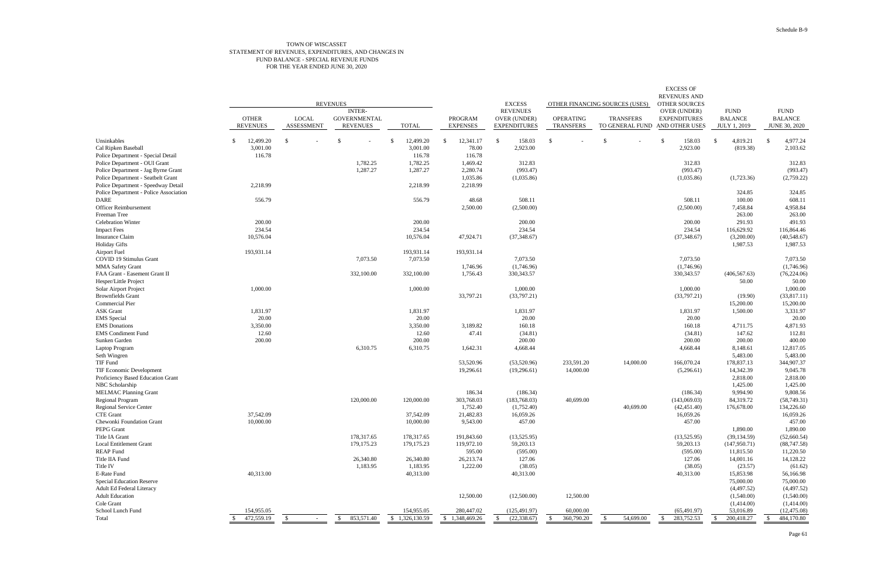|                                        |                                | <b>REVENUES</b>   |                                      |                                            |                   |                                                  |                  |                                                    | <b>EXCESS OF</b><br><b>REVENUES AND</b>                            |                                         |                                            |  |
|----------------------------------------|--------------------------------|-------------------|--------------------------------------|--------------------------------------------|-------------------|--------------------------------------------------|------------------|----------------------------------------------------|--------------------------------------------------------------------|-----------------------------------------|--------------------------------------------|--|
|                                        | <b>OTHER</b>                   | <b>LOCAL</b>      | <b>INTER-</b><br><b>GOVERNMENTAL</b> |                                            | <b>PROGRAM</b>    | <b>EXCESS</b><br><b>REVENUES</b><br>OVER (UNDER) | <b>OPERATING</b> | OTHER FINANCING SOURCES (USES)<br><b>TRANSFERS</b> | <b>OTHER SOURCES</b><br><b>OVER (UNDER)</b><br><b>EXPENDITURES</b> | <b>FUND</b><br><b>BALANCE</b>           | <b>FUND</b><br><b>BALANCE</b>              |  |
|                                        | <b>REVENUES</b>                | <b>ASSESSMENT</b> | <b>REVENUES</b>                      | <b>TOTAL</b>                               | <b>EXPENSES</b>   | <b>EXPENDITURES</b>                              | <b>TRANSFERS</b> | TO GENERAL FUND AND OTHER USES                     |                                                                    | <b>JULY 1, 2019</b>                     | <b>JUNE 30, 2020</b>                       |  |
| Unsinkables                            | 12,499.20<br>-S                | <sup>S</sup>      | -\$                                  | -\$<br>12,499.20                           | 12,341.17<br>- \$ | 158.03<br>-S                                     | -S               | \$                                                 | 158.03<br><sup>\$</sup>                                            | -\$<br>4,819.21                         | 4,977.24<br>-\$                            |  |
| Cal Ripken Baseball                    | 3,001.00                       |                   |                                      | 3,001.00                                   | 78.00             | 2,923.00                                         |                  |                                                    | 2,923.00                                                           | (819.38)                                | 2,103.62                                   |  |
| Police Department - Special Detail     | 116.78                         |                   |                                      | 116.78                                     | 116.78            |                                                  |                  |                                                    |                                                                    |                                         |                                            |  |
| Police Department - OUI Grant          |                                |                   | 1,782.25                             | 1,782.25                                   | 1,469.42          | 312.83                                           |                  |                                                    | 312.83                                                             |                                         | 312.83                                     |  |
| Police Department - Jag Byrne Grant    |                                |                   | 1,287.27                             | 1,287.27                                   | 2,280.74          | (993.47)                                         |                  |                                                    | (993.47)                                                           |                                         | (993.47)                                   |  |
| Police Department - Seatbelt Grant     |                                |                   |                                      |                                            | 1,035.86          | (1,035.86)                                       |                  |                                                    | (1,035.86)                                                         | (1,723.36)                              | (2,759.22)                                 |  |
| Police Department - Speedway Detail    | 2,218.99                       |                   |                                      | 2,218.99                                   | 2,218.99          |                                                  |                  |                                                    |                                                                    |                                         |                                            |  |
| Police Department - Police Association |                                |                   |                                      |                                            |                   |                                                  |                  |                                                    |                                                                    | 324.85                                  | 324.85                                     |  |
| DARE                                   | 556.79                         |                   |                                      | 556.79                                     | 48.68             | 508.11                                           |                  |                                                    | 508.11                                                             | 100.00                                  | 608.11                                     |  |
| Officer Reimbursement                  |                                |                   |                                      |                                            | 2,500.00          | (2,500.00)                                       |                  |                                                    | (2,500.00)                                                         | 7,458.84                                | 4,958.84                                   |  |
| Freeman Tree                           |                                |                   |                                      |                                            |                   |                                                  |                  |                                                    |                                                                    | 263.00                                  | 263.00                                     |  |
| <b>Celebration Winter</b>              | 200.00                         |                   |                                      | 200.00                                     |                   | 200.00                                           |                  |                                                    | 200.00                                                             | 291.93                                  | 491.93                                     |  |
| <b>Impact Fees</b>                     | 234.54                         |                   |                                      | 234.54                                     |                   | 234.54                                           |                  |                                                    | 234.54                                                             | 116,629.92                              | 116,864.46                                 |  |
| Insurance Claim                        | 10,576.04                      |                   |                                      | 10,576.04                                  | 47,924.71         | (37, 348.67)                                     |                  |                                                    | (37, 348.67)                                                       | (3,200.00)                              | (40,548.67)                                |  |
| <b>Holiday Gifts</b>                   |                                |                   |                                      |                                            |                   |                                                  |                  |                                                    |                                                                    | 1,987.53                                | 1,987.53                                   |  |
| Airport Fuel                           | 193,931.14                     |                   |                                      | 193,931.14                                 | 193,931.14        |                                                  |                  |                                                    |                                                                    |                                         |                                            |  |
| COVID 19 Stimulus Grant                |                                |                   | 7,073.50                             | 7,073.50                                   |                   | 7,073.50                                         |                  |                                                    | 7,073.50                                                           |                                         | 7,073.50                                   |  |
| <b>MMA Safety Grant</b>                |                                |                   |                                      |                                            | 1,746.96          | (1,746.96)                                       |                  |                                                    | (1,746.96)                                                         |                                         | (1,746.96)                                 |  |
| FAA Grant - Easement Grant II          |                                |                   | 332,100.00                           | 332,100.00                                 | 1,756.43          | 330, 343. 57                                     |                  |                                                    | 330, 343.57                                                        | (406, 567.63)                           | (76, 224.06)                               |  |
| Hesper/Little Project                  |                                |                   |                                      |                                            |                   |                                                  |                  |                                                    |                                                                    | 50.00                                   | 50.00                                      |  |
| Solar Airport Project                  | 1,000.00                       |                   |                                      | 1,000.00                                   |                   | 1,000.00                                         |                  |                                                    | 1,000.00                                                           |                                         | 1,000.00                                   |  |
| <b>Brownfields Grant</b>               |                                |                   |                                      |                                            | 33,797.21         | (33,797.21)                                      |                  |                                                    | (33,797.21)                                                        | (19.90)                                 | (33,817.11)                                |  |
| Commercial Pier                        |                                |                   |                                      |                                            |                   |                                                  |                  |                                                    |                                                                    | 15,200.00                               | 15,200.00                                  |  |
| <b>ASK</b> Grant                       | 1,831.97                       |                   |                                      | 1,831.97                                   |                   | 1,831.97                                         |                  |                                                    | 1,831.97                                                           | 1,500.00                                | 3,331.97                                   |  |
| <b>EMS</b> Special                     | 20.00                          |                   |                                      | 20.00                                      |                   | 20.00                                            |                  |                                                    | 20.00                                                              |                                         | 20.00                                      |  |
| <b>EMS</b> Donations                   | 3,350.00                       |                   |                                      | 3,350.00                                   | 3,189.82          | 160.18                                           |                  |                                                    | 160.18                                                             | 4,711.75                                | 4,871.93                                   |  |
| <b>EMS</b> Condiment Fund              | 12.60                          |                   |                                      | 12.60                                      | 47.41             | (34.81)                                          |                  |                                                    | (34.81)                                                            | 147.62                                  | 112.81                                     |  |
| Sunken Garden                          | 200.00                         |                   |                                      | 200.00                                     |                   | 200.00                                           |                  |                                                    | 200.00                                                             | 200.00                                  | 400.00                                     |  |
| Laptop Program                         |                                |                   | 6,310.75                             | 6,310.75                                   | 1,642.31          | 4,668.44                                         |                  |                                                    | 4,668.44                                                           | 8,148.61                                | 12,817.05                                  |  |
| Seth Wingren                           |                                |                   |                                      |                                            |                   |                                                  |                  |                                                    |                                                                    | 5,483.00                                | 5,483.00                                   |  |
| TIF Fund                               |                                |                   |                                      |                                            | 53,520.96         | (53,520.96)                                      | 233,591.20       | 14,000.00                                          | 166,070.24                                                         | 178,837.13                              | 344,907.37                                 |  |
| TIF Economic Development               |                                |                   |                                      |                                            | 19,296.61         | (19,296.61)                                      | 14,000.00        |                                                    | (5,296.61)                                                         | 14,342.39                               | 9,045.78                                   |  |
| Proficiency Based Education Grant      |                                |                   |                                      |                                            |                   |                                                  |                  |                                                    |                                                                    | 2,818.00                                | 2,818.00                                   |  |
| NBC Scholarship                        |                                |                   |                                      |                                            |                   |                                                  |                  |                                                    |                                                                    | 1,425.00                                | 1,425.00                                   |  |
| <b>MELMAC Planning Grant</b>           |                                |                   |                                      |                                            | 186.34            | (186.34)                                         |                  |                                                    | (186.34)                                                           | 9,994.90                                | 9,808.56                                   |  |
| <b>Regional Program</b>                |                                |                   | 120,000.00                           | 120,000.00                                 | 303,768.03        | (183, 768.03)                                    | 40,699.00        |                                                    | (143,069.03)                                                       | 84,319.72                               | (58, 749.31)                               |  |
| Regional Service Center                |                                |                   |                                      |                                            | 1,752.40          | (1,752.40)                                       |                  | 40,699.00                                          | (42, 451.40)                                                       | 176,678.00                              | 134,226.60                                 |  |
| <b>CTE</b> Grant                       | 37,542.09                      |                   |                                      | 37,542.09                                  | 21,482.83         | 16,059.26                                        |                  |                                                    | 16,059.26                                                          |                                         | 16,059.26                                  |  |
| Chewonki Foundation Grant              | 10,000.00                      |                   |                                      | 10,000.00                                  | 9,543.00          | 457.00                                           |                  |                                                    | 457.00                                                             |                                         | 457.00                                     |  |
| PEPG Grant                             |                                |                   |                                      |                                            |                   |                                                  |                  |                                                    |                                                                    | 1,890.00                                | 1,890.00                                   |  |
| Title IA Grant                         |                                |                   | 178,317.65                           | 178,317.65                                 | 191,843.60        | (13,525.95)                                      |                  |                                                    | (13,525.95)                                                        | (39, 134.59)                            | (52,660.54)                                |  |
| <b>Local Entitlement Grant</b>         |                                |                   | 179,175.23                           | 179, 175.23                                | 119,972.10        | 59,203.13                                        |                  |                                                    | 59,203.13                                                          | (147,950.71)                            | (88, 747.58)                               |  |
| <b>REAP Fund</b>                       |                                |                   |                                      |                                            | 595.00            | (595.00)                                         |                  |                                                    | (595.00)                                                           | 11,815.50                               | 11,220.50                                  |  |
| Title IIA Fund                         |                                |                   | 26,340.80                            | 26,340.80                                  | 26,213.74         | 127.06                                           |                  |                                                    | 127.06                                                             | 14,001.16                               | 14,128.22                                  |  |
| Title IV                               |                                |                   | 1,183.95                             | 1,183.95                                   | 1,222.00          | (38.05)                                          |                  |                                                    | (38.05)                                                            | (23.57)                                 | (61.62)                                    |  |
| E-Rate Fund                            | 40,313.00                      |                   |                                      | 40,313.00                                  |                   | 40,313.00                                        |                  |                                                    | 40,313.00                                                          | 15,853.98                               | 56,166.98                                  |  |
| <b>Special Education Reserve</b>       |                                |                   |                                      |                                            |                   |                                                  |                  |                                                    |                                                                    | 75,000.00                               | 75,000.00                                  |  |
| Adult Ed Federal Literacy              |                                |                   |                                      |                                            |                   |                                                  |                  |                                                    |                                                                    | (4,497.52)                              | (4,497.52)                                 |  |
| <b>Adult Education</b><br>Cole Grant   |                                |                   |                                      |                                            | 12,500.00         | (12,500.00)                                      | 12,500.00        |                                                    |                                                                    | (1,540.00)                              | (1,540.00)                                 |  |
| School Lunch Fund                      |                                |                   |                                      |                                            | 280,447.02        |                                                  | 60,000.00        |                                                    |                                                                    | (1,414.00)                              | (1,414.00)                                 |  |
| Total                                  | 154,955.05<br>472,559.19<br>-S | \$                | 853,571.40<br>\$                     | 154,955.05<br>$\overline{\$}$ 1,326,130.59 | \$1,348,469.26    | (125, 491.97)<br>(22, 338.67)<br><sup>S</sup>    | -S<br>360,790.20 | 54,699.00<br>\$                                    | (65, 491.97)<br><sup>\$</sup><br>283,752.53                        | 53,016.89<br>200,418.27<br>$\mathbb{S}$ | (12, 475.08)<br>484,170.80<br><sup>S</sup> |  |
|                                        |                                |                   |                                      |                                            |                   |                                                  |                  |                                                    |                                                                    |                                         |                                            |  |

#### TOWN OF WISCASSET STATEMENT OF REVENUES, EXPENDITURES, AND CHANGES IN FUND BALANCE - SPECIAL REVENUE FUNDS FOR THE YEAR ENDED JUNE 30, 2020